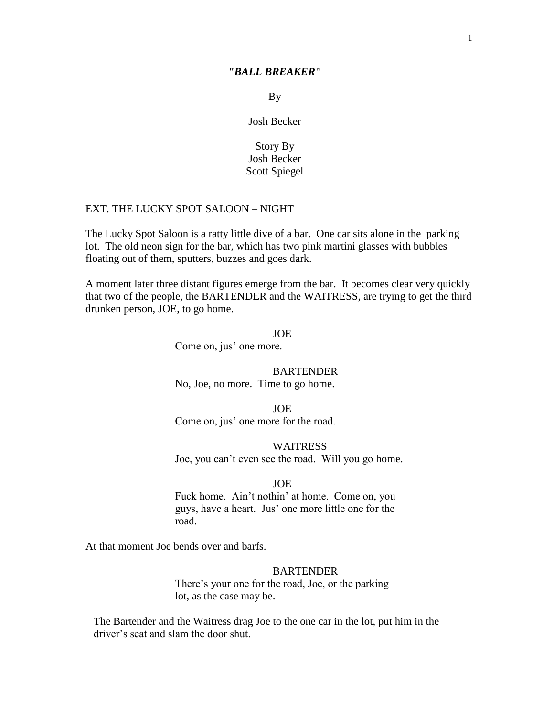#### *"BALL BREAKER"*

By

Josh Becker

## Story By Josh Becker Scott Spiegel

## EXT. THE LUCKY SPOT SALOON – NIGHT

 The Lucky Spot Saloon is a ratty little dive of a bar. One car sits alone in the parking lot. The old neon sign for the bar, which has two pink martini glasses with bubbles floating out of them, sputters, buzzes and goes dark.

A moment later three distant figures emerge from the bar. It becomes clear very quickly that two of the people, the BARTENDER and the WAITRESS, are trying to get the third drunken person, JOE, to go home.

> JOE Come on, jus' one more.

> > **BARTENDER**

No, Joe, no more. Time to go home.

JOE Come on, jus' one more for the road.

WAITRESS Joe, you can't even see the road. Will you go home.

#### JOE

Fuck home. Ain't nothin' at home. Come on, you guys, have a heart. Jus' one more little one for the road.

At that moment Joe bends over and barfs.

#### BARTENDER

There's your one for the road, Joe, or the parking lot, as the case may be.

 The Bartender and the Waitress drag Joe to the one car in the lot, put him in the driver's seat and slam the door shut.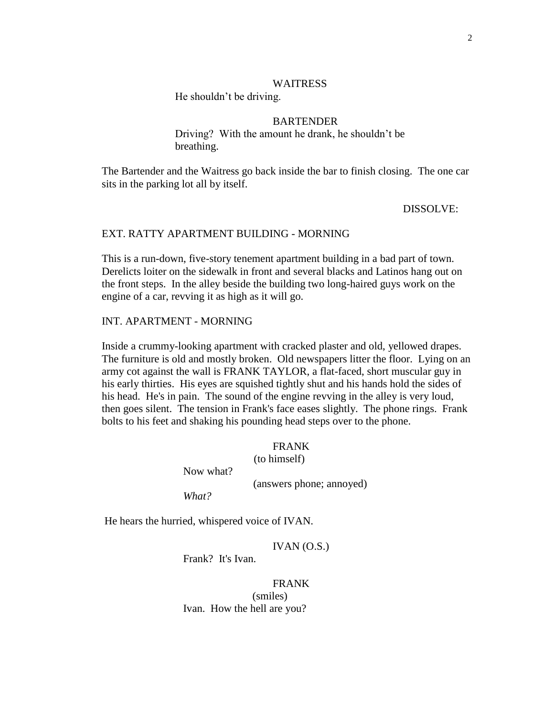#### WAITRESS

He shouldn't be driving.

## **BARTENDER**

 Driving? With the amount he drank, he shouldn't be breathing.

 The Bartender and the Waitress go back inside the bar to finish closing. The one car sits in the parking lot all by itself.

DISSOLVE:

### EXT. RATTY APARTMENT BUILDING - MORNING

This is a run-down, five-story tenement apartment building in a bad part of town. Derelicts loiter on the sidewalk in front and several blacks and Latinos hang out on the front steps. In the alley beside the building two long-haired guys work on the engine of a car, revving it as high as it will go.

#### INT. APARTMENT - MORNING

Inside a crummy-looking apartment with cracked plaster and old, yellowed drapes. The furniture is old and mostly broken. Old newspapers litter the floor. Lying on an army cot against the wall is FRANK TAYLOR, a flat-faced, short muscular guy in his early thirties. His eyes are squished tightly shut and his hands hold the sides of his head. He's in pain. The sound of the engine revving in the alley is very loud, then goes silent. The tension in Frank's face eases slightly. The phone rings. Frank bolts to his feet and shaking his pounding head steps over to the phone.

> FRANK (to himself)

Now what?

(answers phone; annoyed)

*What?*

He hears the hurried, whispered voice of IVAN.

IVAN $(0.S.)$ 

Frank? It's Ivan.

## FRANK

(smiles) Ivan. How the hell are you?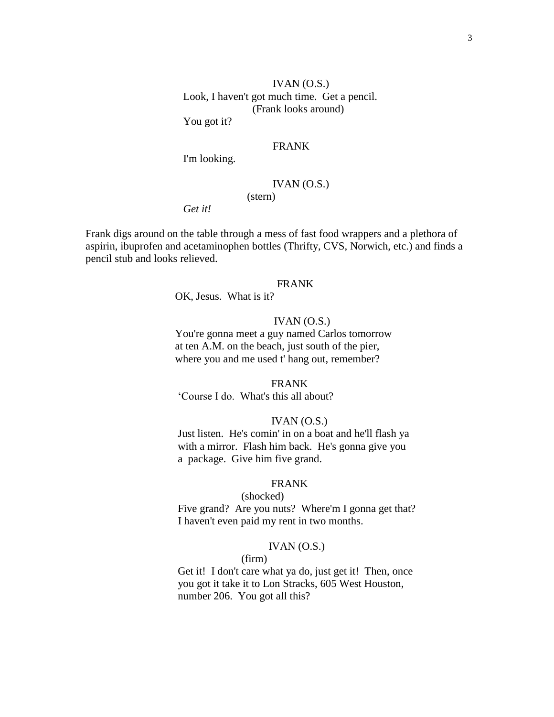IVAN $(0.S.)$ Look, I haven't got much time. Get a pencil. (Frank looks around)

You got it?

## FRANK

I'm looking.

## IVAN (O.S.)

*Get it!*

Frank digs around on the table through a mess of fast food wrappers and a plethora of aspirin, ibuprofen and acetaminophen bottles (Thrifty, CVS, Norwich, etc.) and finds a pencil stub and looks relieved.

(stern)

## FRANK

OK, Jesus. What is it?

### IVAN $(0.S.)$

You're gonna meet a guy named Carlos tomorrow at ten A.M. on the beach, just south of the pier, where you and me used t' hang out, remember?

### FRANK

‗Course I do. What's this all about?

#### $IVAN (O.S.)$

Just listen. He's comin' in on a boat and he'll flash ya with a mirror. Flash him back. He's gonna give you a package. Give him five grand.

## FRANK

 (shocked) Five grand? Are you nuts? Where'm I gonna get that? I haven't even paid my rent in two months.

#### $IVAN (O.S.)$

#### (firm)

Get it! I don't care what ya do, just get it! Then, once you got it take it to Lon Stracks, 605 West Houston, number 206. You got all this?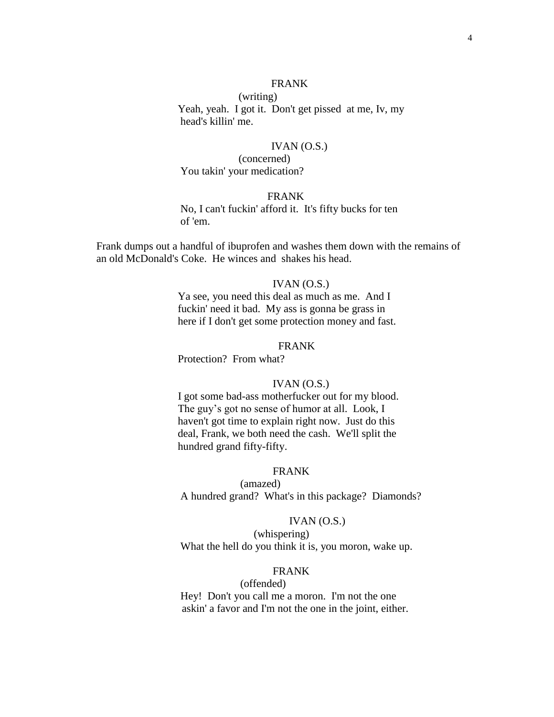## FRANK

 (writing) Yeah, yeah. I got it. Don't get pissed at me, Iv, my head's killin' me.

### $IVAN (O.S.)$

 (concerned) You takin' your medication?

### FRANK

 No, I can't fuckin' afford it. It's fifty bucks for ten of 'em.

 Frank dumps out a handful of ibuprofen and washes them down with the remains of an old McDonald's Coke. He winces and shakes his head.

### IVAN $(O.S.)$

Ya see, you need this deal as much as me. And I fuckin' need it bad. My ass is gonna be grass in here if I don't get some protection money and fast.

## FRANK

Protection? From what?

## IVAN (O.S.)

I got some bad-ass motherfucker out for my blood. The guy's got no sense of humor at all. Look, I haven't got time to explain right now. Just do this deal, Frank, we both need the cash. We'll split the hundred grand fifty-fifty.

### FRANK

(amazed) A hundred grand? What's in this package? Diamonds?

#### IVAN $(0.S.)$

 (whispering) What the hell do you think it is, you moron, wake up.

## FRANK

(offended) Hey! Don't you call me a moron. I'm not the one askin' a favor and I'm not the one in the joint, either.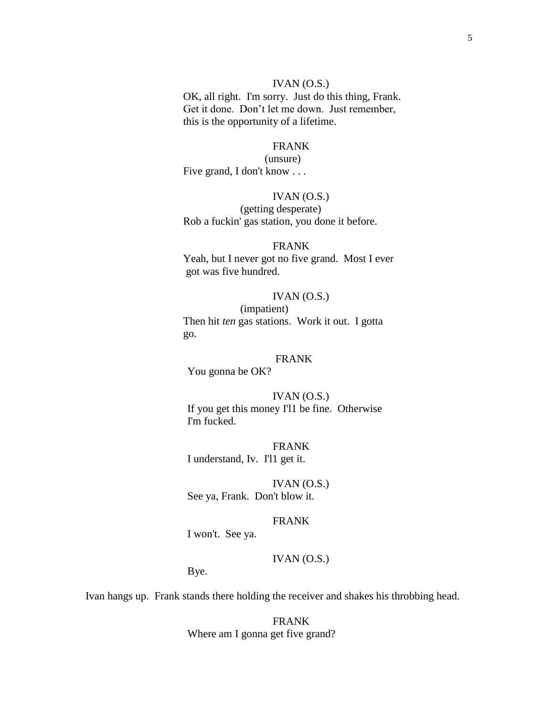## IVAN (O.S.)

 OK, all right. I'm sorry. Just do this thing, Frank. Get it done. Don't let me down. Just remember, this is the opportunity of a lifetime.

#### FRANK

#### (unsure)

Five grand, I don't know . . .

## IVAN (O.S.)

(getting desperate) Rob a fuckin' gas station, you done it before.

### FRANK

 Yeah, but I never got no five grand. Most I ever got was five hundred.

#### $IVAN (O.S.)$

(impatient) Then hit *ten* gas stations. Work it out. I gotta go.

## FRANK

You gonna be OK?

## $IVAN (O.S.)$ If you get this money I'l1 be fine. Otherwise I'm fucked.

FRANK I understand, Iv. I'l1 get it.

IVAN $(0.S.)$ See ya, Frank. Don't blow it.

#### FRANK

I won't. See ya.

## IVAN (O.S.)

Bye.

Ivan hangs up. Frank stands there holding the receiver and shakes his throbbing head.

FRANK Where am I gonna get five grand?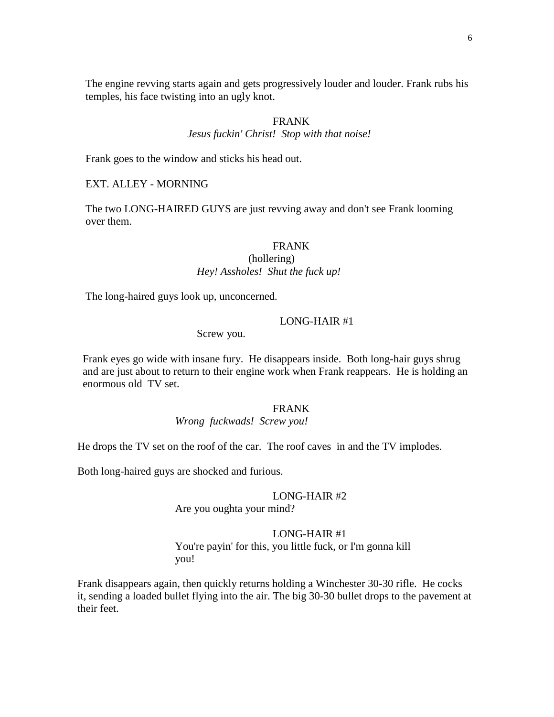The engine revving starts again and gets progressively louder and louder. Frank rubs his temples, his face twisting into an ugly knot.

## FRANK

*Jesus fuckin' Christ! Stop with that noise!*

Frank goes to the window and sticks his head out.

EXT. ALLEY - MORNING

The two LONG-HAIRED GUYS are just revving away and don't see Frank looming over them.

## FRANK

## (hollering)  *Hey! Assholes! Shut the fuck up!*

The long-haired guys look up, unconcerned.

#### LONG-HAIR #1

Screw you.

 Frank eyes go wide with insane fury. He disappears inside. Both long-hair guys shrug and are just about to return to their engine work when Frank reappears. He is holding an enormous old TV set.

#### FRANK

#### *Wrong fuckwads! Screw you!*

He drops the TV set on the roof of the car. The roof caves in and the TV implodes.

Both long-haired guys are shocked and furious.

### LONG-HAIR #2

Are you oughta your mind?

#### LONG-HAIR #1

You're payin' for this, you little fuck, or I'm gonna kill you!

Frank disappears again, then quickly returns holding a Winchester 30-30 rifle. He cocks it, sending a loaded bullet flying into the air. The big 30-30 bullet drops to the pavement at their feet.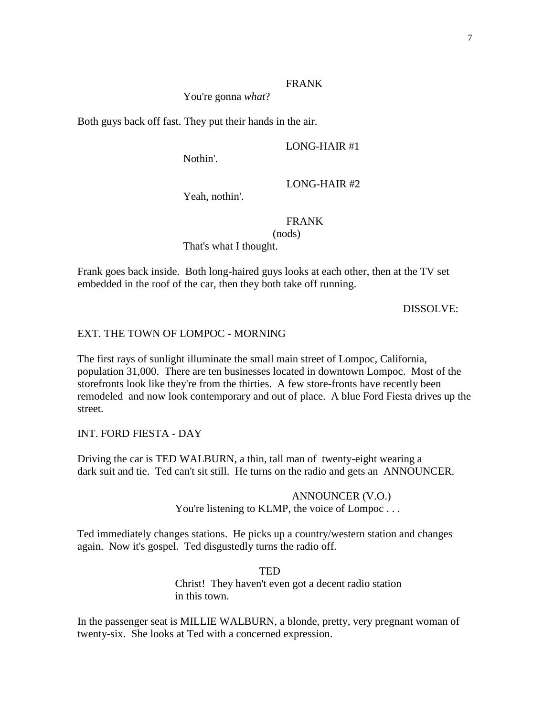## FRANK

You're gonna *what*?

Both guys back off fast. They put their hands in the air.

Nothin'.

LONG-HAIR #1

LONG-HAIR #2

Yeah, nothin'.

## FRANK

(nods)

That's what I thought.

Frank goes back inside. Both long-haired guys looks at each other, then at the TV set embedded in the roof of the car, then they both take off running.

DISSOLVE:

## EXT. THE TOWN OF LOMPOC - MORNING

The first rays of sunlight illuminate the small main street of Lompoc, California, population 31,000. There are ten businesses located in downtown Lompoc. Most of the storefronts look like they're from the thirties. A few store-fronts have recently been remodeled and now look contemporary and out of place. A blue Ford Fiesta drives up the street.

## INT. FORD FIESTA - DAY

Driving the car is TED WALBURN, a thin, tall man of twenty-eight wearing a dark suit and tie. Ted can't sit still. He turns on the radio and gets an ANNOUNCER.

## ANNOUNCER (V.O.) You're listening to KLMP, the voice of Lompoc . . .

Ted immediately changes stations. He picks up a country/western station and changes again. Now it's gospel. Ted disgustedly turns the radio off.

> TED Christ! They haven't even got a decent radio station in this town.

In the passenger seat is MILLIE WALBURN, a blonde, pretty, very pregnant woman of twenty-six. She looks at Ted with a concerned expression.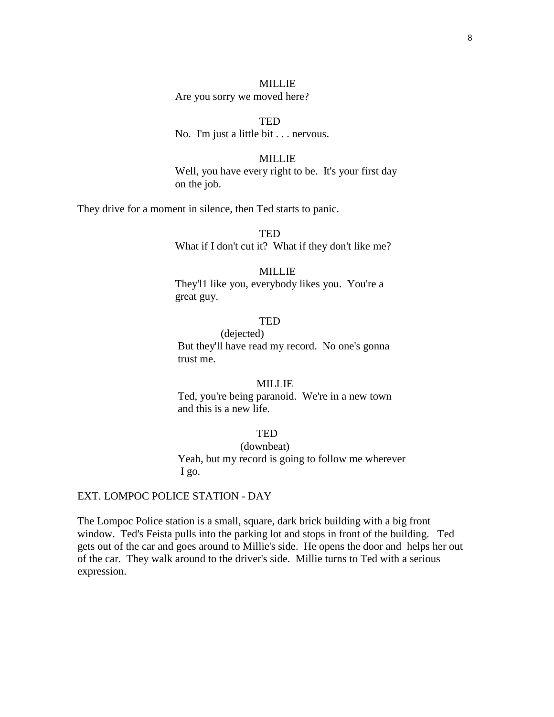### MILLIE

Are you sorry we moved here?

**TED** No. I'm just a little bit . . . nervous.

#### MILLIE

Well, you have every right to be. It's your first day on the job.

They drive for a moment in silence, then Ted starts to panic.

 TED What if I don't cut it? What if they don't like me?

## MILLIE

They'l1 like you, everybody likes you. You're a great guy.

## **TED**

(dejected) But they'll have read my record. No one's gonna trust me.

#### MILLIE

 Ted, you're being paranoid. We're in a new town and this is a new life.

## **TED**

 (downbeat) Yeah, but my record is going to follow me wherever I go.

#### EXT. LOMPOC POLICE STATION - DAY

The Lompoc Police station is a small, square, dark brick building with a big front window. Ted's Feista pulls into the parking lot and stops in front of the building. Ted gets out of the car and goes around to Millie's side. He opens the door and helps her out of the car. They walk around to the driver's side. Millie turns to Ted with a serious expression.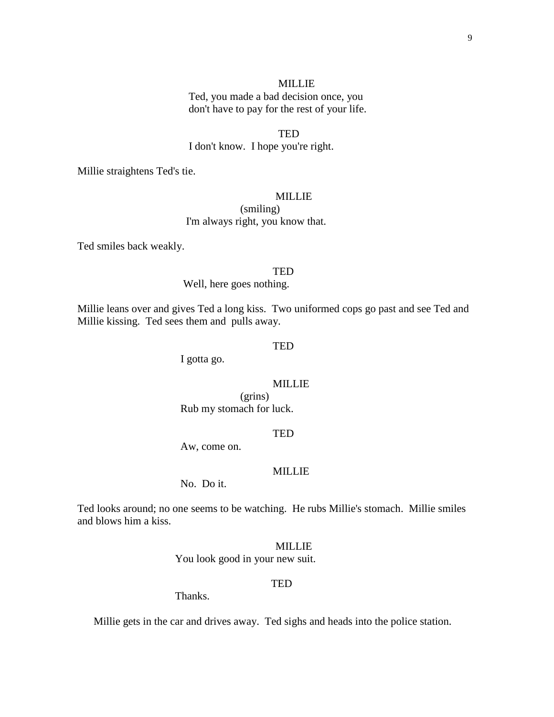#### MILLIE

 Ted, you made a bad decision once, you don't have to pay for the rest of your life.

**TED** 

I don't know. I hope you're right.

Millie straightens Ted's tie.

## MILLIE

 (smiling) I'm always right, you know that.

Ted smiles back weakly.

#### **TED**

Well, here goes nothing.

Millie leans over and gives Ted a long kiss. Two uniformed cops go past and see Ted and Millie kissing. Ted sees them and pulls away.

#### **TED**

I gotta go.

## MILLIE

(grins) Rub my stomach for luck.

#### TED

Aw, come on.

#### MILLIE

No. Do it.

Ted looks around; no one seems to be watching. He rubs Millie's stomach. Millie smiles and blows him a kiss.

#### MILLIE

You look good in your new suit.

#### **TED**

Thanks.

Millie gets in the car and drives away. Ted sighs and heads into the police station.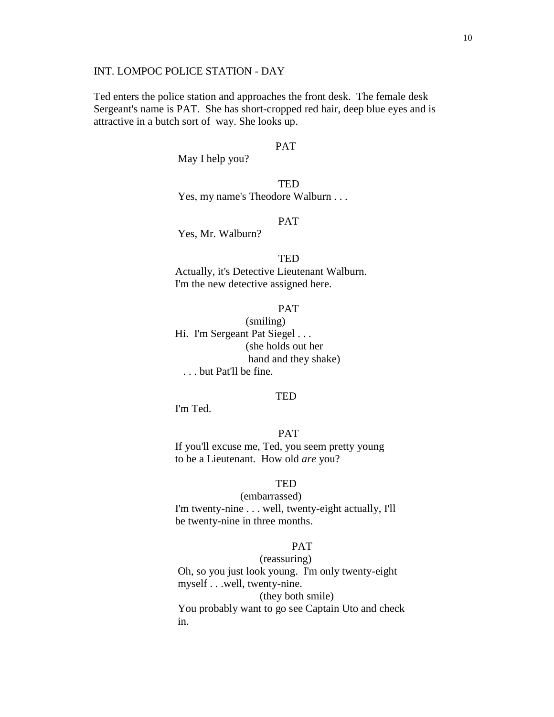## INT. LOMPOC POLICE STATION - DAY

 Ted enters the police station and approaches the front desk. The female desk Sergeant's name is PAT. She has short-cropped red hair, deep blue eyes and is attractive in a butch sort of way. She looks up.

#### **PAT**

May I help you?

**TED** Yes, my name's Theodore Walburn . . .

### PAT

Yes, Mr. Walburn?

#### **TED**

Actually, it's Detective Lieutenant Walburn. I'm the new detective assigned here.

#### PAT

 (smiling) Hi. I'm Sergeant Pat Siegel ... (she holds out her hand and they shake) . . . but Pat'll be fine.

#### **TED**

I'm Ted.

## PAT

If you'll excuse me, Ted, you seem pretty young to be a Lieutenant. How old *are* you?

## TED

(embarrassed)

I'm twenty-nine . . . well, twenty-eight actually, I'll be twenty-nine in three months.

### PAT

(reassuring)

 Oh, so you just look young. I'm only twenty-eight myself . . .well, twenty-nine.

#### (they both smile)

 You probably want to go see Captain Uto and check in. The same state in the state in the state in the state in the state in the state in the state in the state in the state in the state in the state in the state in the state in the state in the state in the state in the s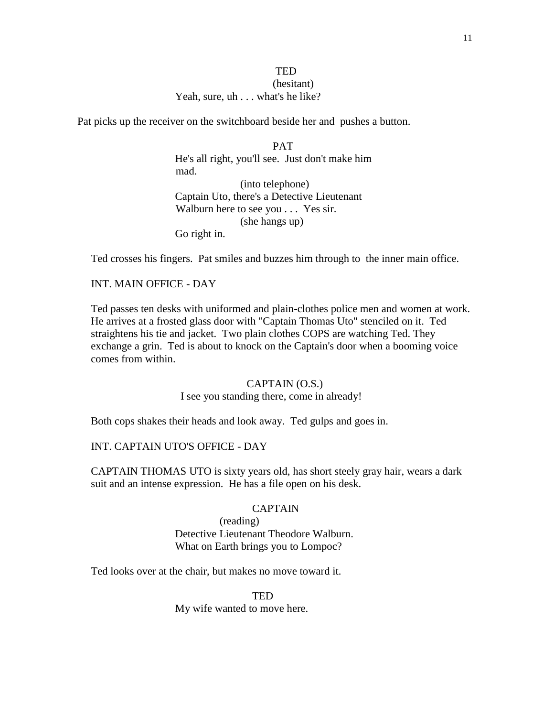## **TED**  (hesitant) Yeah, sure, uh . . . what's he like?

Pat picks up the receiver on the switchboard beside her and pushes a button.

PAT He's all right, you'll see. Just don't make him mad. (into telephone) Captain Uto, there's a Detective Lieutenant Walburn here to see you . . . Yes sir. (she hangs up) Go right in.

Ted crosses his fingers. Pat smiles and buzzes him through to the inner main office.

## INT. MAIN OFFICE - DAY

 Ted passes ten desks with uniformed and plain-clothes police men and women at work. He arrives at a frosted glass door with "Captain Thomas Uto" stenciled on it. Ted straightens his tie and jacket. Two plain clothes COPS are watching Ted. They exchange a grin. Ted is about to knock on the Captain's door when a booming voice comes from within.

#### CAPTAIN (O.S.)

I see you standing there, come in already!

Both cops shakes their heads and look away. Ted gulps and goes in.

### INT. CAPTAIN UTO'S OFFICE - DAY

 CAPTAIN THOMAS UTO is sixty years old, has short steely gray hair, wears a dark suit and an intense expression. He has a file open on his desk.

#### CAPTAIN

 (reading) Detective Lieutenant Theodore Walburn. What on Earth brings you to Lompoc?

Ted looks over at the chair, but makes no move toward it.

**TED** 

My wife wanted to move here.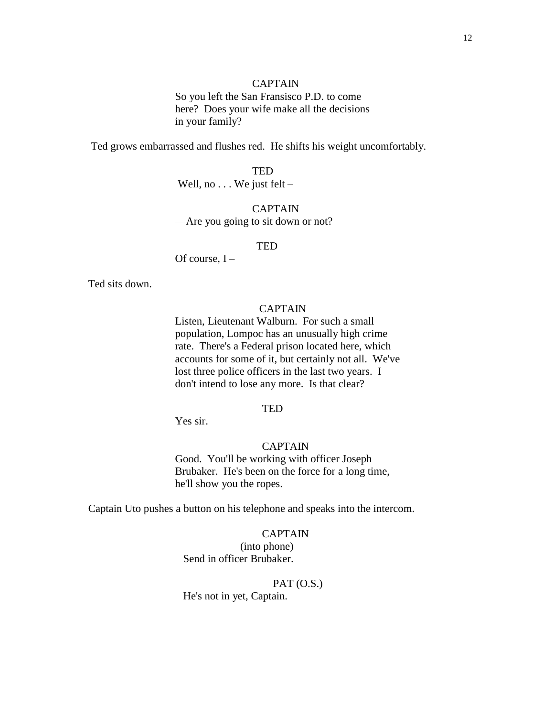## CAPTAIN

So you left the San Fransisco P.D. to come here? Does your wife make all the decisions in your family?

Ted grows embarrassed and flushes red. He shifts his weight uncomfortably.

 TED Well, no . . . We just felt –

 CAPTAIN —Are you going to sit down or not?

#### **TED**

Of course, I –

Ted sits down.

## CAPTAIN

Listen, Lieutenant Walburn. For such a small population, Lompoc has an unusually high crime rate. There's a Federal prison located here, which accounts for some of it, but certainly not all. We've lost three police officers in the last two years. I don't intend to lose any more. Is that clear?

#### **TED**

Yes sir.

## CAPTAIN

Good. You'll be working with officer Joseph Brubaker. He's been on the force for a long time, he'll show you the ropes.

Captain Uto pushes a button on his telephone and speaks into the intercom.

## CAPTAIN

(into phone) Send in officer Brubaker.

PAT (O.S.)

He's not in yet, Captain.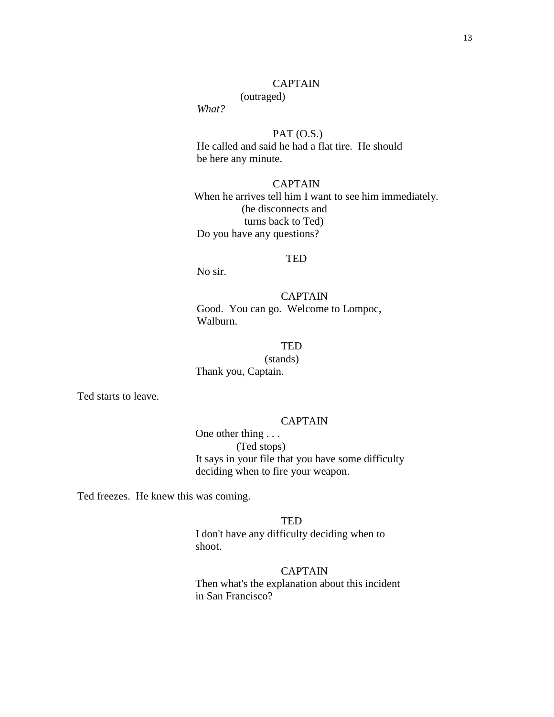### CAPTAIN

## (outraged)

*What?*

 $PAT (O.S.)$  He called and said he had a flat tire. He should be here any minute.

CAPTAIN When he arrives tell him I want to see him immediately. (he disconnects and turns back to Ted) Do you have any questions?

#### **TED**

No sir.

CAPTAIN Good. You can go. Welcome to Lompoc, Walburn.

## **TED**

(stands) Thank you, Captain.

Ted starts to leave.

#### CAPTAIN

One other thing . . . (Ted stops) It says in your file that you have some difficulty deciding when to fire your weapon.

Ted freezes. He knew this was coming.

**TED** 

I don't have any difficulty deciding when to shoot.

#### CAPTAIN

Then what's the explanation about this incident in San Francisco?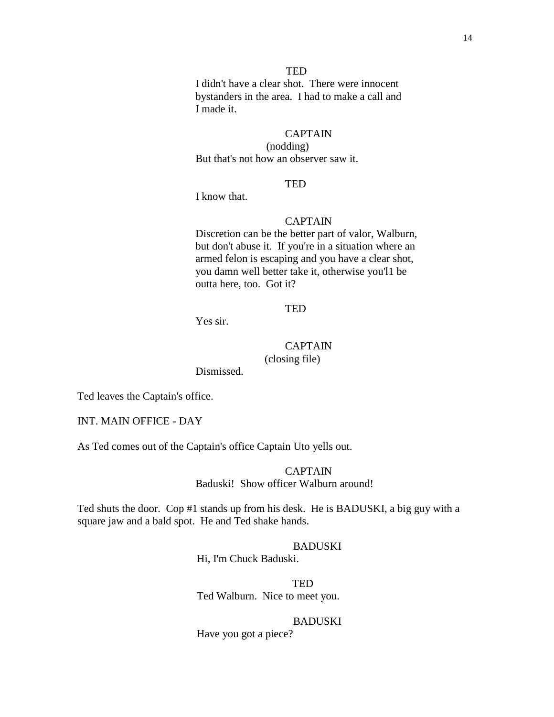I didn't have a clear shot. There were innocent bystanders in the area. I had to make a call and I made it.

### CAPTAIN

(nodding) But that's not how an observer saw it.

### **TED**

I know that.

## CAPTAIN

Discretion can be the better part of valor, Walburn, but don't abuse it. If you're in a situation where an armed felon is escaping and you have a clear shot, you damn well better take it, otherwise you'l1 be outta here, too. Got it?

### **TED**

Yes sir.

# CAPTAIN

(closing file)

Dismissed.

Ted leaves the Captain's office.

INT. MAIN OFFICE - DAY

As Ted comes out of the Captain's office Captain Uto yells out.

### **CAPTAIN** Baduski! Show officer Walburn around!

Ted shuts the door. Cop #1 stands up from his desk. He is BADUSKI, a big guy with a square jaw and a bald spot. He and Ted shake hands.

### BADUSKI

Hi, I'm Chuck Baduski.

**TED** Ted Walburn. Nice to meet you.

#### BADUSKI

Have you got a piece?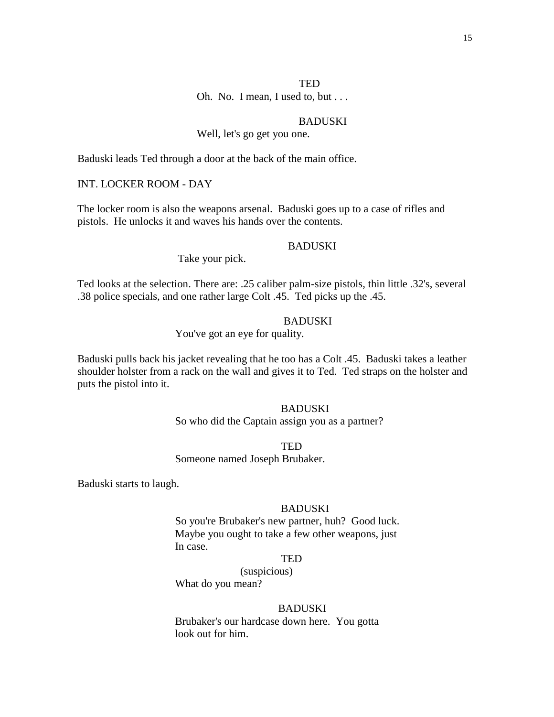Oh. No. I mean, I used to, but . . .

## BADUSKI

## Well, let's go get you one.

Baduski leads Ted through a door at the back of the main office.

INT. LOCKER ROOM - DAY

The locker room is also the weapons arsenal. Baduski goes up to a case of rifles and pistols. He unlocks it and waves his hands over the contents.

#### BADUSKI

Take your pick.

Ted looks at the selection. There are: .25 caliber palm-size pistols, thin little .32's, several .38 police specials, and one rather large Colt .45. Ted picks up the .45.

## **BADUSKI**

You've got an eye for quality.

Baduski pulls back his jacket revealing that he too has a Colt .45. Baduski takes a leather shoulder holster from a rack on the wall and gives it to Ted. Ted straps on the holster and puts the pistol into it.

> BADUSKI So who did the Captain assign you as a partner?

**TED** 

Someone named Joseph Brubaker.

Baduski starts to laugh.

#### BADUSKI

So you're Brubaker's new partner, huh? Good luck. Maybe you ought to take a few other weapons, just In case.

## **TED**

(suspicious) What do you mean?

#### BADUSKI

Brubaker's our hardcase down here. You gotta look out for him.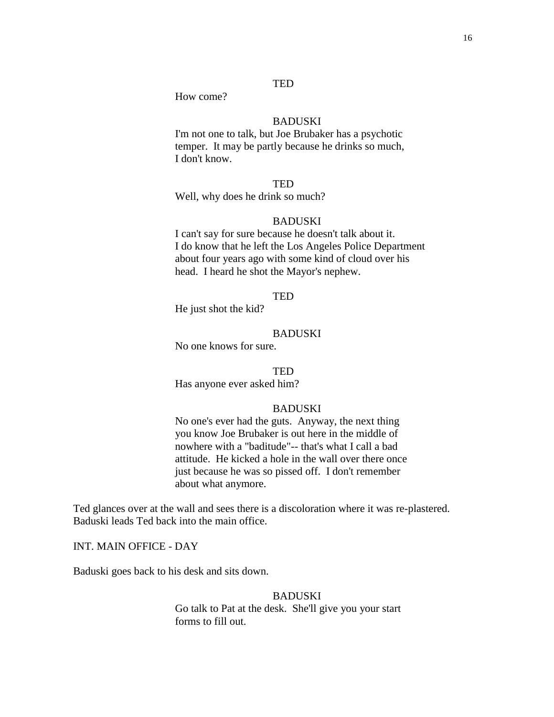How come?

## BADUSKI

I'm not one to talk, but Joe Brubaker has a psychotic temper. It may be partly because he drinks so much, I don't know.

## **TED**

Well, why does he drink so much?

## BADUSKI

I can't say for sure because he doesn't talk about it. I do know that he left the Los Angeles Police Department about four years ago with some kind of cloud over his head. I heard he shot the Mayor's nephew.

#### TED

He just shot the kid?

## BADUSKI

No one knows for sure.

#### TED

Has anyone ever asked him?

#### BADUSKI

 No one's ever had the guts. Anyway, the next thing you know Joe Brubaker is out here in the middle of nowhere with a "baditude"-- that's what I call a bad attitude. He kicked a hole in the wall over there once just because he was so pissed off. I don't remember about what anymore.

Ted glances over at the wall and sees there is a discoloration where it was re-plastered. Baduski leads Ted back into the main office.

INT. MAIN OFFICE - DAY

Baduski goes back to his desk and sits down.

### BADUSKI

Go talk to Pat at the desk. She'll give you your start forms to fill out.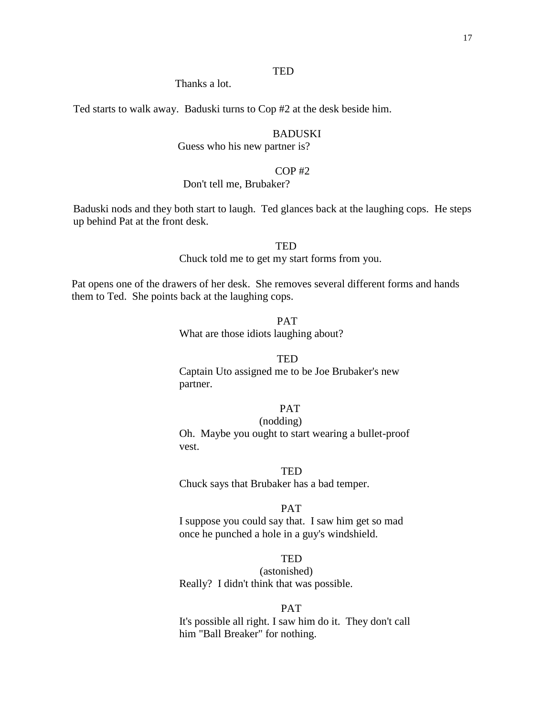Thanks a lot.

Ted starts to walk away. Baduski turns to Cop #2 at the desk beside him.

## **BADUSKI**

Guess who his new partner is?

## $COP$ #2

### Don't tell me, Brubaker?

Baduski nods and they both start to laugh. Ted glances back at the laughing cops. He steps up behind Pat at the front desk.

#### **TED**

Chuck told me to get my start forms from you.

Pat opens one of the drawers of her desk. She removes several different forms and hands them to Ted. She points back at the laughing cops.

> PAT What are those idiots laughing about?

#### **TED**

Captain Uto assigned me to be Joe Brubaker's new partner.

## PAT

## (nodding)

Oh. Maybe you ought to start wearing a bullet-proof vest.

#### **TED**

Chuck says that Brubaker has a bad temper.

#### PAT

I suppose you could say that. I saw him get so mad once he punched a hole in a guy's windshield.

## **TED**

(astonished) Really? I didn't think that was possible.

#### PAT

It's possible all right. I saw him do it. They don't call him "Ball Breaker" for nothing.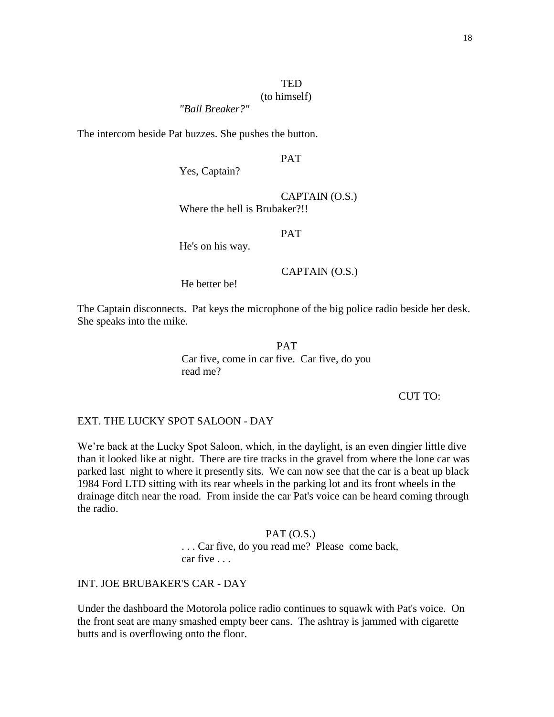## (to himself)

*"Ball Breaker?"*

The intercom beside Pat buzzes. She pushes the button.

## PAT

Yes, Captain?

CAPTAIN (O.S.)

Where the hell is Brubaker?!!

PAT

He's on his way.

### CAPTAIN (O.S.)

He better be!

The Captain disconnects. Pat keys the microphone of the big police radio beside her desk. She speaks into the mike.

PAT

Car five, come in car five. Car five, do you read me?

CUT TO:

EXT. THE LUCKY SPOT SALOON - DAY

We're back at the Lucky Spot Saloon, which, in the daylight, is an even dingier little dive than it looked like at night. There are tire tracks in the gravel from where the lone car was parked last night to where it presently sits. We can now see that the car is a beat up black 1984 Ford LTD sitting with its rear wheels in the parking lot and its front wheels in the drainage ditch near the road. From inside the car Pat's voice can be heard coming through the radio.

#### $PAT (O.S.)$

. . . Car five, do you read me? Please come back, car five . . .

## INT. JOE BRUBAKER'S CAR - DAY

Under the dashboard the Motorola police radio continues to squawk with Pat's voice. On the front seat are many smashed empty beer cans. The ashtray is jammed with cigarette butts and is overflowing onto the floor.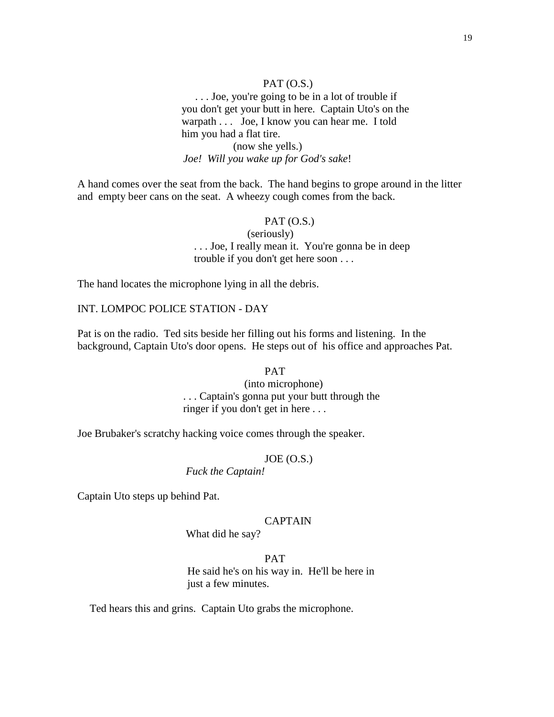## $PAT (O.S.)$

 . . . Joe, you're going to be in a lot of trouble if you don't get your butt in here. Captain Uto's on the warpath . . . Joe, I know you can hear me. I told him you had a flat tire. (now she yells.)  *Joe! Will you wake up for God's sake*!

A hand comes over the seat from the back. The hand begins to grope around in the litter and empty beer cans on the seat. A wheezy cough comes from the back.

### $PAT (O.S.)$

 (seriously) . . . Joe, I really mean it. You're gonna be in deep trouble if you don't get here soon . . .

The hand locates the microphone lying in all the debris.

INT. LOMPOC POLICE STATION - DAY

Pat is on the radio. Ted sits beside her filling out his forms and listening. In the background, Captain Uto's door opens. He steps out of his office and approaches Pat.

#### PAT

(into microphone) . . . Captain's gonna put your butt through the ringer if you don't get in here . . .

Joe Brubaker's scratchy hacking voice comes through the speaker.

#### $JOE (O.S.)$

*Fuck the Captain!*

Captain Uto steps up behind Pat.

#### CAPTAIN

What did he say?

## PAT

He said he's on his way in. He'll be here in just a few minutes.

Ted hears this and grins. Captain Uto grabs the microphone.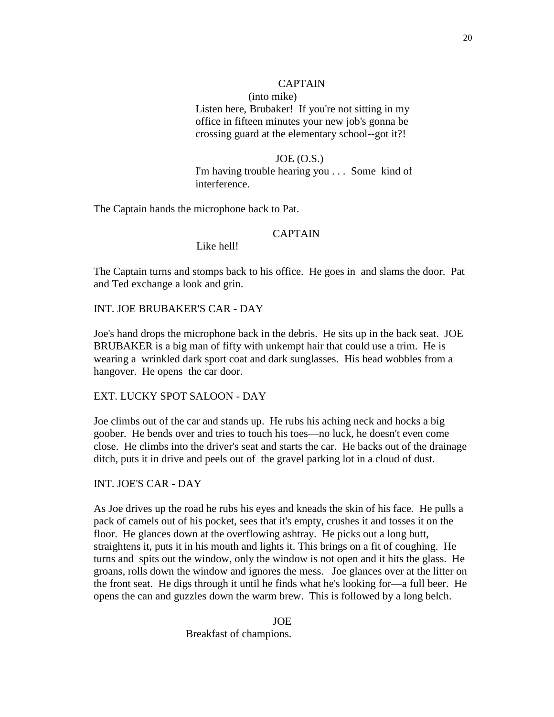## CAPTAIN

(into mike) Listen here, Brubaker! If you're not sitting in my office in fifteen minutes your new job's gonna be crossing guard at the elementary school--got it?!

## $JOE (O.S.)$ I'm having trouble hearing you . . . Some kind of interference.

The Captain hands the microphone back to Pat.

## CAPTAIN

Like hell!

 The Captain turns and stomps back to his office. He goes in and slams the door. Pat and Ted exchange a look and grin.

INT. JOE BRUBAKER'S CAR - DAY

 Joe's hand drops the microphone back in the debris. He sits up in the back seat. JOE BRUBAKER is a big man of fifty with unkempt hair that could use a trim. He is wearing a wrinkled dark sport coat and dark sunglasses. His head wobbles from a hangover. He opens the car door.

EXT. LUCKY SPOT SALOON - DAY

 Joe climbs out of the car and stands up. He rubs his aching neck and hocks a big goober. He bends over and tries to touch his toes—no luck, he doesn't even come close. He climbs into the driver's seat and starts the car. He backs out of the drainage ditch, puts it in drive and peels out of the gravel parking lot in a cloud of dust.

INT. JOE'S CAR - DAY

 As Joe drives up the road he rubs his eyes and kneads the skin of his face. He pulls a pack of camels out of his pocket, sees that it's empty, crushes it and tosses it on the floor. He glances down at the overflowing ashtray. He picks out a long butt, straightens it, puts it in his mouth and lights it. This brings on a fit of coughing. He turns and spits out the window, only the window is not open and it hits the glass. He groans, rolls down the window and ignores the mess. Joe glances over at the litter on the front seat. He digs through it until he finds what he's looking for—a full beer. He opens the can and guzzles down the warm brew. This is followed by a long belch.

> JOE Breakfast of champions.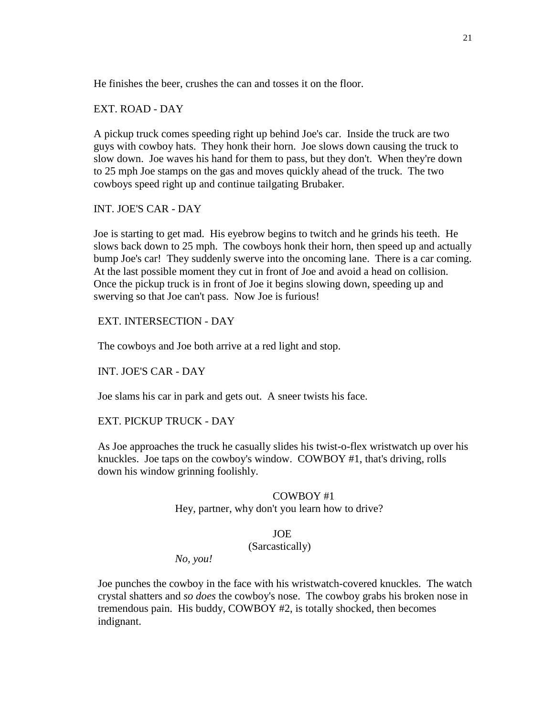He finishes the beer, crushes the can and tosses it on the floor.

EXT. ROAD - DAY

A pickup truck comes speeding right up behind Joe's car. Inside the truck are two guys with cowboy hats. They honk their horn. Joe slows down causing the truck to slow down. Joe waves his hand for them to pass, but they don't. When they're down to 25 mph Joe stamps on the gas and moves quickly ahead of the truck. The two cowboys speed right up and continue tailgating Brubaker.

INT. JOE'S CAR - DAY

Joe is starting to get mad. His eyebrow begins to twitch and he grinds his teeth. He slows back down to 25 mph. The cowboys honk their horn, then speed up and actually bump Joe's car! They suddenly swerve into the oncoming lane. There is a car coming. At the last possible moment they cut in front of Joe and avoid a head on collision. Once the pickup truck is in front of Joe it begins slowing down, speeding up and swerving so that Joe can't pass. Now Joe is furious!

EXT. INTERSECTION - DAY

The cowboys and Joe both arrive at a red light and stop.

INT. JOE'S CAR - DAY

Joe slams his car in park and gets out. A sneer twists his face.

#### EXT. PICKUP TRUCK - DAY

As Joe approaches the truck he casually slides his twist-o-flex wristwatch up over his knuckles. Joe taps on the cowboy's window. COWBOY #1, that's driving, rolls down his window grinning foolishly.

#### COWBOY #1

Hey, partner, why don't you learn how to drive?

#### JOE

#### (Sarcastically)

*No, you!*

Joe punches the cowboy in the face with his wristwatch-covered knuckles. The watch crystal shatters and *so does* the cowboy's nose. The cowboy grabs his broken nose in tremendous pain. His buddy, COWBOY #2, is totally shocked, then becomes indignant.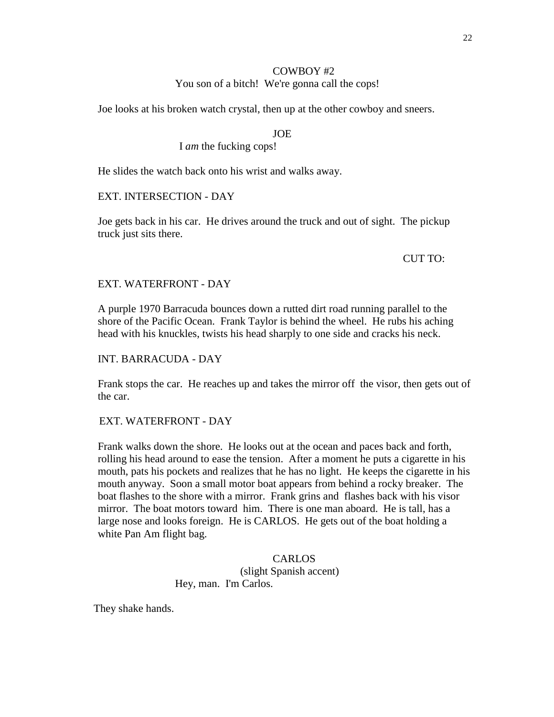## COWBOY #2

## You son of a bitch! We're gonna call the cops!

Joe looks at his broken watch crystal, then up at the other cowboy and sneers.

## JOE

## I *am* the fucking cops!

He slides the watch back onto his wrist and walks away.

## EXT. INTERSECTION - DAY

Joe gets back in his car. He drives around the truck and out of sight. The pickup truck just sits there.

## CUT TO:

## EXT. WATERFRONT - DAY

A purple 1970 Barracuda bounces down a rutted dirt road running parallel to the shore of the Pacific Ocean. Frank Taylor is behind the wheel. He rubs his aching head with his knuckles, twists his head sharply to one side and cracks his neck.

## INT. BARRACUDA - DAY

Frank stops the car. He reaches up and takes the mirror off the visor, then gets out of the car.

## EXT. WATERFRONT - DAY

Frank walks down the shore. He looks out at the ocean and paces back and forth, rolling his head around to ease the tension. After a moment he puts a cigarette in his mouth, pats his pockets and realizes that he has no light. He keeps the cigarette in his mouth anyway. Soon a small motor boat appears from behind a rocky breaker. The boat flashes to the shore with a mirror. Frank grins and flashes back with his visor mirror. The boat motors toward him. There is one man aboard. He is tall, has a large nose and looks foreign. He is CARLOS. He gets out of the boat holding a white Pan Am flight bag.

> **CARLOS** (slight Spanish accent) Hey, man. I'm Carlos.

They shake hands.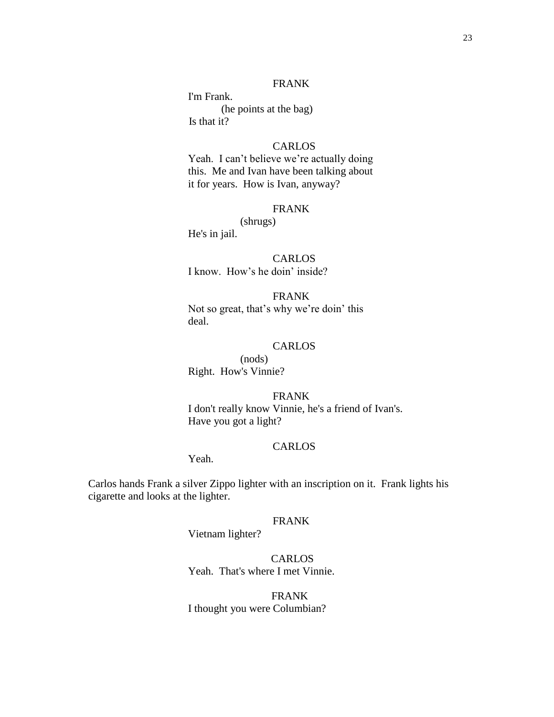## FRANK

 I'm Frank. (he points at the bag) Is that it?

### CARLOS

Yeah. I can't believe we're actually doing this. Me and Ivan have been talking about it for years. How is Ivan, anyway?

## FRANK

(shrugs) He's in jail.

## CARLOS

I know. How's he doin' inside?

FRANK Not so great, that's why we're doin' this deal.

### CARLOS

(nods) Right. How's Vinnie?

FRANK

 I don't really know Vinnie, he's a friend of Ivan's. Have you got a light?

### CARLOS

Yeah.

 Carlos hands Frank a silver Zippo lighter with an inscription on it. Frank lights his cigarette and looks at the lighter.

#### FRANK

Vietnam lighter?

**CARLOS** Yeah. That's where I met Vinnie.

 FRANK I thought you were Columbian?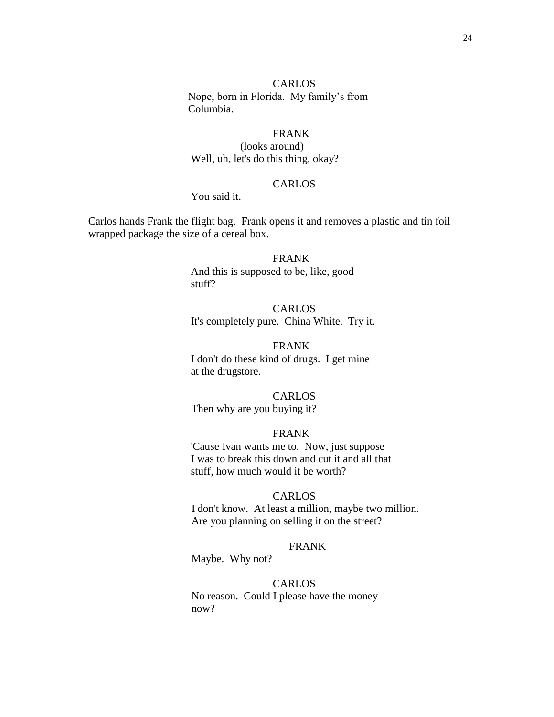#### CARLOS

 Nope, born in Florida. My family's from Columbia.

## FRANK

(looks around) Well, uh, let's do this thing, okay?

## CARLOS

## You said it.

 Carlos hands Frank the flight bag. Frank opens it and removes a plastic and tin foil wrapped package the size of a cereal box.

## FRANK

And this is supposed to be, like, good stuff?

## CARLOS It's completely pure. China White. Try it.

## FRANK I don't do these kind of drugs. I get mine at the drugstore.

## CARLOS

Then why are you buying it?

## FRANK

'Cause Ivan wants me to. Now, just suppose I was to break this down and cut it and all that stuff, how much would it be worth?

#### CARLOS

 I don't know. At least a million, maybe two million. Are you planning on selling it on the street?

#### FRANK

Maybe. Why not?

## CARLOS

 No reason. Could I please have the money now?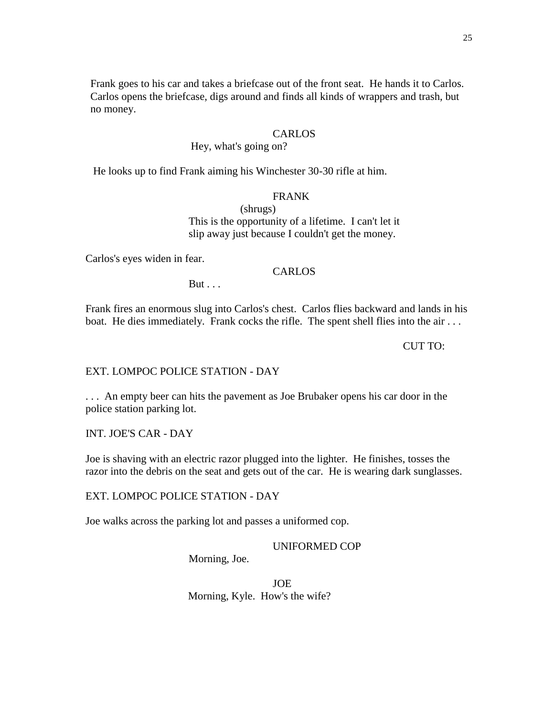Frank goes to his car and takes a briefcase out of the front seat. He hands it to Carlos. Carlos opens the briefcase, digs around and finds all kinds of wrappers and trash, but no money.

### CARLOS

## Hey, what's going on?

He looks up to find Frank aiming his Winchester 30-30 rifle at him.

### FRANK

(shrugs) This is the opportunity of a lifetime. I can't let it slip away just because I couldn't get the money.

Carlos's eyes widen in fear.

### CARLOS

 $But...$ 

 Frank fires an enormous slug into Carlos's chest. Carlos flies backward and lands in his boat. He dies immediately. Frank cocks the rifle. The spent shell flies into the air ...

#### CUT TO:

### EXT. LOMPOC POLICE STATION - DAY

 . . . An empty beer can hits the pavement as Joe Brubaker opens his car door in the police station parking lot.

INT. JOE'S CAR - DAY

 Joe is shaving with an electric razor plugged into the lighter. He finishes, tosses the razor into the debris on the seat and gets out of the car. He is wearing dark sunglasses.

EXT. LOMPOC POLICE STATION - DAY

Joe walks across the parking lot and passes a uniformed cop.

UNIFORMED COP

Morning, Joe.

JOE Morning, Kyle. How's the wife?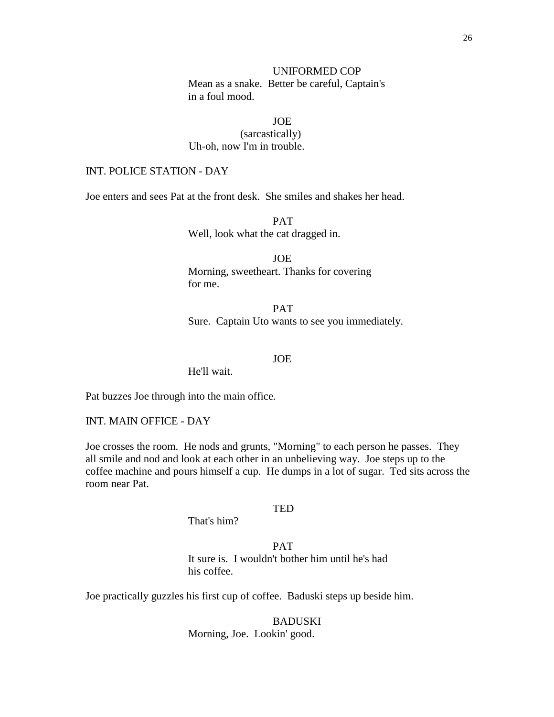### UNIFORMED COP

 Mean as a snake. Better be careful, Captain's in a foul mood.

JOE

(sarcastically) Uh-oh, now I'm in trouble.

## INT. POLICE STATION - DAY

Joe enters and sees Pat at the front desk. She smiles and shakes her head.

PAT Well, look what the cat dragged in.

JOE Morning, sweetheart. Thanks for covering for me.

PAT Sure. Captain Uto wants to see you immediately.

JOE

He'll wait.

Pat buzzes Joe through into the main office.

INT. MAIN OFFICE - DAY

 Joe crosses the room. He nods and grunts, "Morning" to each person he passes. They all smile and nod and look at each other in an unbelieving way. Joe steps up to the coffee machine and pours himself a cup. He dumps in a lot of sugar. Ted sits across the room near Pat.

#### TED

That's him?

PAT It sure is. I wouldn't bother him until he's had his coffee.

Joe practically guzzles his first cup of coffee. Baduski steps up beside him.

BADUSKI Morning, Joe. Lookin' good.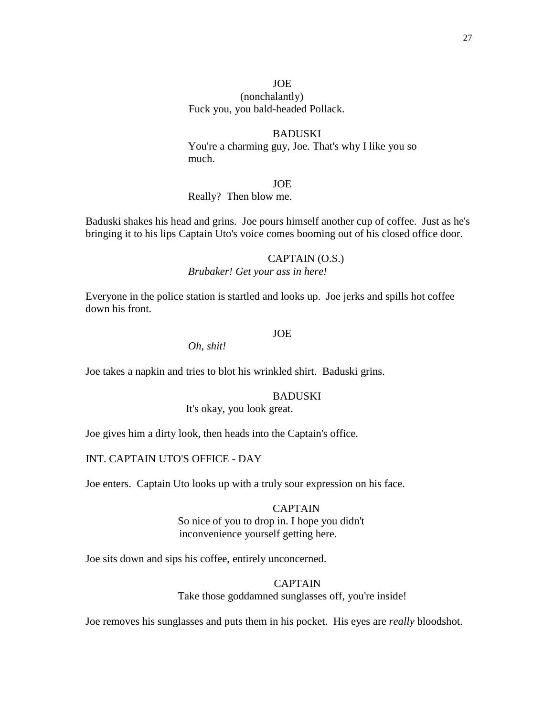## JOE (nonchalantly) Fuck you, you bald-headed Pollack.

### **BADUSKI**

 You're a charming guy, Joe. That's why I like you so much.

JOE

#### Really? Then blow me.

 Baduski shakes his head and grins. Joe pours himself another cup of coffee. Just as he's bringing it to his lips Captain Uto's voice comes booming out of his closed office door.

## CAPTAIN (O.S.)

*Brubaker! Get your ass in here!*

 Everyone in the police station is startled and looks up. Joe jerks and spills hot coffee down his front.

## JOE

*Oh, shit!*

Joe takes a napkin and tries to blot his wrinkled shirt. Baduski grins.

#### BADUSKI

It's okay, you look great.

Joe gives him a dirty look, then heads into the Captain's office.

## INT. CAPTAIN UTO'S OFFICE - DAY

Joe enters. Captain Uto looks up with a truly sour expression on his face.

## CAPTAIN So nice of you to drop in. I hope you didn't inconvenience yourself getting here.

Joe sits down and sips his coffee, entirely unconcerned.

## CAPTAIN

Take those goddamned sunglasses off, you're inside!

Joe removes his sunglasses and puts them in his pocket. His eyes are *really* bloodshot.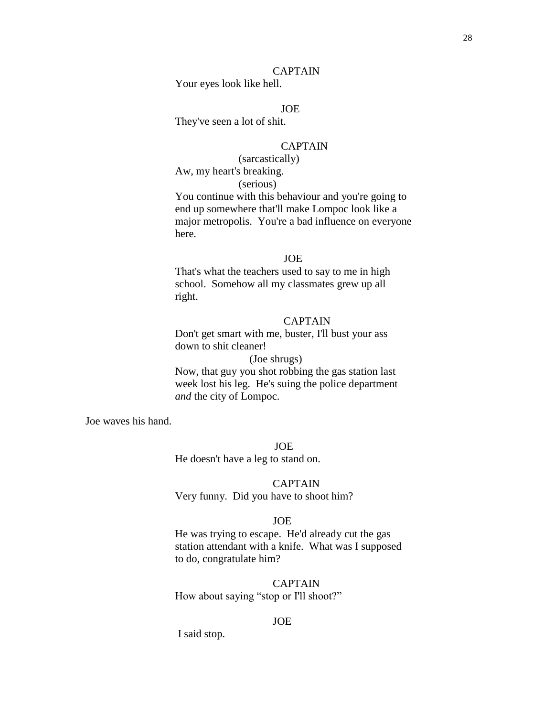## CAPTAIN

Your eyes look like hell.

## JOE

They've seen a lot of shit.

#### CAPTAIN

 (sarcastically) Aw, my heart's breaking. (serious)

You continue with this behaviour and you're going to end up somewhere that'll make Lompoc look like a major metropolis. You're a bad influence on everyone here.

### JOE

That's what the teachers used to say to me in high school. Somehow all my classmates grew up all right.

#### CAPTAIN

Don't get smart with me, buster, I'll bust your ass down to shit cleaner!

## (Joe shrugs)

Now, that guy you shot robbing the gas station last week lost his leg. He's suing the police department *and* the city of Lompoc.

JOE

Joe waves his hand.

He doesn't have a leg to stand on.

### CAPTAIN

Very funny. Did you have to shoot him?

#### JOE

 He was trying to escape. He'd already cut the gas station attendant with a knife. What was I supposed to do, congratulate him?

### CAPTAIN

How about saying "stop or I'll shoot?"

#### JOE

I said stop.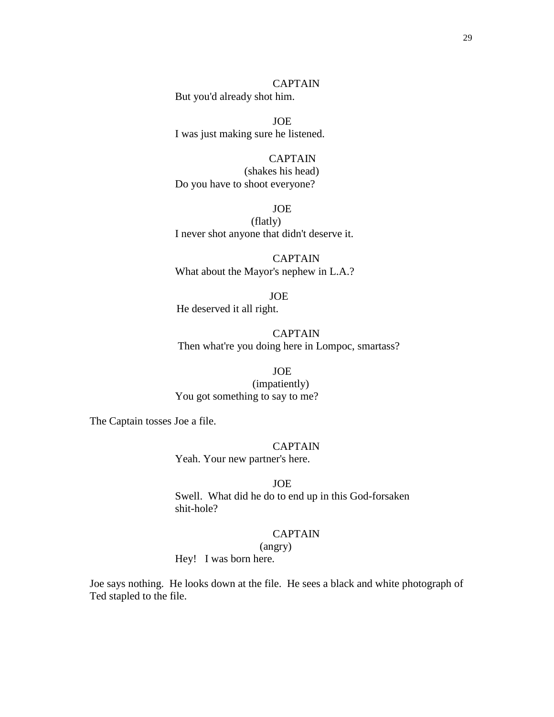29

CAPTAIN But you'd already shot him.

JOE I was just making sure he listened.

CAPTAIN (shakes his head) Do you have to shoot everyone?

JOE (flatly) I never shot anyone that didn't deserve it.

CAPTAIN What about the Mayor's nephew in L.A.?

 JOE He deserved it all right.

CAPTAIN Then what're you doing here in Lompoc, smartass?

JOE (impatiently) You got something to say to me?

The Captain tosses Joe a file.

### CAPTAIN

Yeah. Your new partner's here.

JOE

Swell. What did he do to end up in this God-forsaken shit-hole?

## CAPTAIN

(angry)

Hey! I was born here.

Joe says nothing. He looks down at the file. He sees a black and white photograph of Ted stapled to the file.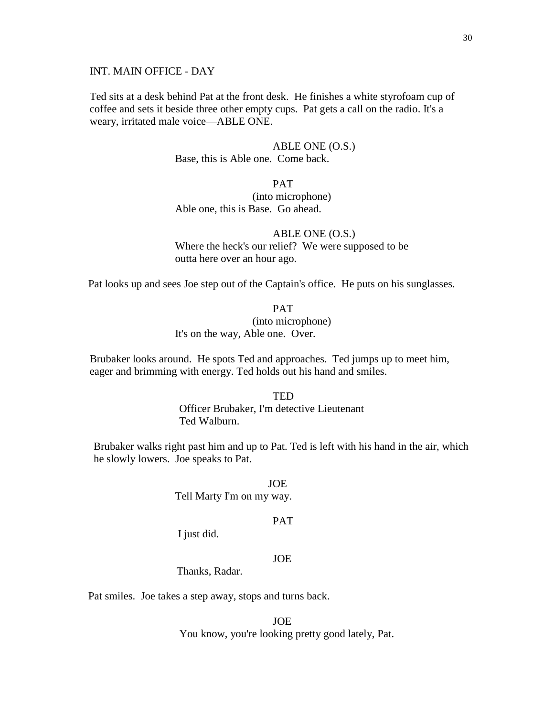### INT. MAIN OFFICE - DAY

Ted sits at a desk behind Pat at the front desk. He finishes a white styrofoam cup of coffee and sets it beside three other empty cups. Pat gets a call on the radio. It's a weary, irritated male voice—ABLE ONE.

> ABLE ONE (O.S.) Base, this is Able one. Come back.

PAT (into microphone) Able one, this is Base. Go ahead.

ABLE ONE (O.S.) Where the heck's our relief? We were supposed to be outta here over an hour ago.

Pat looks up and sees Joe step out of the Captain's office. He puts on his sunglasses.

PAT (into microphone) It's on the way, Able one. Over.

Brubaker looks around. He spots Ted and approaches. Ted jumps up to meet him, eager and brimming with energy. Ted holds out his hand and smiles.

> **TED** Officer Brubaker, I'm detective Lieutenant Ted Walburn.

 Brubaker walks right past him and up to Pat. Ted is left with his hand in the air, which he slowly lowers. Joe speaks to Pat.

> JOE Tell Marty I'm on my way.

#### PAT

I just did.

## JOE

Thanks, Radar.

Pat smiles. Joe takes a step away, stops and turns back.

JOE You know, you're looking pretty good lately, Pat.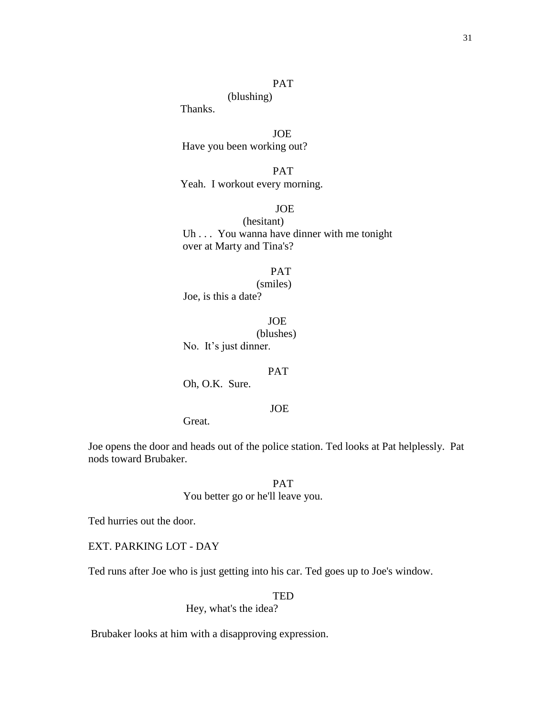## PAT

(blushing)

Thanks.

 JOE Have you been working out?

 PAT Yeah. I workout every morning.

## JOE

(hesitant) Uh . . . You wanna have dinner with me tonight over at Marty and Tina's?

PAT

 (smiles) Joe, is this a date?

JOE

(blushes)

No. It's just dinner.

#### PAT

Oh, O.K. Sure.

## JOE

Great.

 Joe opens the door and heads out of the police station. Ted looks at Pat helplessly. Pat nods toward Brubaker.

> PAT You better go or he'll leave you.

Ted hurries out the door.

EXT. PARKING LOT - DAY

Ted runs after Joe who is just getting into his car. Ted goes up to Joe's window.

TED

Hey, what's the idea?

Brubaker looks at him with a disapproving expression.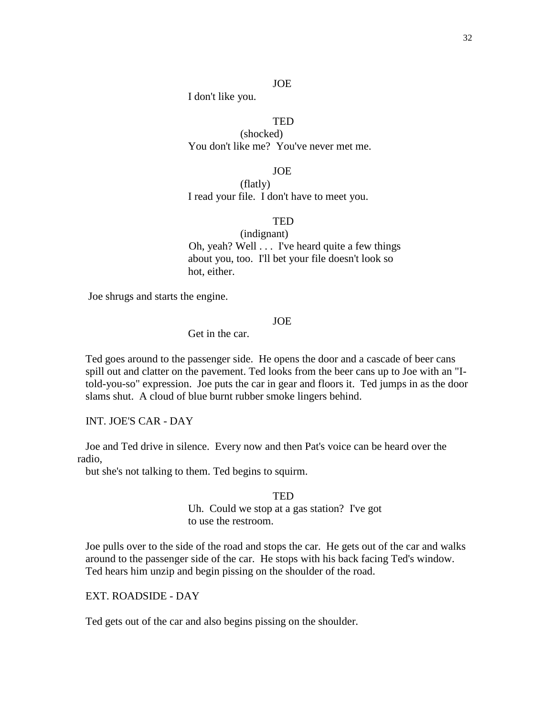### JOE

I don't like you.

## **TED**

(shocked) You don't like me? You've never met me.

JOE

(flatly) I read your file. I don't have to meet you.

#### **TED**

(indignant) Oh, yeah? Well . . . I've heard quite a few things about you, too. I'll bet your file doesn't look so hot, either.

Joe shrugs and starts the engine.

### JOE

Get in the car.

 Ted goes around to the passenger side. He opens the door and a cascade of beer cans spill out and clatter on the pavement. Ted looks from the beer cans up to Joe with an "I told-you-so" expression. Joe puts the car in gear and floors it. Ted jumps in as the door slams shut. A cloud of blue burnt rubber smoke lingers behind.

INT. JOE'S CAR - DAY

 Joe and Ted drive in silence. Every now and then Pat's voice can be heard over the radio,

but she's not talking to them. Ted begins to squirm.

#### **TED**

 Uh. Could we stop at a gas station? I've got to use the restroom.

Joe pulls over to the side of the road and stops the car. He gets out of the car and walks around to the passenger side of the car. He stops with his back facing Ted's window. Ted hears him unzip and begin pissing on the shoulder of the road.

EXT. ROADSIDE - DAY

Ted gets out of the car and also begins pissing on the shoulder.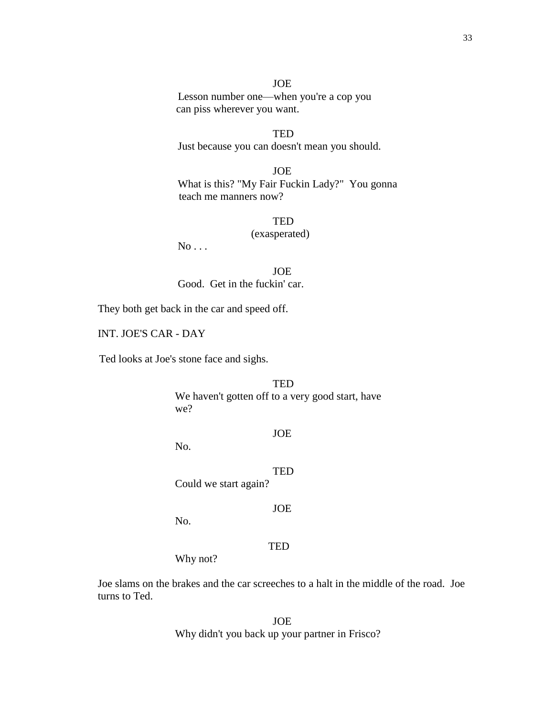JOE Lesson number one—when you're a cop you can piss wherever you want.

**TED** Just because you can doesn't mean you should.

JOE What is this? "My Fair Fuckin Lady?" You gonna teach me manners now?

> **TED** (exasperated)

 $No...$ 

JOE Good. Get in the fuckin' car.

They both get back in the car and speed off.

INT. JOE'S CAR - DAY

Ted looks at Joe's stone face and sighs.

TED We haven't gotten off to a very good start, have we?

JOE

No.

**TED** 

Could we start again?

JOE

No.

#### TED

Why not?

Joe slams on the brakes and the car screeches to a halt in the middle of the road. Joe turns to Ted.

> JOE Why didn't you back up your partner in Frisco?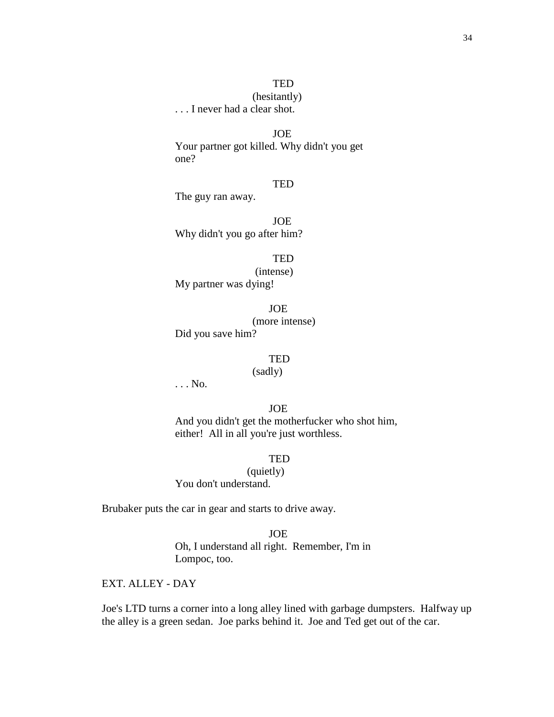## (hesitantly)

. . . I never had a clear shot.

## JOE

Your partner got killed. Why didn't you get one?

#### **TED**

The guy ran away.

JOE Why didn't you go after him?

> **TED** (intense)

My partner was dying!

JOE (more intense)

Did you save him?

#### TED

(sadly)

. . . No.

JOE

And you didn't get the motherfucker who shot him, either! All in all you're just worthless.

TED

(quietly) You don't understand.

Brubaker puts the car in gear and starts to drive away.

#### JOE

Oh, I understand all right. Remember, I'm in Lompoc, too.

EXT. ALLEY - DAY

 Joe's LTD turns a corner into a long alley lined with garbage dumpsters. Halfway up the alley is a green sedan. Joe parks behind it. Joe and Ted get out of the car.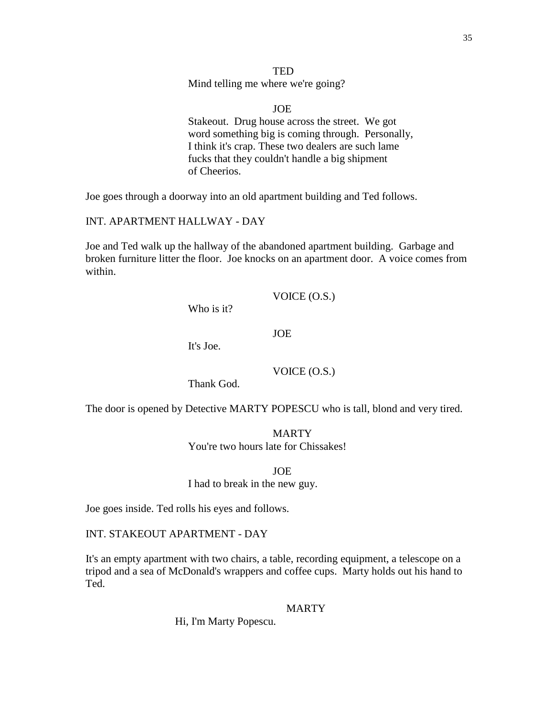**TED** Mind telling me where we're going?

JOE Stakeout. Drug house across the street. We got word something big is coming through. Personally, I think it's crap. These two dealers are such lame fucks that they couldn't handle a big shipment of Cheerios.

Joe goes through a doorway into an old apartment building and Ted follows.

INT. APARTMENT HALLWAY - DAY

 Joe and Ted walk up the hallway of the abandoned apartment building. Garbage and broken furniture litter the floor. Joe knocks on an apartment door. A voice comes from within.

Who is it?

JOE

It's Joe.

Thank God.

The door is opened by Detective MARTY POPESCU who is tall, blond and very tired.

MARTY You're two hours late for Chissakes!

JOE I had to break in the new guy.

Joe goes inside. Ted rolls his eyes and follows.

INT. STAKEOUT APARTMENT - DAY

 It's an empty apartment with two chairs, a table, recording equipment, a telescope on a tripod and a sea of McDonald's wrappers and coffee cups. Marty holds out his hand to Ted.

**MARTY** 

Hi, I'm Marty Popescu.

VOICE (O.S.)

VOICE (O.S.)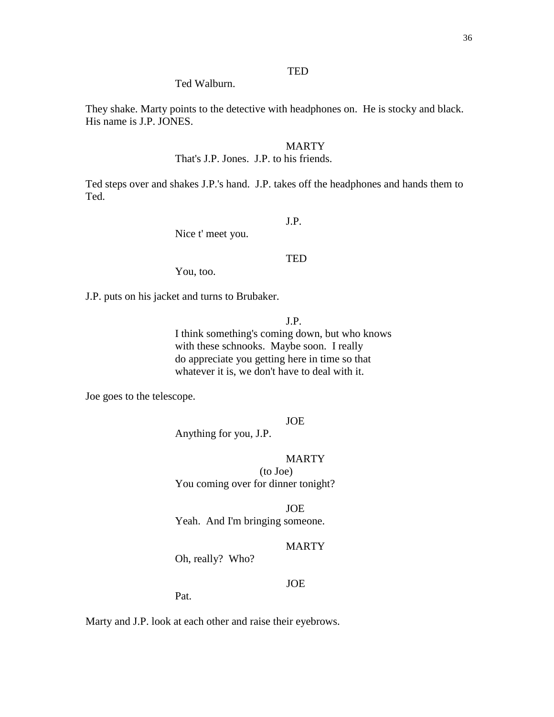Ted Walburn.

 They shake. Marty points to the detective with headphones on. He is stocky and black. His name is J.P. JONES.

#### MARTY

That's J.P. Jones. J.P. to his friends.

 Ted steps over and shakes J.P.'s hand. J.P. takes off the headphones and hands them to Ted.

J.P.

Nice t' meet you.

#### **TED**

You, too.

J.P. puts on his jacket and turns to Brubaker.

J.P.

I think something's coming down, but who knows with these schnooks. Maybe soon. I really do appreciate you getting here in time so that whatever it is, we don't have to deal with it.

Joe goes to the telescope.

JOE

Anything for you, J.P.

### **MARTY**

(to Joe) You coming over for dinner tonight?

JOE

Yeah. And I'm bringing someone.

#### MARTY

Oh, really? Who?

### JOE

Pat.

Marty and J.P. look at each other and raise their eyebrows.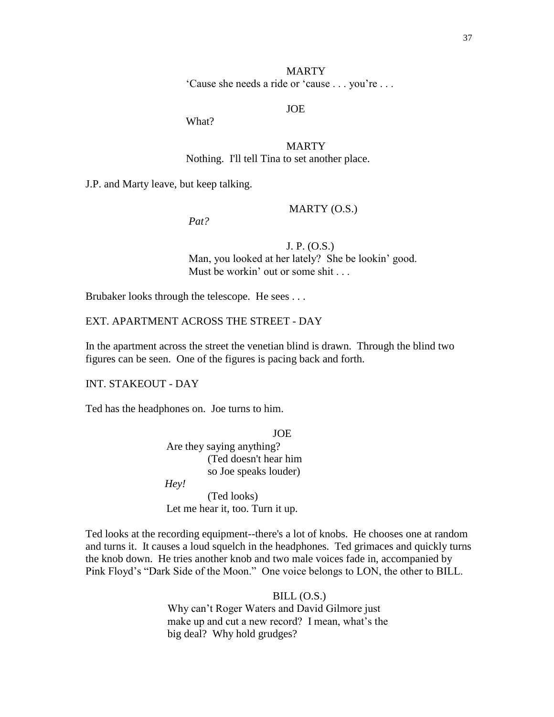# MARTY ‗Cause she needs a ride or ‗cause . . . you're . . .

# JOE

What?

 MARTY Nothing. I'll tell Tina to set another place.

J.P. and Marty leave, but keep talking.

*Pat?*

## MARTY (O.S.)

 J. P. (O.S.) Man, you looked at her lately? She be lookin' good. Must be workin' out or some shit . . .

Brubaker looks through the telescope. He sees . . .

EXT. APARTMENT ACROSS THE STREET - DAY

 In the apartment across the street the venetian blind is drawn. Through the blind two figures can be seen. One of the figures is pacing back and forth.

INT. STAKEOUT - DAY

Ted has the headphones on. Joe turns to him.

JOE Are they saying anything? (Ted doesn't hear him so Joe speaks louder) *Hey!*

(Ted looks) Let me hear it, too. Turn it up.

 Ted looks at the recording equipment--there's a lot of knobs. He chooses one at random and turns it. It causes a loud squelch in the headphones. Ted grimaces and quickly turns the knob down. He tries another knob and two male voices fade in, accompanied by Pink Floyd's "Dark Side of the Moon." One voice belongs to LON, the other to BILL.

> $BILL (O.S.)$  Why can't Roger Waters and David Gilmore just make up and cut a new record? I mean, what's the big deal? Why hold grudges?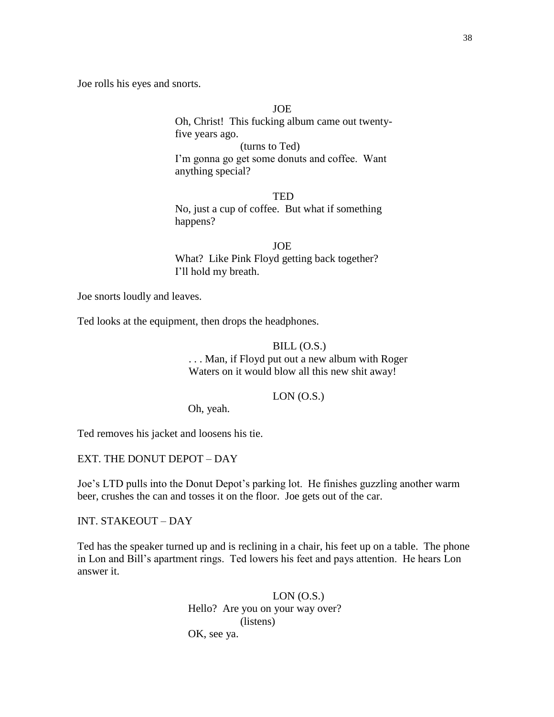Joe rolls his eyes and snorts.

## JOE

Oh, Christ! This fucking album came out twentyfive years ago.

(turns to Ted)

I'm gonna go get some donuts and coffee. Want anything special?

## **TED**

No, just a cup of coffee. But what if something happens?

JOE What? Like Pink Floyd getting back together? I'll hold my breath.

Joe snorts loudly and leaves.

Ted looks at the equipment, then drops the headphones.

#### $BILL (O.S.)$

 . . . Man, if Floyd put out a new album with Roger Waters on it would blow all this new shit away!

 $LON(0.S.)$ 

Oh, yeah.

Ted removes his jacket and loosens his tie.

EXT. THE DONUT DEPOT – DAY

Joe's LTD pulls into the Donut Depot's parking lot. He finishes guzzling another warm beer, crushes the can and tosses it on the floor. Joe gets out of the car.

INT. STAKEOUT – DAY

Ted has the speaker turned up and is reclining in a chair, his feet up on a table. The phone in Lon and Bill's apartment rings. Ted lowers his feet and pays attention. He hears Lon answer it.

> LON (O.S.) Hello? Are you on your way over? (listens) OK, see ya.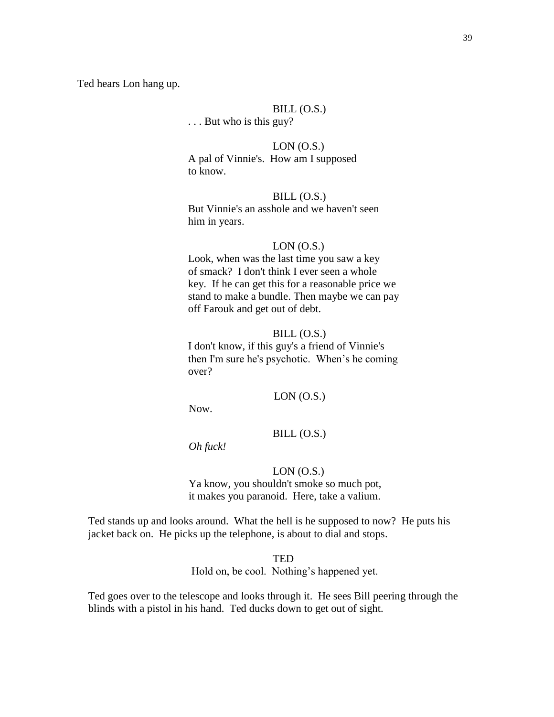Ted hears Lon hang up.

# $BILL (O.S.)$

. . . But who is this guy?

 $LON(0.S.)$ A pal of Vinnie's. How am I supposed to know.

 $BILL (O.S.)$ But Vinnie's an asshole and we haven't seen him in years.

#### $LON$  (O.S.)

Look, when was the last time you saw a key of smack? I don't think I ever seen a whole key. If he can get this for a reasonable price we stand to make a bundle. Then maybe we can pay off Farouk and get out of debt.

#### $BILL (O.S.)$

I don't know, if this guy's a friend of Vinnie's then I'm sure he's psychotic. When's he coming over?

#### $LON$  (O.S.)

Now.

BILL (O.S.)

*Oh fuck!*

# LON (O.S.)

 Ya know, you shouldn't smoke so much pot, it makes you paranoid. Here, take a valium.

 Ted stands up and looks around. What the hell is he supposed to now? He puts his jacket back on. He picks up the telephone, is about to dial and stops.

**TED** 

Hold on, be cool. Nothing's happened yet.

 Ted goes over to the telescope and looks through it. He sees Bill peering through the blinds with a pistol in his hand. Ted ducks down to get out of sight.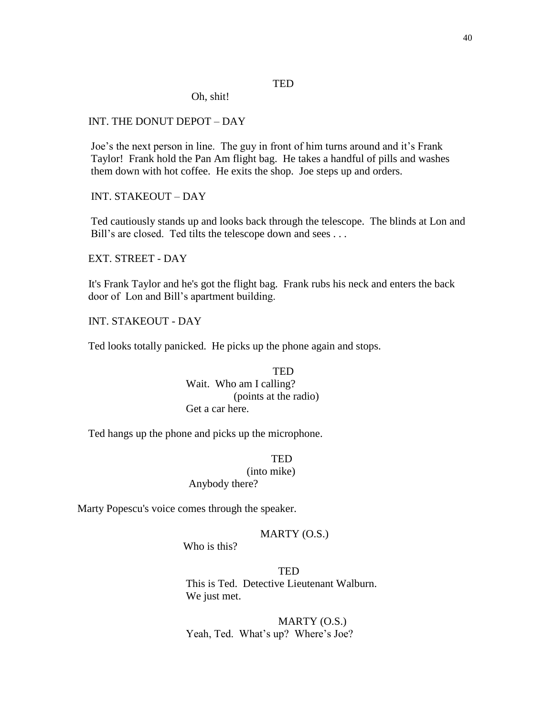# **TED**

Oh, shit!

# INT. THE DONUT DEPOT – DAY

 Joe's the next person in line. The guy in front of him turns around and it's Frank Taylor! Frank hold the Pan Am flight bag. He takes a handful of pills and washes them down with hot coffee. He exits the shop. Joe steps up and orders.

INT. STAKEOUT – DAY

 Ted cautiously stands up and looks back through the telescope. The blinds at Lon and Bill's are closed. Ted tilts the telescope down and sees . . .

EXT. STREET - DAY

 It's Frank Taylor and he's got the flight bag. Frank rubs his neck and enters the back door of Lon and Bill's apartment building.

INT. STAKEOUT - DAY

Ted looks totally panicked. He picks up the phone again and stops.

TED Wait. Who am I calling? (points at the radio) Get a car here.

Ted hangs up the phone and picks up the microphone.

**TED**  (into mike) Anybody there?

Marty Popescu's voice comes through the speaker.

## MARTY (O.S.)

Who is this?

 TED This is Ted. Detective Lieutenant Walburn. We just met.

> MARTY (O.S.) Yeah, Ted. What's up? Where's Joe?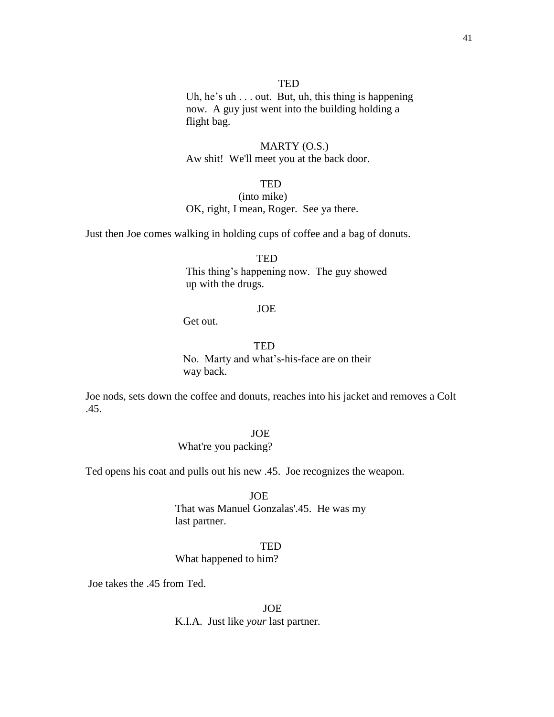# TED

Uh, he's uh . . . out. But, uh, this thing is happening now. A guy just went into the building holding a flight bag.

# MARTY (O.S.) Aw shit! We'll meet you at the back door.

# **TED**

# (into mike) OK, right, I mean, Roger. See ya there.

Just then Joe comes walking in holding cups of coffee and a bag of donuts.

**TED** 

 This thing's happening now. The guy showed up with the drugs.

#### JOE

Get out.

# **TED**

 No. Marty and what's-his-face are on their way back.

 Joe nods, sets down the coffee and donuts, reaches into his jacket and removes a Colt .45.

JOE

What're you packing?

Ted opens his coat and pulls out his new .45. Joe recognizes the weapon.

JOE

That was Manuel Gonzalas'.45. He was my last partner.

TED

What happened to him?

Joe takes the .45 from Ted.

 JOE K.I.A. Just like *your* last partner.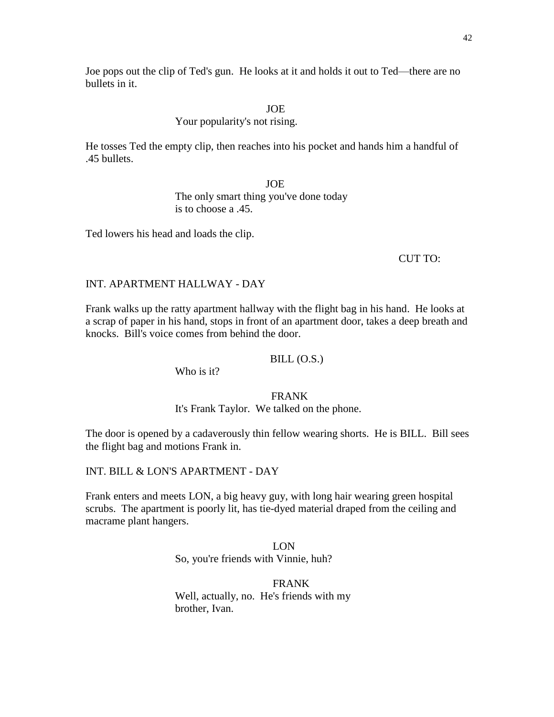# Your popularity's not rising.

 He tosses Ted the empty clip, then reaches into his pocket and hands him a handful of .45 bullets.

> JOE The only smart thing you've done today is to choose a .45.

Ted lowers his head and loads the clip.

CUT TO:

# INT. APARTMENT HALLWAY - DAY

 Frank walks up the ratty apartment hallway with the flight bag in his hand. He looks at a scrap of paper in his hand, stops in front of an apartment door, takes a deep breath and knocks. Bill's voice comes from behind the door.

## $BILL (O.S.)$

Who is it?

## FRANK

It's Frank Taylor. We talked on the phone.

 The door is opened by a cadaverously thin fellow wearing shorts. He is BILL. Bill sees the flight bag and motions Frank in.

INT. BILL & LON'S APARTMENT - DAY

 Frank enters and meets LON, a big heavy guy, with long hair wearing green hospital scrubs. The apartment is poorly lit, has tie-dyed material draped from the ceiling and macrame plant hangers.

> LON So, you're friends with Vinnie, huh?

FRANK Well, actually, no. He's friends with my brother, Ivan.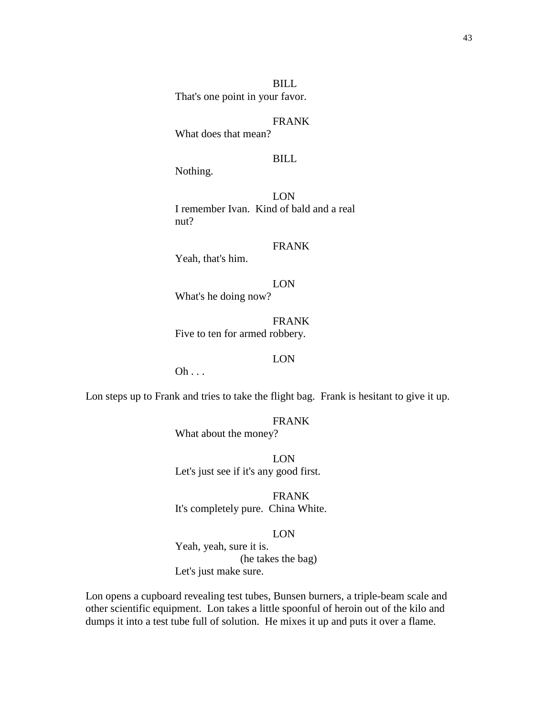BILL That's one point in your favor.

FRANK

What does that mean?

## BILL

Nothing.

LON I remember Ivan. Kind of bald and a real nut?

## FRANK

Yeah, that's him.

LON What's he doing now?

FRANK Five to ten for armed robbery.

# LON

 $Oh \ldots$ 

Lon steps up to Frank and tries to take the flight bag. Frank is hesitant to give it up.

FRANK

What about the money?

 LON Let's just see if it's any good first.

> FRANK It's completely pure. China White.

#### LON

Yeah, yeah, sure it is. (he takes the bag) Let's just make sure.

 Lon opens a cupboard revealing test tubes, Bunsen burners, a triple-beam scale and other scientific equipment. Lon takes a little spoonful of heroin out of the kilo and dumps it into a test tube full of solution. He mixes it up and puts it over a flame.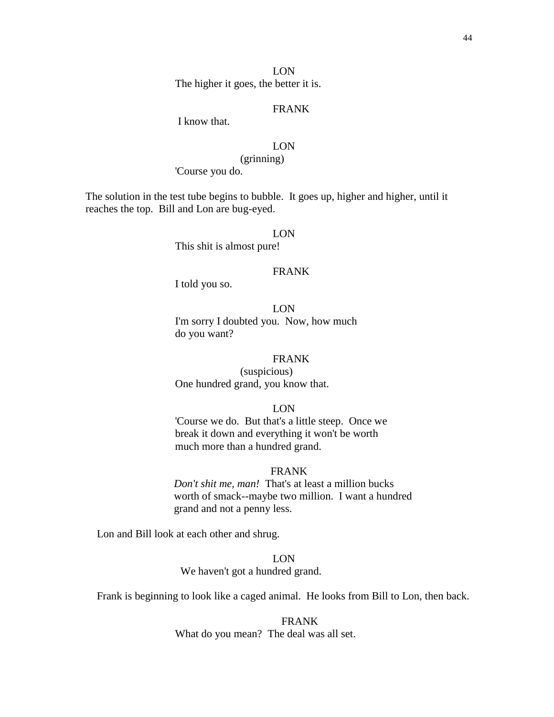LON The higher it goes, the better it is.

# FRANK

I know that.

# LON

(grinning)

'Course you do.

 The solution in the test tube begins to bubble. It goes up, higher and higher, until it reaches the top. Bill and Lon are bug-eyed.

# LON

This shit is almost pure!

# FRANK

I told you so.

LON I'm sorry I doubted you. Now, how much do you want?

## FRANK

(suspicious) One hundred grand, you know that.

LON

'Course we do. But that's a little steep. Once we break it down and everything it won't be worth much more than a hundred grand.

## FRANK

 *Don't shit me, man!* That's at least a million bucks worth of smack--maybe two million. I want a hundred grand and not a penny less.

Lon and Bill look at each other and shrug.

# LON

We haven't got a hundred grand.

Frank is beginning to look like a caged animal. He looks from Bill to Lon, then back.

 FRANK What do you mean? The deal was all set.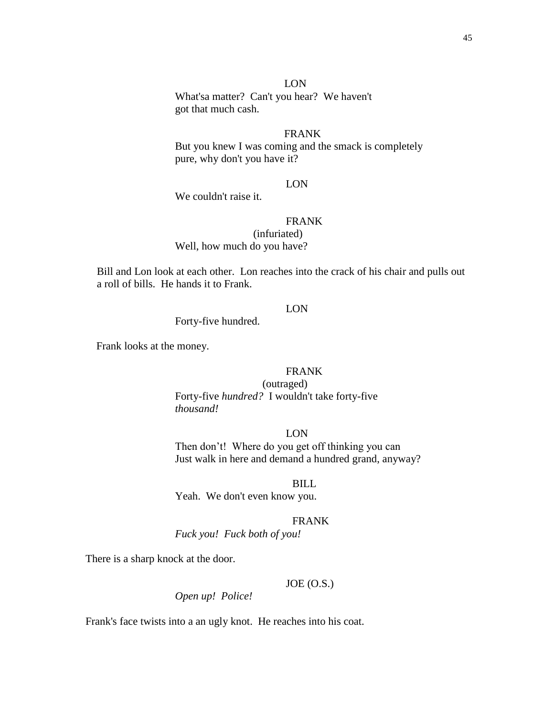45

## LON

What'sa matter? Can't you hear? We haven't got that much cash.

# FRANK

But you knew I was coming and the smack is completely pure, why don't you have it?

# LON

We couldn't raise it.

# FRANK

(infuriated) Well, how much do you have?

Bill and Lon look at each other. Lon reaches into the crack of his chair and pulls out a roll of bills. He hands it to Frank.

# LON

Forty-five hundred.

Frank looks at the money.

#### FRANK

(outraged) Forty-five *hundred?* I wouldn't take forty-five *thousand!*

LON

Then don't! Where do you get off thinking you can Just walk in here and demand a hundred grand, anyway?

BILL

Yeah. We don't even know you.

#### FRANK

*Fuck you! Fuck both of you!*

There is a sharp knock at the door.

# $JOE (O.S.)$

*Open up! Police!*

Frank's face twists into a an ugly knot. He reaches into his coat.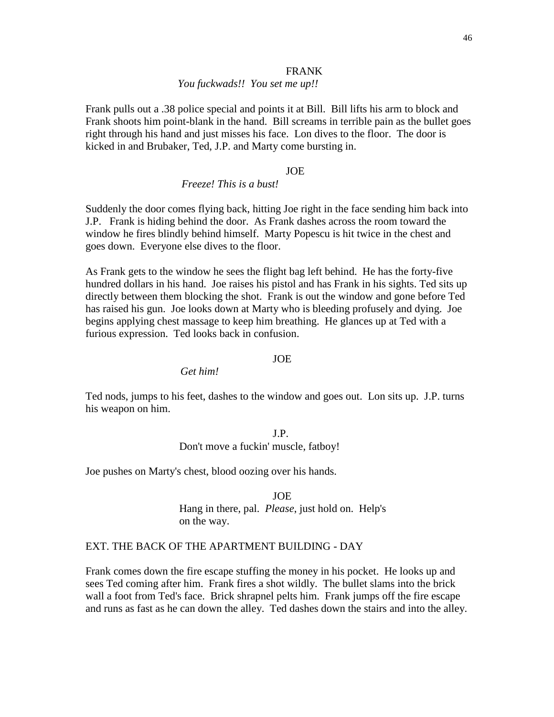#### FRANK

# *You fuckwads!! You set me up!!*

 Frank pulls out a .38 police special and points it at Bill. Bill lifts his arm to block and Frank shoots him point-blank in the hand. Bill screams in terrible pain as the bullet goes right through his hand and just misses his face. Lon dives to the floor. The door is kicked in and Brubaker, Ted, J.P. and Marty come bursting in.

#### JOE

# *Freeze! This is a bust!*

 Suddenly the door comes flying back, hitting Joe right in the face sending him back into J.P. Frank is hiding behind the door. As Frank dashes across the room toward the window he fires blindly behind himself. Marty Popescu is hit twice in the chest and goes down. Everyone else dives to the floor.

 As Frank gets to the window he sees the flight bag left behind. He has the forty-five hundred dollars in his hand. Joe raises his pistol and has Frank in his sights. Ted sits up directly between them blocking the shot. Frank is out the window and gone before Ted has raised his gun. Joe looks down at Marty who is bleeding profusely and dying. Joe begins applying chest massage to keep him breathing. He glances up at Ted with a furious expression. Ted looks back in confusion.

#### JOE

*Get him!*

 Ted nods, jumps to his feet, dashes to the window and goes out. Lon sits up. J.P. turns his weapon on him.

> J.P. Don't move a fuckin' muscle, fatboy!

Joe pushes on Marty's chest, blood oozing over his hands.

JOE Hang in there, pal. *Please*, just hold on. Help's on the way.

#### EXT. THE BACK OF THE APARTMENT BUILDING - DAY

 Frank comes down the fire escape stuffing the money in his pocket. He looks up and sees Ted coming after him. Frank fires a shot wildly. The bullet slams into the brick wall a foot from Ted's face. Brick shrapnel pelts him. Frank jumps off the fire escape and runs as fast as he can down the alley. Ted dashes down the stairs and into the alley.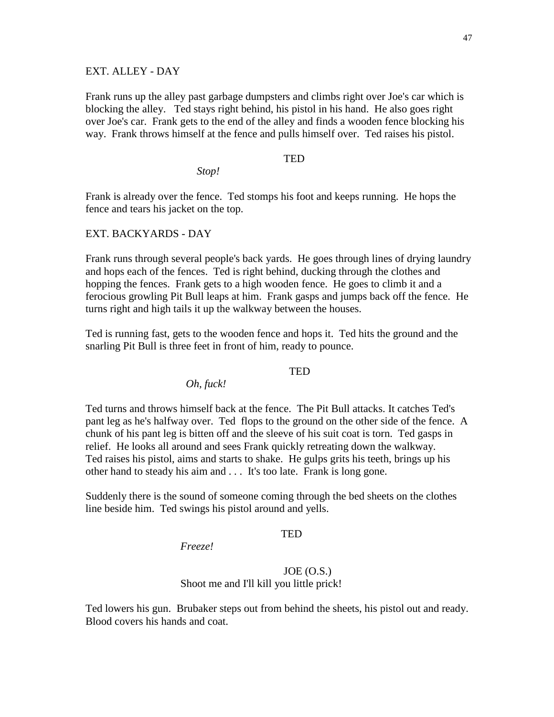### EXT. ALLEY - DAY

 Frank runs up the alley past garbage dumpsters and climbs right over Joe's car which is blocking the alley. Ted stays right behind, his pistol in his hand. He also goes right over Joe's car. Frank gets to the end of the alley and finds a wooden fence blocking his way. Frank throws himself at the fence and pulls himself over. Ted raises his pistol.

# TED

*Stop!*

 Frank is already over the fence. Ted stomps his foot and keeps running. He hops the fence and tears his jacket on the top.

#### EXT. BACKYARDS - DAY

 Frank runs through several people's back yards. He goes through lines of drying laundry and hops each of the fences. Ted is right behind, ducking through the clothes and hopping the fences. Frank gets to a high wooden fence. He goes to climb it and a ferocious growling Pit Bull leaps at him. Frank gasps and jumps back off the fence. He turns right and high tails it up the walkway between the houses.

 Ted is running fast, gets to the wooden fence and hops it. Ted hits the ground and the snarling Pit Bull is three feet in front of him, ready to pounce.

# TED

*Oh, fuck!*

 Ted turns and throws himself back at the fence. The Pit Bull attacks. It catches Ted's pant leg as he's halfway over. Ted flops to the ground on the other side of the fence. A chunk of his pant leg is bitten off and the sleeve of his suit coat is torn. Ted gasps in relief. He looks all around and sees Frank quickly retreating down the walkway. Ted raises his pistol, aims and starts to shake. He gulps grits his teeth, brings up his other hand to steady his aim and . . . It's too late. Frank is long gone.

 Suddenly there is the sound of someone coming through the bed sheets on the clothes line beside him. Ted swings his pistol around and yells.

## TED

*Freeze!*

#### $JOE (O.S.)$ Shoot me and I'll kill you little prick!

 Ted lowers his gun. Brubaker steps out from behind the sheets, his pistol out and ready. Blood covers his hands and coat.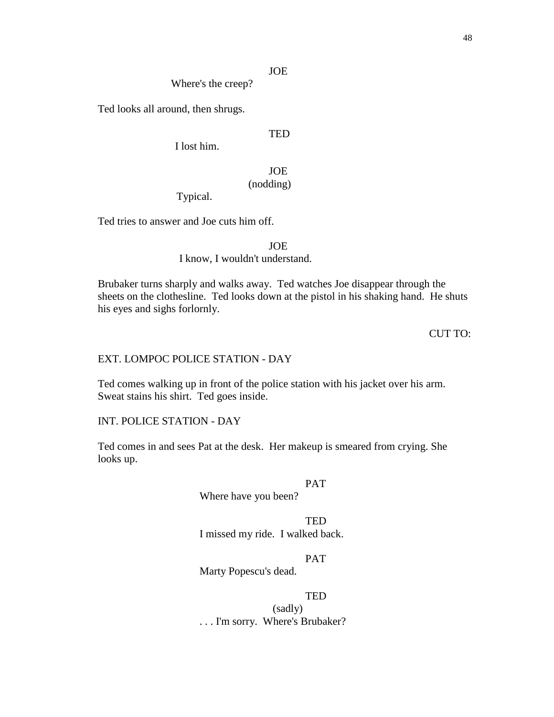Where's the creep?

Ted looks all around, then shrugs.

# TED

I lost him.

# JOE (nodding)

Typical.

Ted tries to answer and Joe cuts him off.

# JOE I know, I wouldn't understand.

Brubaker turns sharply and walks away. Ted watches Joe disappear through the sheets on the clothesline. Ted looks down at the pistol in his shaking hand. He shuts his eyes and sighs forlornly.

# CUT TO:

## EXT. LOMPOC POLICE STATION - DAY

Ted comes walking up in front of the police station with his jacket over his arm. Sweat stains his shirt. Ted goes inside.

#### INT. POLICE STATION - DAY

Ted comes in and sees Pat at the desk. Her makeup is smeared from crying. She looks up.

# PAT

Where have you been?

**TED** I missed my ride. I walked back.

# PAT

Marty Popescu's dead.

#### **TED**

(sadly) . . . I'm sorry. Where's Brubaker?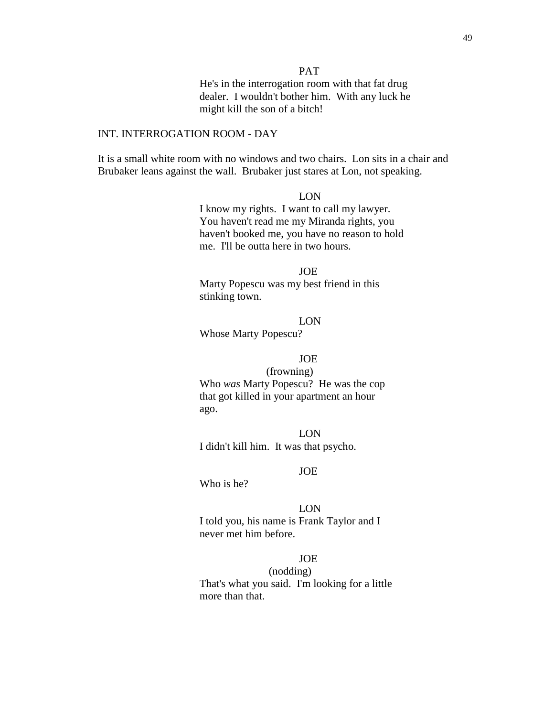PAT

He's in the interrogation room with that fat drug dealer. I wouldn't bother him. With any luck he might kill the son of a bitch!

## INT. INTERROGATION ROOM - DAY

It is a small white room with no windows and two chairs. Lon sits in a chair and Brubaker leans against the wall. Brubaker just stares at Lon, not speaking.

## LON

I know my rights. I want to call my lawyer. You haven't read me my Miranda rights, you haven't booked me, you have no reason to hold me. I'll be outta here in two hours.

JOE Marty Popescu was my best friend in this stinking town.

LON

Whose Marty Popescu?

# JOE

(frowning) Who *was* Marty Popescu? He was the cop that got killed in your apartment an hour ago.

LON I didn't kill him. It was that psycho.

#### JOE

Who is he?

LON I told you, his name is Frank Taylor and I never met him before.

# JOE

(nodding) That's what you said. I'm looking for a little more than that.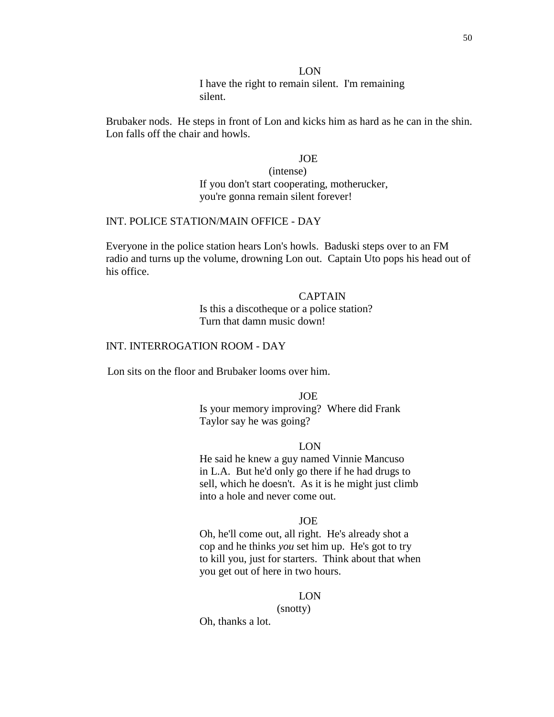#### LON

I have the right to remain silent. I'm remaining silent.

Brubaker nods. He steps in front of Lon and kicks him as hard as he can in the shin. Lon falls off the chair and howls.

#### JOE

(intense) If you don't start cooperating, motherucker, you're gonna remain silent forever!

# INT. POLICE STATION/MAIN OFFICE - DAY

Everyone in the police station hears Lon's howls. Baduski steps over to an FM radio and turns up the volume, drowning Lon out. Captain Uto pops his head out of his office.

> CAPTAIN Is this a discotheque or a police station? Turn that damn music down!

# INT. INTERROGATION ROOM - DAY

Lon sits on the floor and Brubaker looms over him.

JOE Is your memory improving? Where did Frank Taylor say he was going?

#### LON

He said he knew a guy named Vinnie Mancuso in L.A. But he'd only go there if he had drugs to sell, which he doesn't. As it is he might just climb into a hole and never come out.

#### JOE

Oh, he'll come out, all right. He's already shot a cop and he thinks *you* set him up. He's got to try to kill you, just for starters. Think about that when you get out of here in two hours.

#### LON

(snotty)

Oh, thanks a lot.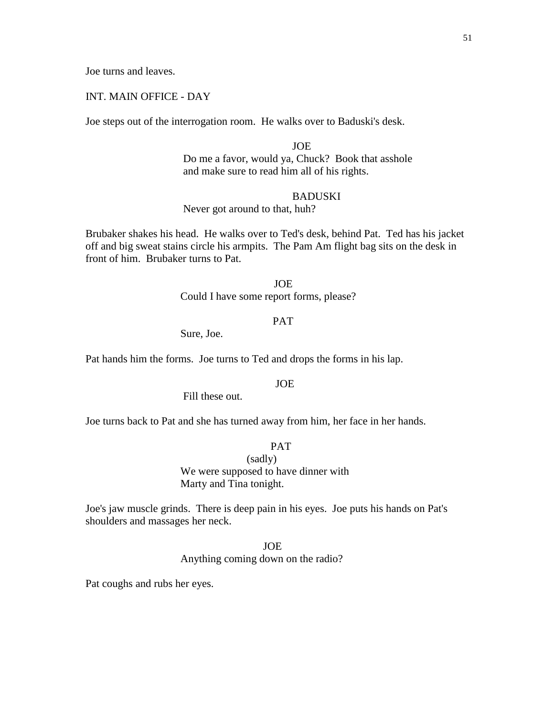Joe turns and leaves.

# INT. MAIN OFFICE - DAY

Joe steps out of the interrogation room. He walks over to Baduski's desk.

JOE Do me a favor, would ya, Chuck? Book that asshole and make sure to read him all of his rights.

# **BADUSKI**

Never got around to that, huh?

 Brubaker shakes his head. He walks over to Ted's desk, behind Pat. Ted has his jacket off and big sweat stains circle his armpits. The Pam Am flight bag sits on the desk in front of him. Brubaker turns to Pat.

JOE

Could I have some report forms, please?

# PAT

Sure, Joe.

Pat hands him the forms. Joe turns to Ted and drops the forms in his lap.

# JOE

Fill these out.

Joe turns back to Pat and she has turned away from him, her face in her hands.

#### PAT

(sadly) We were supposed to have dinner with Marty and Tina tonight.

 Joe's jaw muscle grinds. There is deep pain in his eyes. Joe puts his hands on Pat's shoulders and massages her neck.

JOE

Anything coming down on the radio?

Pat coughs and rubs her eyes.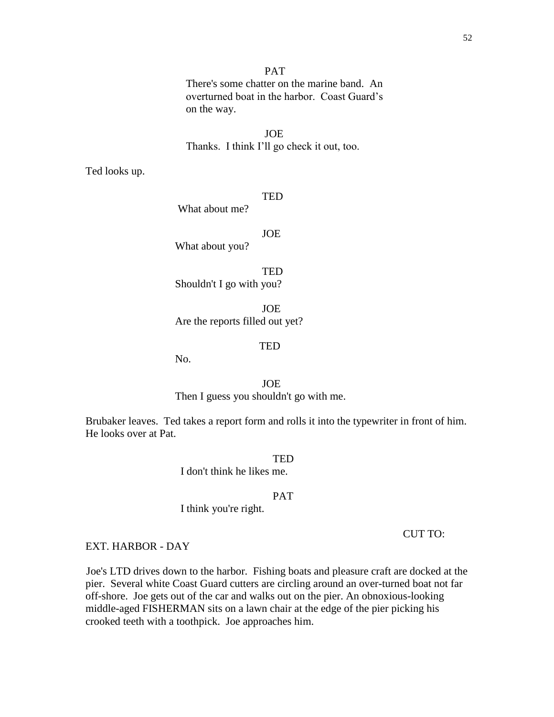# PAT

 There's some chatter on the marine band. An overturned boat in the harbor. Coast Guard's on the way.

 JOE Thanks. I think I'll go check it out, too.

Ted looks up.

#### **TED**

What about me?

JOE

What about you?

**TED** Shouldn't I go with you?

 JOE Are the reports filled out yet?

#### **TED**

No.

# JOE

Then I guess you shouldn't go with me.

 Brubaker leaves. Ted takes a report form and rolls it into the typewriter in front of him. He looks over at Pat.

**TED** 

I don't think he likes me.

## PAT

I think you're right.

## CUT TO:

#### EXT. HARBOR - DAY

 Joe's LTD drives down to the harbor. Fishing boats and pleasure craft are docked at the pier. Several white Coast Guard cutters are circling around an over-turned boat not far off-shore. Joe gets out of the car and walks out on the pier. An obnoxious-looking middle-aged FISHERMAN sits on a lawn chair at the edge of the pier picking his crooked teeth with a toothpick. Joe approaches him.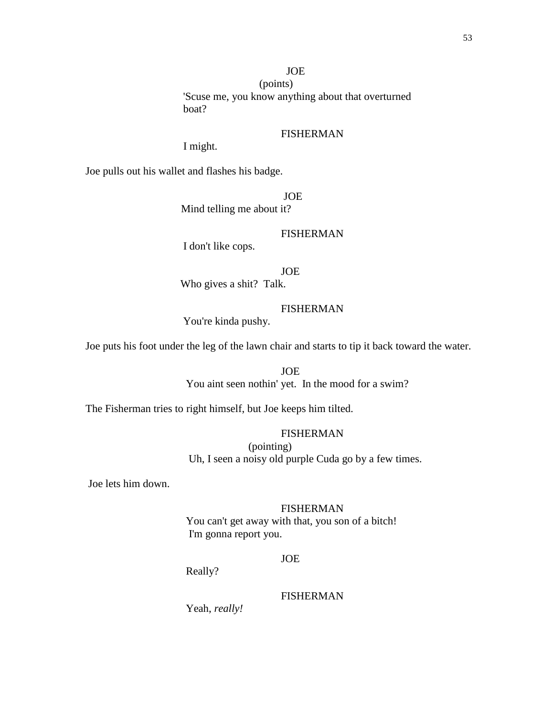(points) 'Scuse me, you know anything about that overturned boat?

# FISHERMAN

I might.

Joe pulls out his wallet and flashes his badge.

**JOE** Mind telling me about it?

# FISHERMAN

I don't like cops.

JOE

Who gives a shit? Talk.

# FISHERMAN

You're kinda pushy.

Joe puts his foot under the leg of the lawn chair and starts to tip it back toward the water.

 JOE You aint seen nothin' yet. In the mood for a swim?

The Fisherman tries to right himself, but Joe keeps him tilted.

# FISHERMAN

 (pointing) Uh, I seen a noisy old purple Cuda go by a few times.

Joe lets him down.

# FISHERMAN

 You can't get away with that, you son of a bitch! I'm gonna report you.

# JOE

Really?

# FISHERMAN

Yeah, *really!*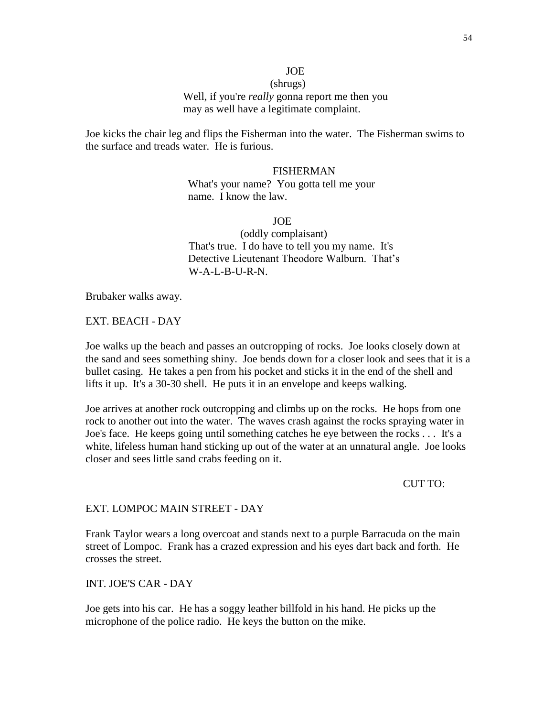(shrugs) Well, if you're *really* gonna report me then you may as well have a legitimate complaint.

 Joe kicks the chair leg and flips the Fisherman into the water. The Fisherman swims to the surface and treads water. He is furious.

> FISHERMAN What's your name? You gotta tell me your name. I know the law.

> > **JOE**

 (oddly complaisant) That's true. I do have to tell you my name. It's Detective Lieutenant Theodore Walburn. That's  $W-A-I$ -B-U-R-N.

Brubaker walks away.

EXT. BEACH - DAY

 Joe walks up the beach and passes an outcropping of rocks. Joe looks closely down at the sand and sees something shiny. Joe bends down for a closer look and sees that it is a bullet casing. He takes a pen from his pocket and sticks it in the end of the shell and lifts it up. It's a 30-30 shell. He puts it in an envelope and keeps walking.

 Joe arrives at another rock outcropping and climbs up on the rocks. He hops from one rock to another out into the water. The waves crash against the rocks spraying water in Joe's face. He keeps going until something catches he eye between the rocks . . . It's a white, lifeless human hand sticking up out of the water at an unnatural angle. Joe looks closer and sees little sand crabs feeding on it.

CUT TO:

## EXT. LOMPOC MAIN STREET - DAY

 Frank Taylor wears a long overcoat and stands next to a purple Barracuda on the main street of Lompoc. Frank has a crazed expression and his eyes dart back and forth. He crosses the street.

INT. JOE'S CAR - DAY

 Joe gets into his car. He has a soggy leather billfold in his hand. He picks up the microphone of the police radio. He keys the button on the mike.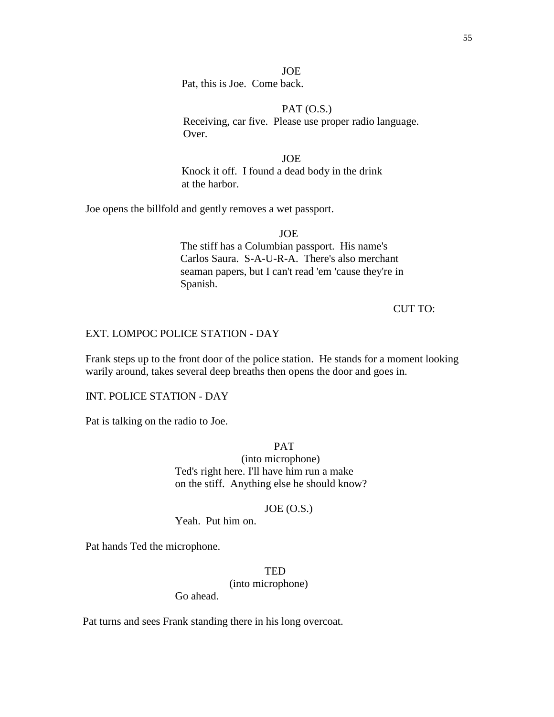Pat, this is Joe. Come back.

## $PAT (O.S.)$

 Receiving, car five. Please use proper radio language. Over.

JOE

Knock it off. I found a dead body in the drink at the harbor.

Joe opens the billfold and gently removes a wet passport.

JOE

 The stiff has a Columbian passport. His name's Carlos Saura. S-A-U-R-A. There's also merchant seaman papers, but I can't read 'em 'cause they're in Spanish.

# CUT TO:

# EXT. LOMPOC POLICE STATION - DAY

 Frank steps up to the front door of the police station. He stands for a moment looking warily around, takes several deep breaths then opens the door and goes in.

#### INT. POLICE STATION - DAY

Pat is talking on the radio to Joe.

PAT

 (into microphone) Ted's right here. I'll have him run a make on the stiff. Anything else he should know?

# JOE (O.S.)

Yeah. Put him on.

Pat hands Ted the microphone.

# **TED**

(into microphone)

Go ahead.

Pat turns and sees Frank standing there in his long overcoat.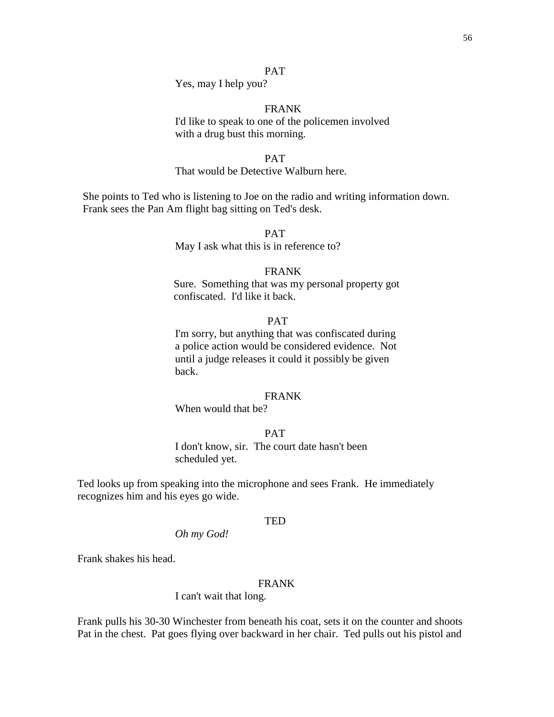# PAT

Yes, may I help you?

# FRANK

I'd like to speak to one of the policemen involved with a drug bust this morning.

## PAT

## That would be Detective Walburn here.

 She points to Ted who is listening to Joe on the radio and writing information down. Frank sees the Pan Am flight bag sitting on Ted's desk.

> PAT May I ask what this is in reference to?

# FRANK

Sure. Something that was my personal property got confiscated. I'd like it back.

## PAT

I'm sorry, but anything that was confiscated during a police action would be considered evidence. Not until a judge releases it could it possibly be given back.

## FRANK

When would that be?

# PAT

I don't know, sir. The court date hasn't been scheduled yet.

Ted looks up from speaking into the microphone and sees Frank. He immediately recognizes him and his eyes go wide.

#### **TED**

*Oh my God!*

Frank shakes his head.

#### FRANK

I can't wait that long.

Frank pulls his 30-30 Winchester from beneath his coat, sets it on the counter and shoots Pat in the chest. Pat goes flying over backward in her chair. Ted pulls out his pistol and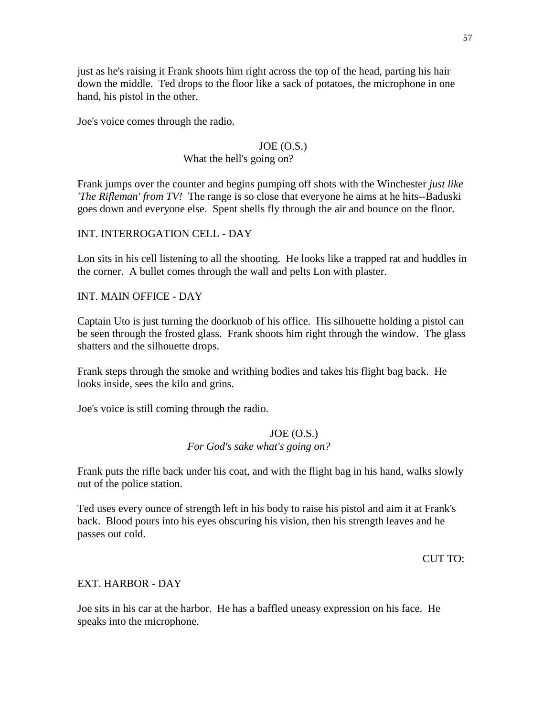just as he's raising it Frank shoots him right across the top of the head, parting his hair down the middle. Ted drops to the floor like a sack of potatoes, the microphone in one hand, his pistol in the other.

Joe's voice comes through the radio.

# $JOE (O.S.)$

# What the hell's going on?

Frank jumps over the counter and begins pumping off shots with the Winchester *just like 'The Rifleman' from TV!* The range is so close that everyone he aims at he hits--Baduski goes down and everyone else. Spent shells fly through the air and bounce on the floor.

INT. INTERROGATION CELL - DAY

Lon sits in his cell listening to all the shooting. He looks like a trapped rat and huddles in the corner. A bullet comes through the wall and pelts Lon with plaster.

INT. MAIN OFFICE - DAY

Captain Uto is just turning the doorknob of his office. His silhouette holding a pistol can be seen through the frosted glass. Frank shoots him right through the window. The glass shatters and the silhouette drops.

Frank steps through the smoke and writhing bodies and takes his flight bag back. He looks inside, sees the kilo and grins.

Joe's voice is still coming through the radio.

# $JOE (O.S.)$ *For God's sake what's going on?*

Frank puts the rifle back under his coat, and with the flight bag in his hand, walks slowly out of the police station.

Ted uses every ounce of strength left in his body to raise his pistol and aim it at Frank's back. Blood pours into his eyes obscuring his vision, then his strength leaves and he passes out cold.

CUT TO:

# EXT. HARBOR - DAY

Joe sits in his car at the harbor. He has a baffled uneasy expression on his face. He speaks into the microphone.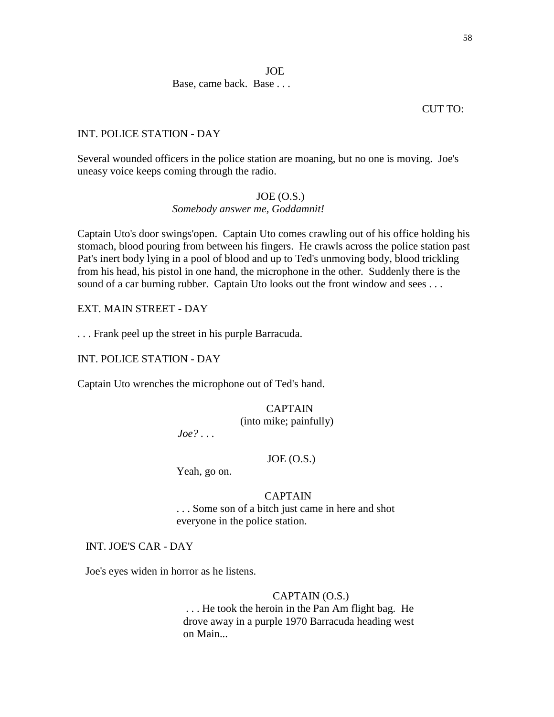Base, came back. Base . . .

# CUT TO:

# INT. POLICE STATION - DAY

Several wounded officers in the police station are moaning, but no one is moving. Joe's uneasy voice keeps coming through the radio.

# $JOE (O.S.)$

# *Somebody answer me, Goddamnit!*

Captain Uto's door swings'open. Captain Uto comes crawling out of his office holding his stomach, blood pouring from between his fingers. He crawls across the police station past Pat's inert body lying in a pool of blood and up to Ted's unmoving body, blood trickling from his head, his pistol in one hand, the microphone in the other. Suddenly there is the sound of a car burning rubber. Captain Uto looks out the front window and sees ...

EXT. MAIN STREET - DAY

. . . Frank peel up the street in his purple Barracuda.

# INT. POLICE STATION - DAY

Captain Uto wrenches the microphone out of Ted's hand.

# CAPTAIN

(into mike; painfully)

 *Joe? . . .*

# $JOE (O.S.)$

Yeah, go on.

# CAPTAIN

 . . . Some son of a bitch just came in here and shot everyone in the police station.

# INT. JOE'S CAR - DAY

Joe's eyes widen in horror as he listens.

# CAPTAIN (O.S.)

 . . . He took the heroin in the Pan Am flight bag. He drove away in a purple 1970 Barracuda heading west on Main...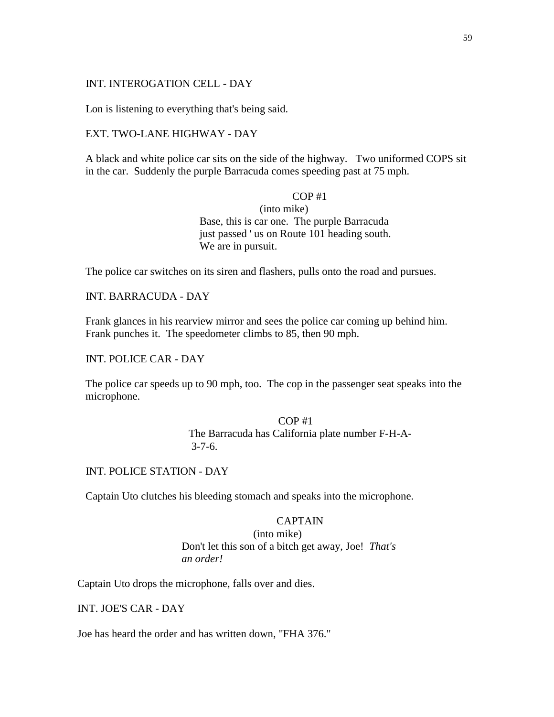# INT. INTEROGATION CELL - DAY

Lon is listening to everything that's being said.

## EXT. TWO-LANE HIGHWAY - DAY

 A black and white police car sits on the side of the highway. Two uniformed COPS sit in the car. Suddenly the purple Barracuda comes speeding past at 75 mph.

# $COP#1$

(into mike) Base, this is car one. The purple Barracuda just passed ' us on Route 101 heading south. We are in pursuit.

The police car switches on its siren and flashers, pulls onto the road and pursues.

INT. BARRACUDA - DAY

 Frank glances in his rearview mirror and sees the police car coming up behind him. Frank punches it. The speedometer climbs to 85, then 90 mph.

# INT. POLICE CAR - DAY

 The police car speeds up to 90 mph, too. The cop in the passenger seat speaks into the microphone.

# COP #1 The Barracuda has California plate number F-H-A-  $3 - 7 - 6$ .

INT. POLICE STATION - DAY

Captain Uto clutches his bleeding stomach and speaks into the microphone.

#### CAPTAIN

(into mike) Don't let this son of a bitch get away, Joe! *That's an order!*

Captain Uto drops the microphone, falls over and dies.

INT. JOE'S CAR - DAY

Joe has heard the order and has written down, "FHA 376."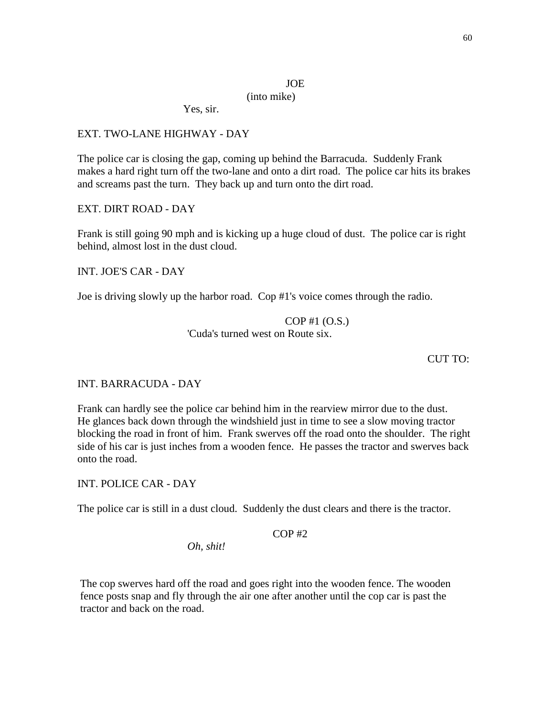# (into mike)

Yes, sir.

# EXT. TWO-LANE HIGHWAY - DAY

The police car is closing the gap, coming up behind the Barracuda. Suddenly Frank makes a hard right turn off the two-lane and onto a dirt road. The police car hits its brakes and screams past the turn. They back up and turn onto the dirt road.

EXT. DIRT ROAD - DAY

Frank is still going 90 mph and is kicking up a huge cloud of dust. The police car is right behind, almost lost in the dust cloud.

INT. JOE'S CAR - DAY

Joe is driving slowly up the harbor road. Cop #1's voice comes through the radio.

COP #1 (O.S.) 'Cuda's turned west on Route six.

CUT TO:

# INT. BARRACUDA - DAY

Frank can hardly see the police car behind him in the rearview mirror due to the dust. He glances back down through the windshield just in time to see a slow moving tractor blocking the road in front of him. Frank swerves off the road onto the shoulder. The right side of his car is just inches from a wooden fence. He passes the tractor and swerves back onto the road.

INT. POLICE CAR - DAY

The police car is still in a dust cloud. Suddenly the dust clears and there is the tractor.

 $COP$ #2

*Oh, shit!*

The cop swerves hard off the road and goes right into the wooden fence. The wooden fence posts snap and fly through the air one after another until the cop car is past the tractor and back on the road.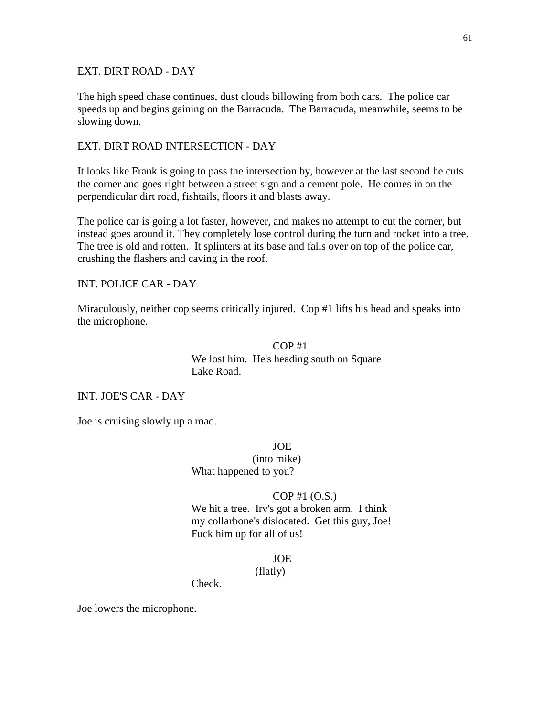# EXT. DIRT ROAD - DAY

The high speed chase continues, dust clouds billowing from both cars. The police car speeds up and begins gaining on the Barracuda. The Barracuda, meanwhile, seems to be slowing down.

## EXT. DIRT ROAD INTERSECTION - DAY

It looks like Frank is going to pass the intersection by, however at the last second he cuts the corner and goes right between a street sign and a cement pole. He comes in on the perpendicular dirt road, fishtails, floors it and blasts away.

The police car is going a lot faster, however, and makes no attempt to cut the corner, but instead goes around it. They completely lose control during the turn and rocket into a tree. The tree is old and rotten. It splinters at its base and falls over on top of the police car, crushing the flashers and caving in the roof.

INT. POLICE CAR - DAY

Miraculously, neither cop seems critically injured. Cop #1 lifts his head and speaks into the microphone.

# $COP#1$ We lost him. He's heading south on Square Lake Road.

INT. JOE'S CAR - DAY

Joe is cruising slowly up a road.

JOE

(into mike) What happened to you?

## COP #1 (O.S.)

We hit a tree. Irv's got a broken arm. I think my collarbone's dislocated. Get this guy, Joe! Fuck him up for all of us!

## JOE

(flatly)

Check.

Joe lowers the microphone.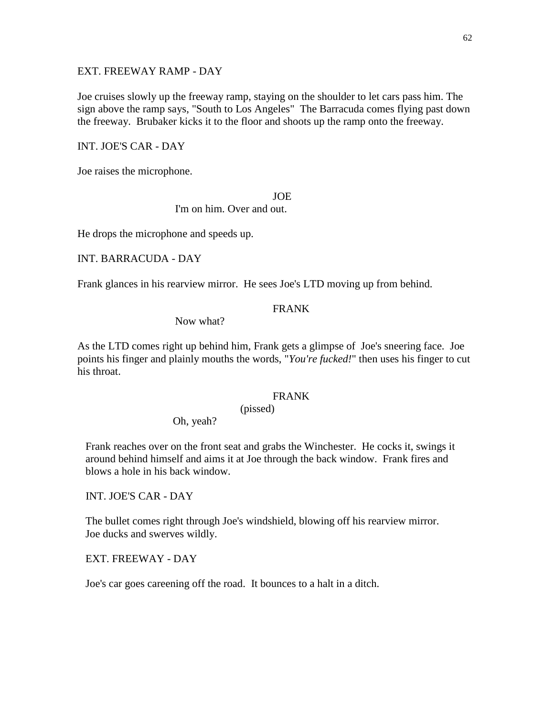# EXT. FREEWAY RAMP - DAY

Joe cruises slowly up the freeway ramp, staying on the shoulder to let cars pass him. The sign above the ramp says, "South to Los Angeles" The Barracuda comes flying past down the freeway. Brubaker kicks it to the floor and shoots up the ramp onto the freeway.

## INT. JOE'S CAR - DAY

Joe raises the microphone.

## **JOE**

I'm on him. Over and out.

He drops the microphone and speeds up.

INT. BARRACUDA - DAY

Frank glances in his rearview mirror. He sees Joe's LTD moving up from behind.

# FRANK

Now what?

As the LTD comes right up behind him, Frank gets a glimpse of Joe's sneering face. Joe points his finger and plainly mouths the words, "*You're fucked!*" then uses his finger to cut his throat.

## FRANK

Oh, yeah?

 Frank reaches over on the front seat and grabs the Winchester. He cocks it, swings it around behind himself and aims it at Joe through the back window. Frank fires and blows a hole in his back window.

(pissed)

INT. JOE'S CAR - DAY

 The bullet comes right through Joe's windshield, blowing off his rearview mirror. Joe ducks and swerves wildly.

EXT. FREEWAY - DAY

Joe's car goes careening off the road. It bounces to a halt in a ditch.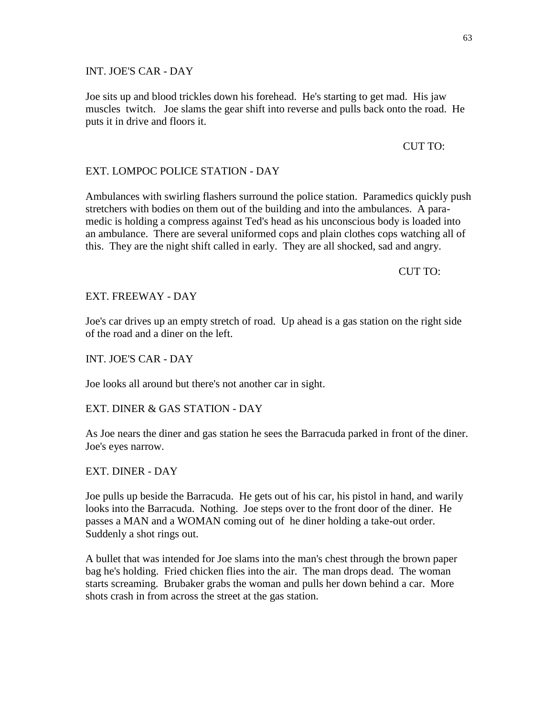INT. JOE'S CAR - DAY

 Joe sits up and blood trickles down his forehead. He's starting to get mad. His jaw muscles twitch. Joe slams the gear shift into reverse and pulls back onto the road. He puts it in drive and floors it.

## CUT TO:

# EXT. LOMPOC POLICE STATION - DAY

 Ambulances with swirling flashers surround the police station. Paramedics quickly push stretchers with bodies on them out of the building and into the ambulances. A para medic is holding a compress against Ted's head as his unconscious body is loaded into an ambulance. There are several uniformed cops and plain clothes cops watching all of this. They are the night shift called in early. They are all shocked, sad and angry.

CUT TO:

# EXT. FREEWAY - DAY

 Joe's car drives up an empty stretch of road. Up ahead is a gas station on the right side of the road and a diner on the left.

INT. JOE'S CAR - DAY

Joe looks all around but there's not another car in sight.

# EXT. DINER & GAS STATION - DAY

 As Joe nears the diner and gas station he sees the Barracuda parked in front of the diner. Joe's eyes narrow.

# EXT. DINER - DAY

 Joe pulls up beside the Barracuda. He gets out of his car, his pistol in hand, and warily looks into the Barracuda. Nothing. Joe steps over to the front door of the diner. He passes a MAN and a WOMAN coming out of he diner holding a take-out order. Suddenly a shot rings out.

 A bullet that was intended for Joe slams into the man's chest through the brown paper bag he's holding. Fried chicken flies into the air. The man drops dead. The woman starts screaming. Brubaker grabs the woman and pulls her down behind a car. More shots crash in from across the street at the gas station.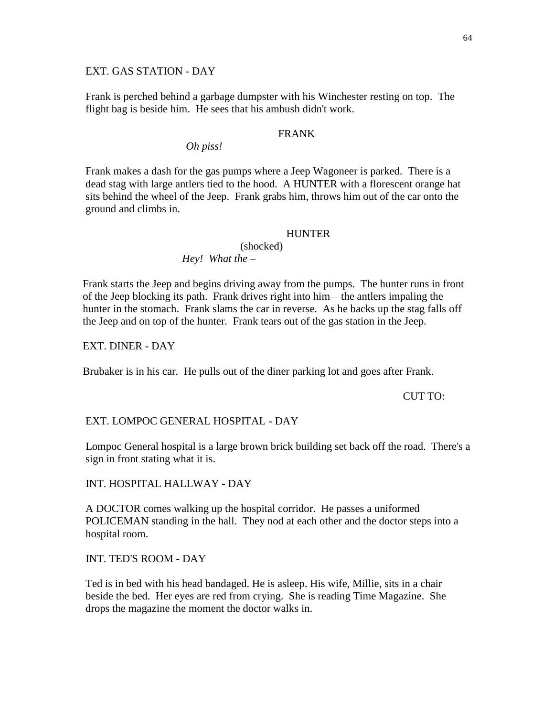## EXT. GAS STATION - DAY

 Frank is perched behind a garbage dumpster with his Winchester resting on top. The flight bag is beside him. He sees that his ambush didn't work.

# FRANK

# *Oh piss!*

 Frank makes a dash for the gas pumps where a Jeep Wagoneer is parked. There is a dead stag with large antlers tied to the hood. A HUNTER with a florescent orange hat sits behind the wheel of the Jeep. Frank grabs him, throws him out of the car onto the ground and climbs in.

## **HUNTER**

(shocked)

*Hey! What the –*

 Frank starts the Jeep and begins driving away from the pumps. The hunter runs in front of the Jeep blocking its path. Frank drives right into him—the antlers impaling the hunter in the stomach. Frank slams the car in reverse. As he backs up the stag falls off the Jeep and on top of the hunter. Frank tears out of the gas station in the Jeep.

EXT. DINER - DAY

Brubaker is in his car. He pulls out of the diner parking lot and goes after Frank.

CUT TO:

# EXT. LOMPOC GENERAL HOSPITAL - DAY

 Lompoc General hospital is a large brown brick building set back off the road. There's a sign in front stating what it is.

INT. HOSPITAL HALLWAY - DAY

 A DOCTOR comes walking up the hospital corridor. He passes a uniformed POLICEMAN standing in the hall. They nod at each other and the doctor steps into a hospital room.

INT. TED'S ROOM - DAY

 Ted is in bed with his head bandaged. He is asleep. His wife, Millie, sits in a chair beside the bed. Her eyes are red from crying. She is reading Time Magazine. She drops the magazine the moment the doctor walks in.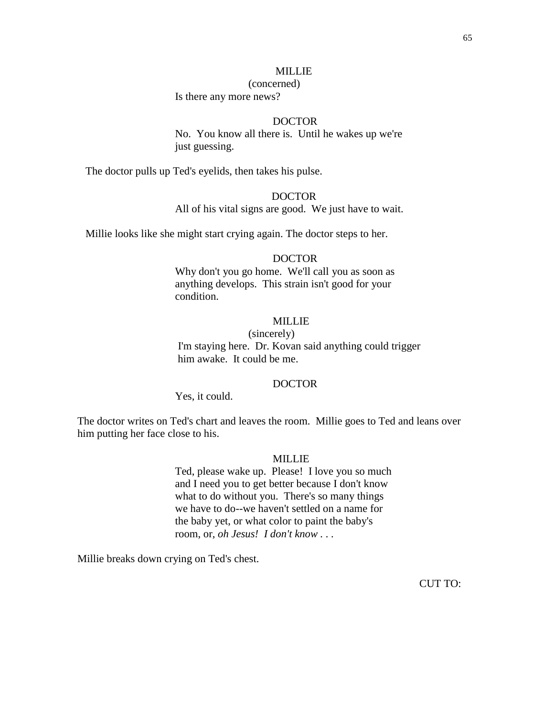#### MILLIE

#### (concerned)

Is there any more news?

# DOCTOR

No. You know all there is. Until he wakes up we're just guessing.

The doctor pulls up Ted's eyelids, then takes his pulse.

# DOCTOR

All of his vital signs are good. We just have to wait.

Millie looks like she might start crying again. The doctor steps to her.

## DOCTOR

Why don't you go home. We'll call you as soon as anything develops. This strain isn't good for your condition.

# MILLIE.

(sincerely) I'm staying here. Dr. Kovan said anything could trigger him awake. It could be me.

## DOCTOR

Yes, it could.

The doctor writes on Ted's chart and leaves the room. Millie goes to Ted and leans over him putting her face close to his.

## MILLIE

Ted, please wake up. Please! I love you so much and I need you to get better because I don't know what to do without you. There's so many things we have to do--we haven't settled on a name for the baby yet, or what color to paint the baby's room, or, *oh Jesus! I don't know . . .*

Millie breaks down crying on Ted's chest.

CUT TO: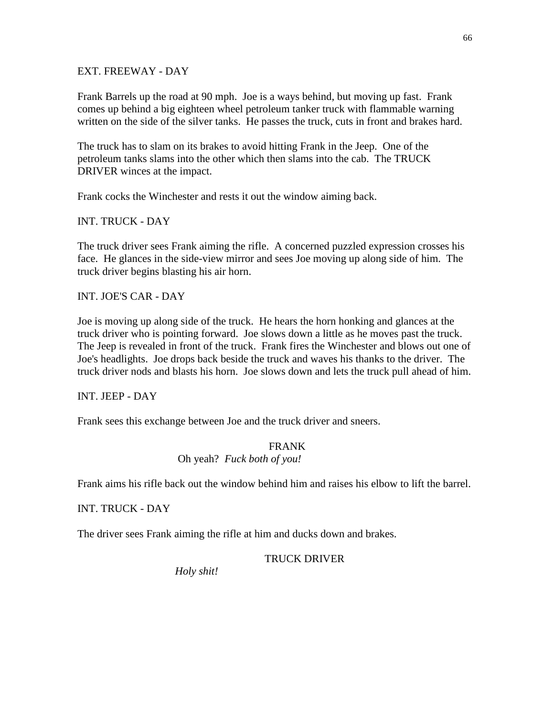# EXT. FREEWAY - DAY

Frank Barrels up the road at 90 mph. Joe is a ways behind, but moving up fast. Frank comes up behind a big eighteen wheel petroleum tanker truck with flammable warning written on the side of the silver tanks. He passes the truck, cuts in front and brakes hard.

The truck has to slam on its brakes to avoid hitting Frank in the Jeep. One of the petroleum tanks slams into the other which then slams into the cab. The TRUCK DRIVER winces at the impact.

Frank cocks the Winchester and rests it out the window aiming back.

INT. TRUCK - DAY

The truck driver sees Frank aiming the rifle. A concerned puzzled expression crosses his face. He glances in the side-view mirror and sees Joe moving up along side of him. The truck driver begins blasting his air horn.

INT. JOE'S CAR - DAY

Joe is moving up along side of the truck. He hears the horn honking and glances at the truck driver who is pointing forward. Joe slows down a little as he moves past the truck. The Jeep is revealed in front of the truck. Frank fires the Winchester and blows out one of Joe's headlights. Joe drops back beside the truck and waves his thanks to the driver. The truck driver nods and blasts his horn. Joe slows down and lets the truck pull ahead of him.

INT. JEEP - DAY

Frank sees this exchange between Joe and the truck driver and sneers.

# FRANK Oh yeah? *Fuck both of you!*

Frank aims his rifle back out the window behind him and raises his elbow to lift the barrel.

INT. TRUCK - DAY

The driver sees Frank aiming the rifle at him and ducks down and brakes.

# TRUCK DRIVER

*Holy shit!*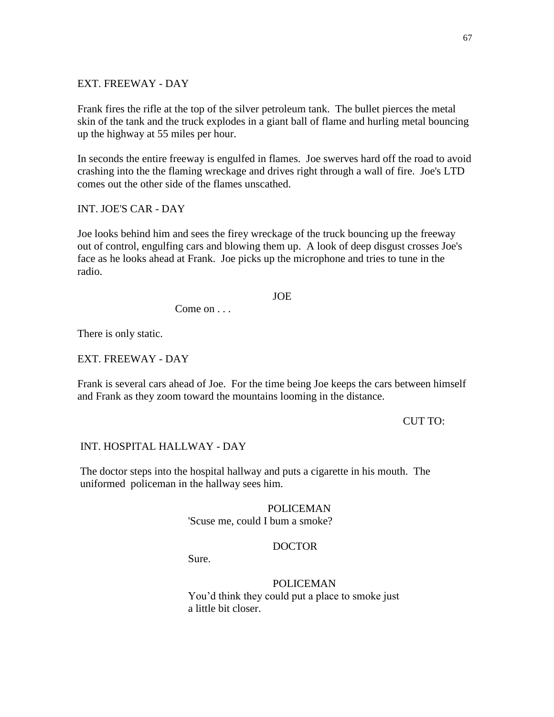## EXT. FREEWAY - DAY

Frank fires the rifle at the top of the silver petroleum tank. The bullet pierces the metal skin of the tank and the truck explodes in a giant ball of flame and hurling metal bouncing up the highway at 55 miles per hour.

In seconds the entire freeway is engulfed in flames. Joe swerves hard off the road to avoid crashing into the the flaming wreckage and drives right through a wall of fire. Joe's LTD comes out the other side of the flames unscathed.

INT. JOE'S CAR - DAY

Joe looks behind him and sees the firey wreckage of the truck bouncing up the freeway out of control, engulfing cars and blowing them up. A look of deep disgust crosses Joe's face as he looks ahead at Frank. Joe picks up the microphone and tries to tune in the radio.

#### JOE

Come on . . .

There is only static.

EXT. FREEWAY - DAY

Frank is several cars ahead of Joe. For the time being Joe keeps the cars between himself and Frank as they zoom toward the mountains looming in the distance.

#### CUT TO:

#### INT. HOSPITAL HALLWAY - DAY

The doctor steps into the hospital hallway and puts a cigarette in his mouth. The uniformed policeman in the hallway sees him.

# POLICEMAN

'Scuse me, could I bum a smoke?

# DOCTOR

Sure.

POLICEMAN You'd think they could put a place to smoke just a little bit closer.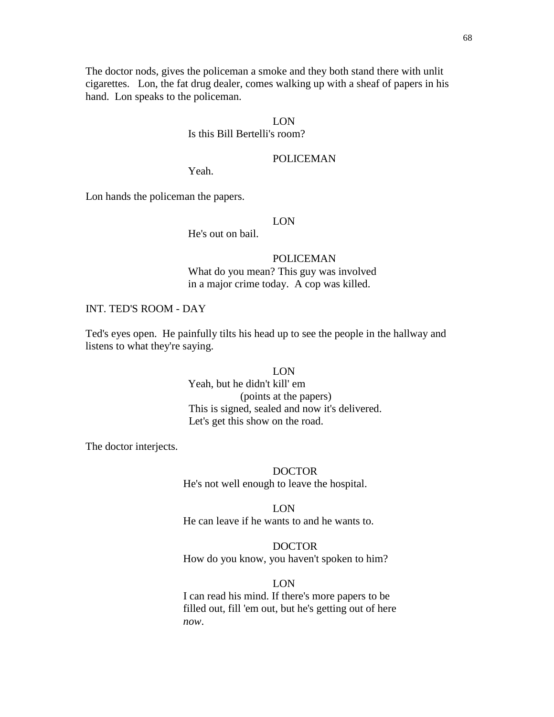The doctor nods, gives the policeman a smoke and they both stand there with unlit cigarettes. Lon, the fat drug dealer, comes walking up with a sheaf of papers in his hand. Lon speaks to the policeman.

# LON

## Is this Bill Bertelli's room?

# POLICEMAN

Yeah.

Lon hands the policeman the papers.

#### LON

He's out on bail.

# POLICEMAN What do you mean? This guy was involved in a major crime today. A cop was killed.

## INT. TED'S ROOM - DAY

 Ted's eyes open. He painfully tilts his head up to see the people in the hallway and listens to what they're saying.

> LON Yeah, but he didn't kill' em (points at the papers) This is signed, sealed and now it's delivered. Let's get this show on the road.

The doctor interjects.

DOCTOR He's not well enough to leave the hospital.

LON He can leave if he wants to and he wants to.

# DOCTOR How do you know, you haven't spoken to him?

LON

 I can read his mind. If there's more papers to be filled out, fill 'em out, but he's getting out of here *now*.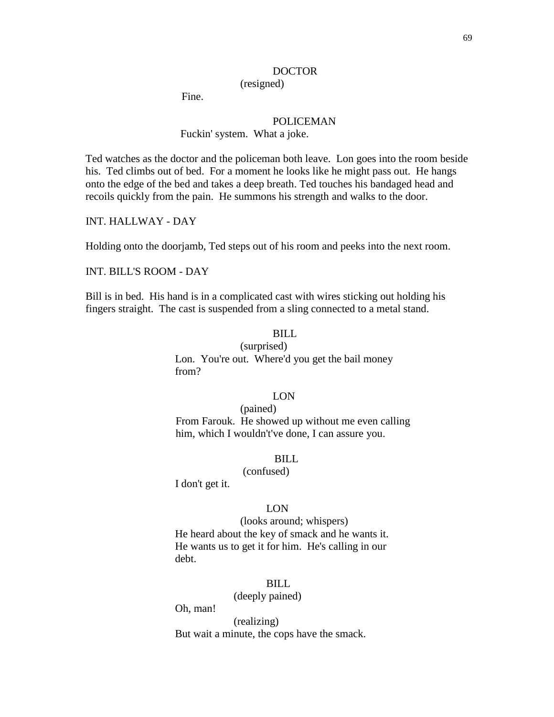#### DOCTOR

(resigned)

Fine.

# POLICEMAN

## Fuckin' system. What a joke.

 Ted watches as the doctor and the policeman both leave. Lon goes into the room beside his. Ted climbs out of bed. For a moment he looks like he might pass out. He hangs onto the edge of the bed and takes a deep breath. Ted touches his bandaged head and recoils quickly from the pain. He summons his strength and walks to the door.

INT. HALLWAY - DAY

Holding onto the doorjamb, Ted steps out of his room and peeks into the next room.

INT. BILL'S ROOM - DAY

 Bill is in bed. His hand is in a complicated cast with wires sticking out holding his fingers straight. The cast is suspended from a sling connected to a metal stand.

# BILL

(surprised) Lon. You're out. Where'd you get the bail money from?

## LON

(pained) From Farouk. He showed up without me even calling him, which I wouldn't've done, I can assure you.

#### BILL

#### (confused)

I don't get it.

#### LON

 (looks around; whispers) He heard about the key of smack and he wants it. He wants us to get it for him. He's calling in our debt.

#### BILL

(deeply pained)

Oh, man!

(realizing) But wait a minute, the cops have the smack.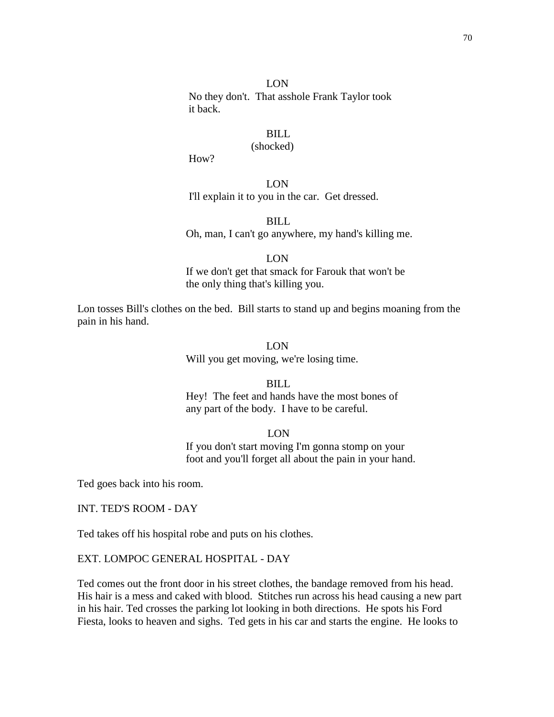## LON

 No they don't. That asshole Frank Taylor took it back.

# BILL

# (shocked)

How?

LON I'll explain it to you in the car. Get dressed.

BILL Oh, man, I can't go anywhere, my hand's killing me.

LON

 If we don't get that smack for Farouk that won't be the only thing that's killing you.

Lon tosses Bill's clothes on the bed. Bill starts to stand up and begins moaning from the pain in his hand.

## LON

Will you get moving, we're losing time.

## BILL

 Hey! The feet and hands have the most bones of any part of the body. I have to be careful.

LON

 If you don't start moving I'm gonna stomp on your foot and you'll forget all about the pain in your hand.

Ted goes back into his room.

INT. TED'S ROOM - DAY

Ted takes off his hospital robe and puts on his clothes.

## EXT. LOMPOC GENERAL HOSPITAL - DAY

Ted comes out the front door in his street clothes, the bandage removed from his head. His hair is a mess and caked with blood. Stitches run across his head causing a new part in his hair. Ted crosses the parking lot looking in both directions. He spots his Ford Fiesta, looks to heaven and sighs. Ted gets in his car and starts the engine. He looks to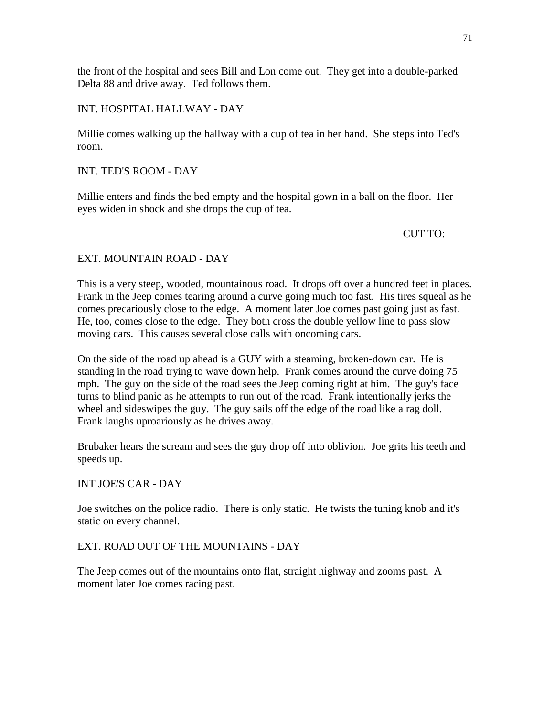the front of the hospital and sees Bill and Lon come out. They get into a double-parked Delta 88 and drive away. Ted follows them.

# INT. HOSPITAL HALLWAY - DAY

Millie comes walking up the hallway with a cup of tea in her hand. She steps into Ted's room.

# INT. TED'S ROOM - DAY

Millie enters and finds the bed empty and the hospital gown in a ball on the floor. Her eyes widen in shock and she drops the cup of tea.

# CUT TO:

# EXT. MOUNTAIN ROAD - DAY

This is a very steep, wooded, mountainous road. It drops off over a hundred feet in places. Frank in the Jeep comes tearing around a curve going much too fast. His tires squeal as he comes precariously close to the edge. A moment later Joe comes past going just as fast. He, too, comes close to the edge. They both cross the double yellow line to pass slow moving cars. This causes several close calls with oncoming cars.

On the side of the road up ahead is a GUY with a steaming, broken-down car. He is standing in the road trying to wave down help. Frank comes around the curve doing 75 mph. The guy on the side of the road sees the Jeep coming right at him. The guy's face turns to blind panic as he attempts to run out of the road. Frank intentionally jerks the wheel and sideswipes the guy. The guy sails off the edge of the road like a rag doll. Frank laughs uproariously as he drives away.

Brubaker hears the scream and sees the guy drop off into oblivion. Joe grits his teeth and speeds up.

# INT JOE'S CAR - DAY

Joe switches on the police radio. There is only static. He twists the tuning knob and it's static on every channel.

# EXT. ROAD OUT OF THE MOUNTAINS - DAY

The Jeep comes out of the mountains onto flat, straight highway and zooms past. A moment later Joe comes racing past.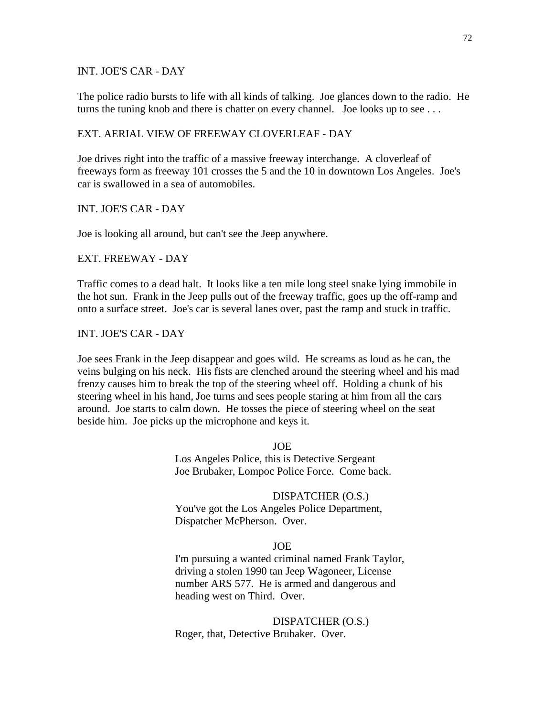INT. JOE'S CAR - DAY

The police radio bursts to life with all kinds of talking. Joe glances down to the radio. He turns the tuning knob and there is chatter on every channel. Joe looks up to see ...

## EXT. AERIAL VIEW OF FREEWAY CLOVERLEAF - DAY

Joe drives right into the traffic of a massive freeway interchange. A cloverleaf of freeways form as freeway 101 crosses the 5 and the 10 in downtown Los Angeles. Joe's car is swallowed in a sea of automobiles.

INT. JOE'S CAR - DAY

Joe is looking all around, but can't see the Jeep anywhere.

EXT. FREEWAY - DAY

Traffic comes to a dead halt. It looks like a ten mile long steel snake lying immobile in the hot sun. Frank in the Jeep pulls out of the freeway traffic, goes up the off-ramp and onto a surface street. Joe's car is several lanes over, past the ramp and stuck in traffic.

INT. JOE'S CAR - DAY

Joe sees Frank in the Jeep disappear and goes wild. He screams as loud as he can, the veins bulging on his neck. His fists are clenched around the steering wheel and his mad frenzy causes him to break the top of the steering wheel off. Holding a chunk of his steering wheel in his hand, Joe turns and sees people staring at him from all the cars around. Joe starts to calm down. He tosses the piece of steering wheel on the seat beside him. Joe picks up the microphone and keys it.

> JOE Los Angeles Police, this is Detective Sergeant Joe Brubaker, Lompoc Police Force. Come back.

DISPATCHER (O.S.) You've got the Los Angeles Police Department, Dispatcher McPherson. Over.

#### JOE

I'm pursuing a wanted criminal named Frank Taylor, driving a stolen 1990 tan Jeep Wagoneer, License number ARS 577. He is armed and dangerous and heading west on Third. Over.

DISPATCHER (O.S.) Roger, that, Detective Brubaker. Over.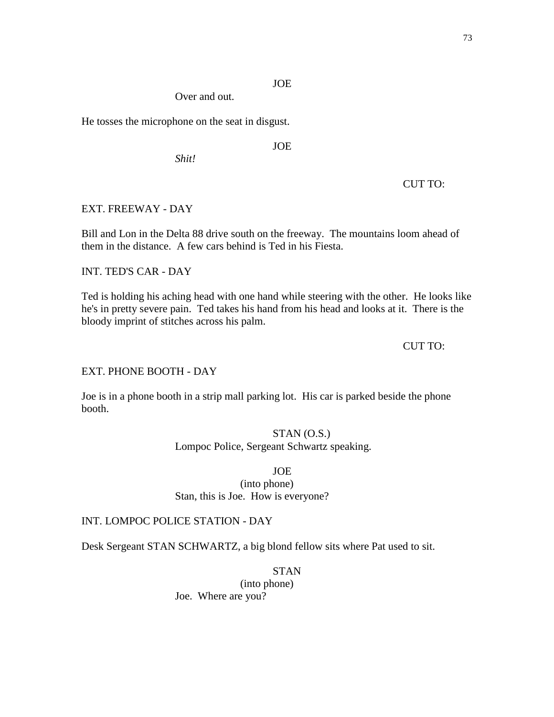# JOE

Over and out.

He tosses the microphone on the seat in disgust.

JOE

*Shit!*

CUT TO:

# EXT. FREEWAY - DAY

Bill and Lon in the Delta 88 drive south on the freeway. The mountains loom ahead of them in the distance. A few cars behind is Ted in his Fiesta.

# INT. TED'S CAR - DAY

Ted is holding his aching head with one hand while steering with the other. He looks like he's in pretty severe pain. Ted takes his hand from his head and looks at it. There is the bloody imprint of stitches across his palm.

### CUT TO:

### EXT. PHONE BOOTH - DAY

Joe is in a phone booth in a strip mall parking lot. His car is parked beside the phone booth.

# STAN (O.S.)

Lompoc Police, Sergeant Schwartz speaking.

JOE

(into phone) Stan, this is Joe. How is everyone?

### INT. LOMPOC POLICE STATION - DAY

Desk Sergeant STAN SCHWARTZ, a big blond fellow sits where Pat used to sit.

STAN

(into phone) Joe. Where are you?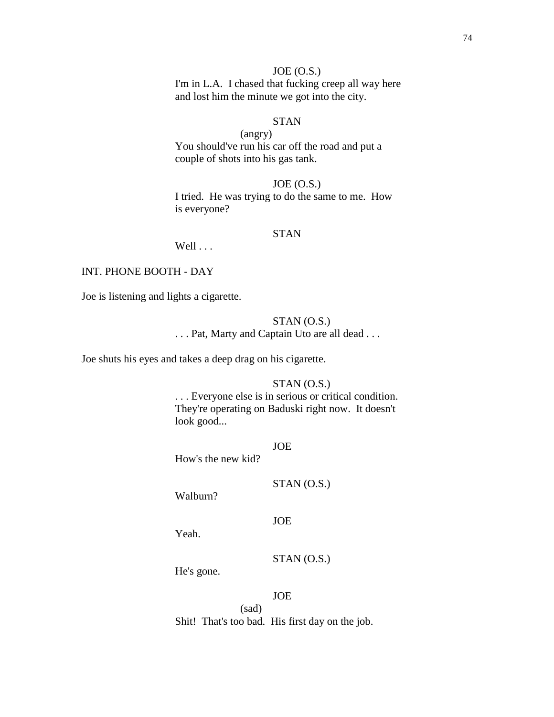## $JOE (O.S.)$

I'm in L.A. I chased that fucking creep all way here and lost him the minute we got into the city.

# STAN

(angry) You should've run his car off the road and put a couple of shots into his gas tank.

 $JOE (O.S.)$ I tried. He was trying to do the same to me. How is everyone?

## STAN

Well . . .

## INT. PHONE BOOTH - DAY

Joe is listening and lights a cigarette.

### STAN (O.S.)

. . . Pat, Marty and Captain Uto are all dead . . .

Joe shuts his eyes and takes a deep drag on his cigarette.

## STAN (O.S.)

. . . Everyone else is in serious or critical condition. They're operating on Baduski right now. It doesn't look good...

JOE

JOE

How's the new kid?

Walburn?

Yeah.

STAN (O.S.)

STAN (O.S.)

He's gone.

JOE

(sad) Shit! That's too bad. His first day on the job.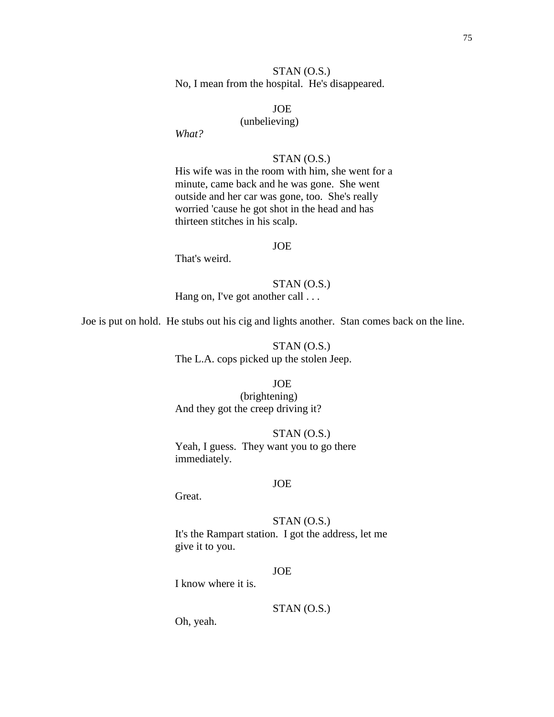## STAN (O.S.) No, I mean from the hospital. He's disappeared.

## JOE

### (unbelieving)

*What?*

## STAN (O.S.)

His wife was in the room with him, she went for a minute, came back and he was gone. She went outside and her car was gone, too. She's really worried 'cause he got shot in the head and has thirteen stitches in his scalp.

#### JOE

That's weird.

# STAN (O.S.)

Hang on, I've got another call . . .

Joe is put on hold. He stubs out his cig and lights another. Stan comes back on the line.

# STAN (O.S.) The L.A. cops picked up the stolen Jeep.

### JOE

(brightening) And they got the creep driving it?

STAN (O.S.) Yeah, I guess. They want you to go there immediately.

### JOE

Great.

STAN (O.S.) It's the Rampart station. I got the address, let me give it to you.

#### JOE

I know where it is.

## STAN (O.S.)

Oh, yeah.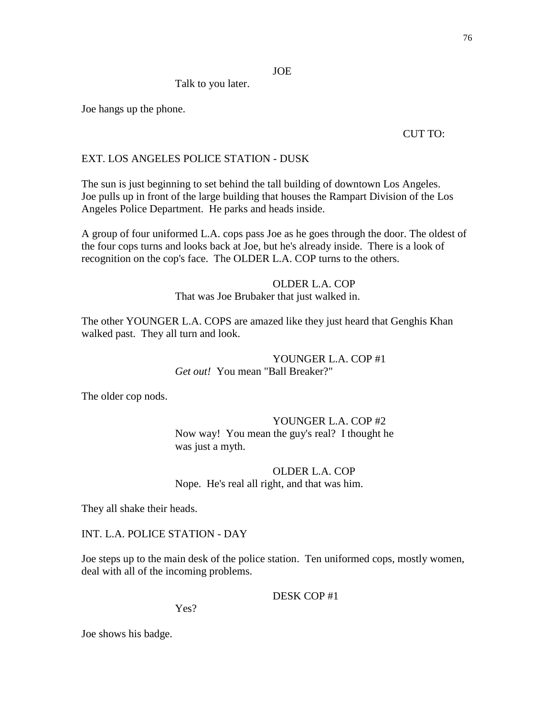JOE

Talk to you later.

Joe hangs up the phone.

## CUT TO:

# EXT. LOS ANGELES POLICE STATION - DUSK

The sun is just beginning to set behind the tall building of downtown Los Angeles. Joe pulls up in front of the large building that houses the Rampart Division of the Los Angeles Police Department. He parks and heads inside.

A group of four uniformed L.A. cops pass Joe as he goes through the door. The oldest of the four cops turns and looks back at Joe, but he's already inside. There is a look of recognition on the cop's face. The OLDER L.A. COP turns to the others.

### OLDER L.A. COP

That was Joe Brubaker that just walked in.

The other YOUNGER L.A. COPS are amazed like they just heard that Genghis Khan walked past. They all turn and look.

> YOUNGER L.A. COP #1 *Get out!* You mean "Ball Breaker?"

The older cop nods.

YOUNGER L.A. COP #2 Now way! You mean the guy's real? I thought he was just a myth.

# OLDER L.A. COP Nope. He's real all right, and that was him.

They all shake their heads.

INT. L.A. POLICE STATION - DAY

Joe steps up to the main desk of the police station. Ten uniformed cops, mostly women, deal with all of the incoming problems.

DESK COP #1

Yes?

Joe shows his badge.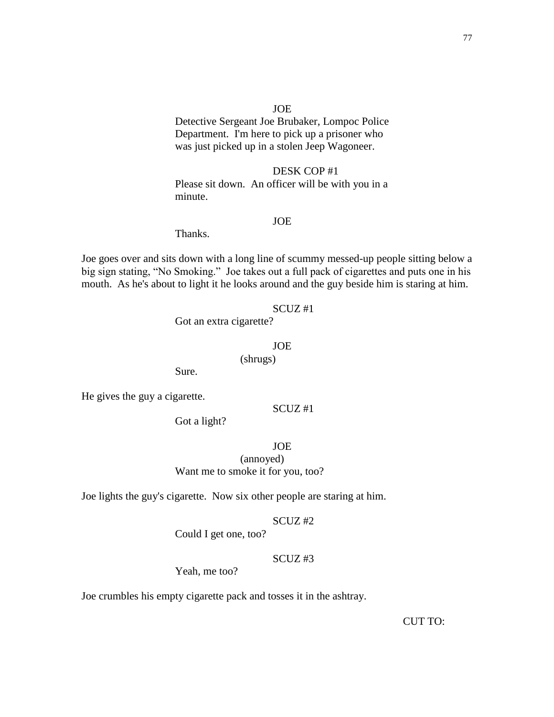#### JOE

Detective Sergeant Joe Brubaker, Lompoc Police Department. I'm here to pick up a prisoner who was just picked up in a stolen Jeep Wagoneer.

DESK COP #1 Please sit down. An officer will be with you in a minute.

### JOE

Thanks.

Joe goes over and sits down with a long line of scummy messed-up people sitting below a big sign stating, "No Smoking." Joe takes out a full pack of cigarettes and puts one in his mouth. As he's about to light it he looks around and the guy beside him is staring at him.

#### SCUZ #1

Got an extra cigarette?

#### JOE

(shrugs)

Sure.

He gives the guy a cigarette.

### SCUZ #1

Got a light?

JOE

(annoyed) Want me to smoke it for you, too?

Joe lights the guy's cigarette. Now six other people are staring at him.

#### SCUZ #2

Could I get one, too?

## SCUZ #3

Yeah, me too?

Joe crumbles his empty cigarette pack and tosses it in the ashtray.

CUT TO: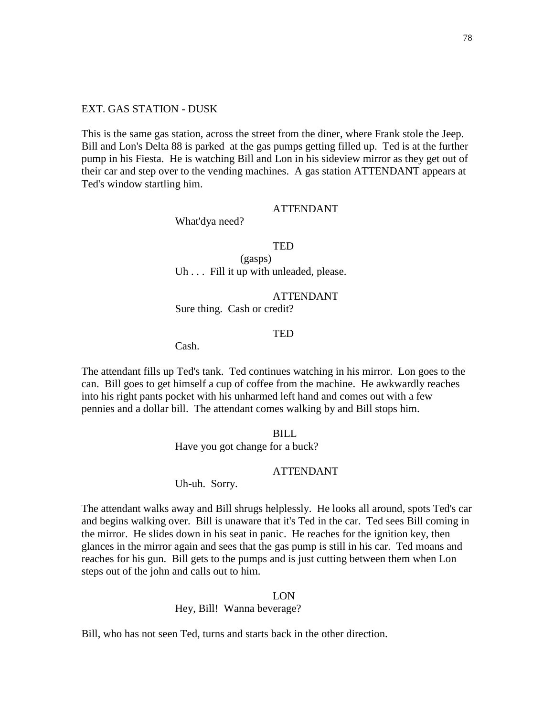### EXT. GAS STATION - DUSK

This is the same gas station, across the street from the diner, where Frank stole the Jeep. Bill and Lon's Delta 88 is parked at the gas pumps getting filled up. Ted is at the further pump in his Fiesta. He is watching Bill and Lon in his sideview mirror as they get out of their car and step over to the vending machines. A gas station ATTENDANT appears at Ted's window startling him.

### ATTENDANT

What'dya need?

**TED** 

(gasps) Uh . . . Fill it up with unleaded, please.

ATTENDANT Sure thing. Cash or credit?

## **TED**

Cash.

The attendant fills up Ted's tank. Ted continues watching in his mirror. Lon goes to the can. Bill goes to get himself a cup of coffee from the machine. He awkwardly reaches into his right pants pocket with his unharmed left hand and comes out with a few pennies and a dollar bill. The attendant comes walking by and Bill stops him.

BILL

Have you got change for a buck?

#### ATTENDANT

Uh-uh. Sorry.

The attendant walks away and Bill shrugs helplessly. He looks all around, spots Ted's car and begins walking over. Bill is unaware that it's Ted in the car. Ted sees Bill coming in the mirror. He slides down in his seat in panic. He reaches for the ignition key, then glances in the mirror again and sees that the gas pump is still in his car. Ted moans and reaches for his gun. Bill gets to the pumps and is just cutting between them when Lon steps out of the john and calls out to him.

LON

Hey, Bill! Wanna beverage?

Bill, who has not seen Ted, turns and starts back in the other direction.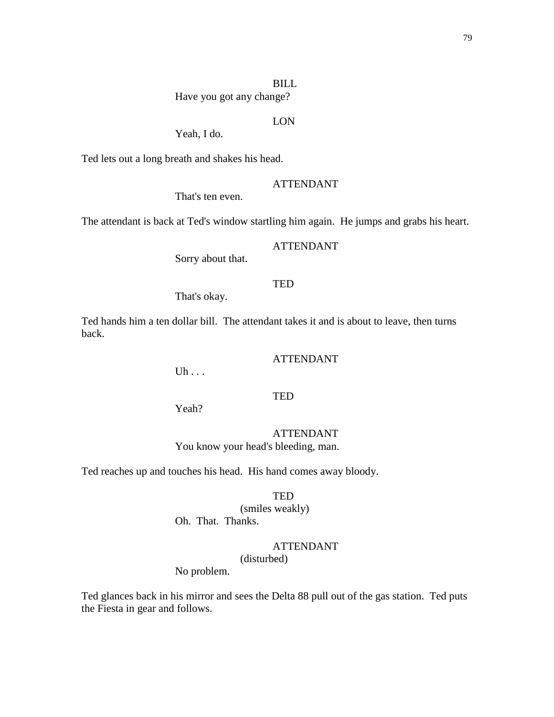### BILL

Have you got any change?

# LON

Yeah, I do.

Ted lets out a long breath and shakes his head.

### ATTENDANT

That's ten even.

The attendant is back at Ted's window startling him again. He jumps and grabs his heart.

### ATTENDANT

Sorry about that.

## TED

That's okay.

Ted hands him a ten dollar bill. The attendant takes it and is about to leave, then turns back.

### ATTENDANT

Uh . . .

## **TED**

Yeah?

# ATTENDANT

You know your head's bleeding, man.

Ted reaches up and touches his head. His hand comes away bloody.

**TED** 

(smiles weakly) Oh. That. Thanks.

# ATTENDANT

(disturbed)

No problem.

Ted glances back in his mirror and sees the Delta 88 pull out of the gas station. Ted puts the Fiesta in gear and follows.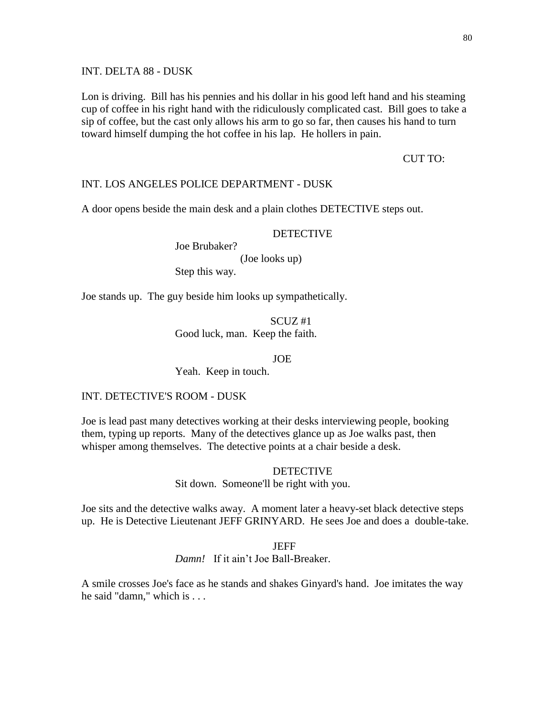INT. DELTA 88 - DUSK

Lon is driving. Bill has his pennies and his dollar in his good left hand and his steaming cup of coffee in his right hand with the ridiculously complicated cast. Bill goes to take a sip of coffee, but the cast only allows his arm to go so far, then causes his hand to turn toward himself dumping the hot coffee in his lap. He hollers in pain.

#### CUT TO:

### INT. LOS ANGELES POLICE DEPARTMENT - DUSK

A door opens beside the main desk and a plain clothes DETECTIVE steps out.

### DETECTIVE

Joe Brubaker? (Joe looks up) Step this way.

Joe stands up. The guy beside him looks up sympathetically.

SCUZ #1 Good luck, man. Keep the faith.

JOE

Yeah. Keep in touch.

### INT. DETECTIVE'S ROOM - DUSK

Joe is lead past many detectives working at their desks interviewing people, booking them, typing up reports. Many of the detectives glance up as Joe walks past, then whisper among themselves. The detective points at a chair beside a desk.

#### **DETECTIVE**

Sit down. Someone'll be right with you.

Joe sits and the detective walks away. A moment later a heavy-set black detective steps up. He is Detective Lieutenant JEFF GRINYARD. He sees Joe and does a double-take.

#### JEFF

*Damn!* If it ain't Joe Ball-Breaker.

A smile crosses Joe's face as he stands and shakes Ginyard's hand. Joe imitates the way he said "damn," which is . . .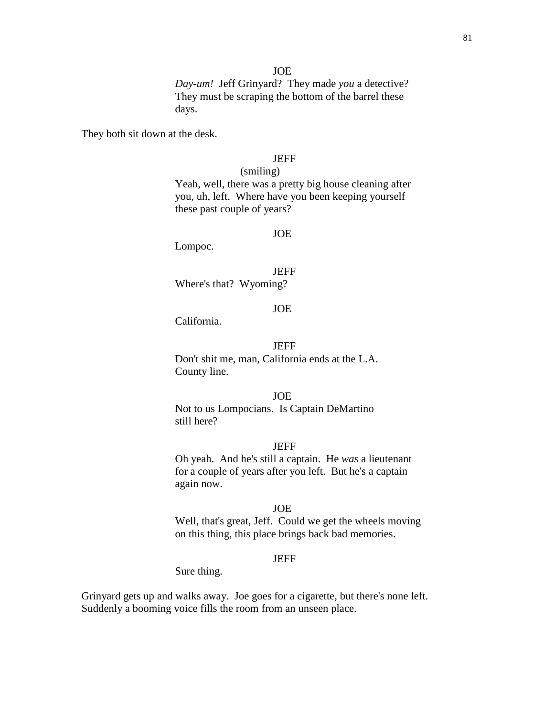JOE

*Day-um!* Jeff Grinyard? They made *you* a detective? They must be scraping the bottom of the barrel these days.

They both sit down at the desk.

### JEFF

(smiling) Yeah, well, there was a pretty big house cleaning after you, uh, left. Where have you been keeping yourself these past couple of years?

#### JOE

Lompoc.

**JEFF** Where's that? Wyoming?

#### JOE

California.

### **JEFF**

Don't shit me, man, California ends at the L.A. County line.

#### JOE

Not to us Lompocians. Is Captain DeMartino still here?

#### **JEFF**

Oh yeah. And he's still a captain. He *was* a lieutenant for a couple of years after you left. But he's a captain again now.

#### JOE

Well, that's great, Jeff. Could we get the wheels moving on this thing, this place brings back bad memories.

### JEFF

Sure thing.

Grinyard gets up and walks away. Joe goes for a cigarette, but there's none left. Suddenly a booming voice fills the room from an unseen place.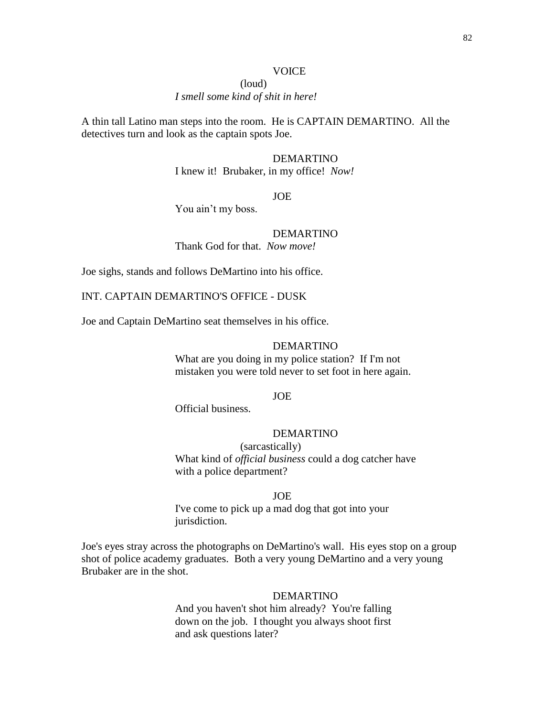#### **VOICE**

### (loud) *I smell some kind of shit in here!*

A thin tall Latino man steps into the room. He is CAPTAIN DEMARTINO. All the detectives turn and look as the captain spots Joe.

## DEMARTINO

I knew it! Brubaker, in my office! *Now!*

JOE

You ain't my boss.

## DEMARTINO

Thank God for that. *Now move!*

Joe sighs, stands and follows DeMartino into his office.

INT. CAPTAIN DEMARTINO'S OFFICE - DUSK

Joe and Captain DeMartino seat themselves in his office.

#### DEMARTINO

What are you doing in my police station? If I'm not mistaken you were told never to set foot in here again.

#### JOE

Official business.

# DEMARTINO

(sarcastically) What kind of *official business* could a dog catcher have with a police department?

### JOE

I've come to pick up a mad dog that got into your jurisdiction.

Joe's eyes stray across the photographs on DeMartino's wall. His eyes stop on a group shot of police academy graduates. Both a very young DeMartino and a very young Brubaker are in the shot.

#### DEMARTINO

And you haven't shot him already? You're falling down on the job. I thought you always shoot first and ask questions later?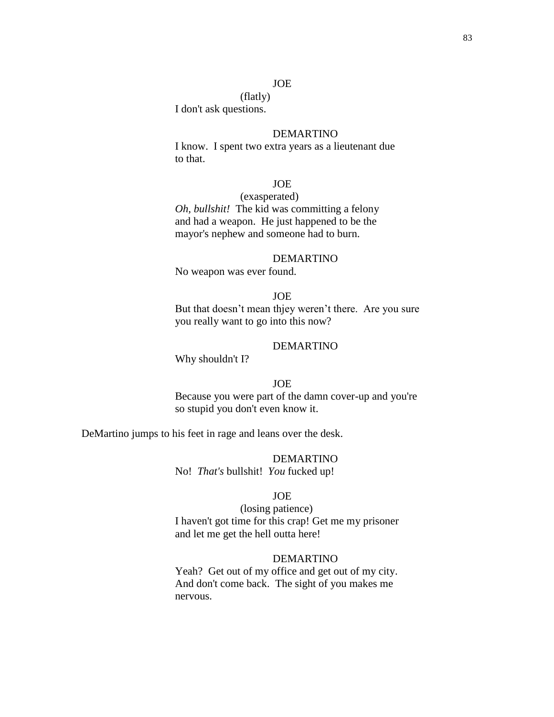### JOE

(flatly) I don't ask questions.

#### DEMARTINO

I know. I spent two extra years as a lieutenant due to that.

### JOE

#### (exasperated)

*Oh, bullshit!* The kid was committing a felony and had a weapon. He just happened to be the mayor's nephew and someone had to burn.

#### DEMARTINO

No weapon was ever found.

## JOE But that doesn't mean thjey weren't there. Are you sure you really want to go into this now?

### DEMARTINO

Why shouldn't I?

## JOE

Because you were part of the damn cover-up and you're so stupid you don't even know it.

DeMartino jumps to his feet in rage and leans over the desk.

DEMARTINO

No! *That's* bullshit! *You* fucked up!

#### JOE

(losing patience) I haven't got time for this crap! Get me my prisoner and let me get the hell outta here!

### DEMARTINO

Yeah? Get out of my office and get out of my city. And don't come back. The sight of you makes me nervous.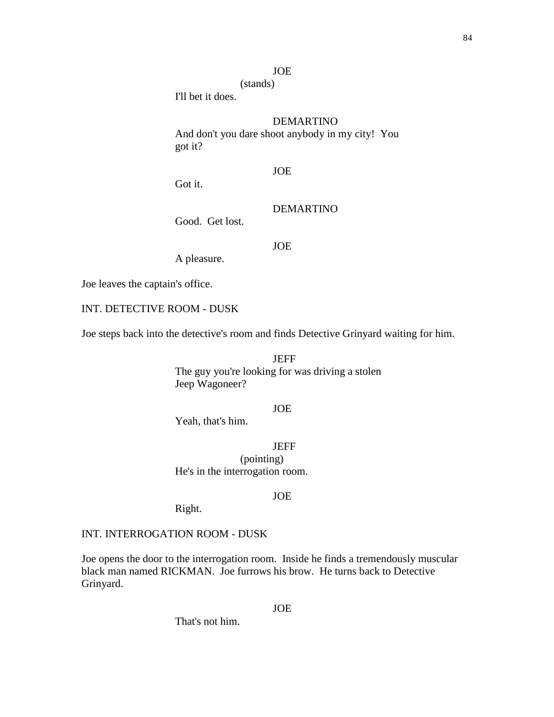### JOE

(stands) I'll bet it does.

### DEMARTINO

And don't you dare shoot anybody in my city! You got it?

# JOE

Got it.

DEMARTINO

Good. Get lost.

## JOE

A pleasure.

Joe leaves the captain's office.

## INT. DETECTIVE ROOM - DUSK

Joe steps back into the detective's room and finds Detective Grinyard waiting for him.

JEFF The guy you're looking for was driving a stolen Jeep Wagoneer?

# JOE

Yeah, that's him.

**JEFF** (pointing) He's in the interrogation room.

### JOE

Right.

## INT. INTERROGATION ROOM - DUSK

Joe opens the door to the interrogation room. Inside he finds a tremendously muscular black man named RICKMAN. Joe furrows his brow. He turns back to Detective Grinyard.

### JOE

That's not him.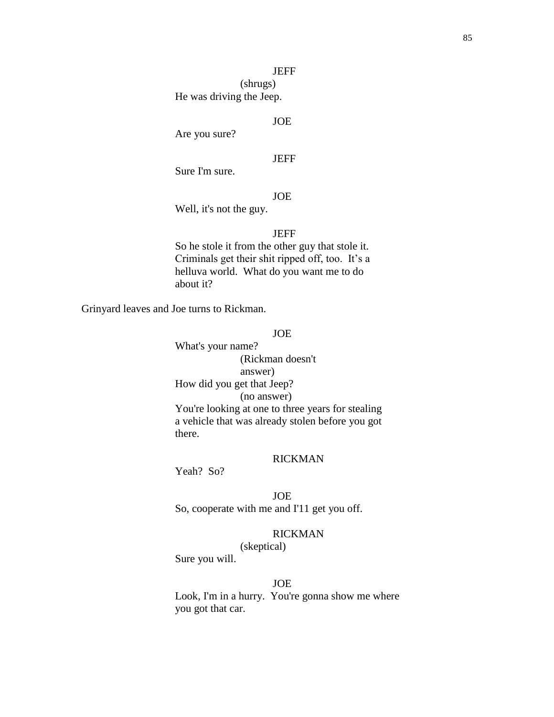### **JEFF**

(shrugs) He was driving the Jeep.

# JOE

Are you sure?

### JEFF

Sure I'm sure.

# **JOE**

Well, it's not the guy.

## JEFF

So he stole it from the other guy that stole it. Criminals get their shit ripped off, too. It's a helluva world. What do you want me to do about it?

Grinyard leaves and Joe turns to Rickman.

# JOE

What's your name? (Rickman doesn't answer) How did you get that Jeep? (no answer) You're looking at one to three years for stealing a vehicle that was already stolen before you got there.

# RICKMAN

Yeah? So?

### JOE

So, cooperate with me and I'11 get you off.

## RICKMAN

(skeptical)

Sure you will.

# JOE

Look, I'm in a hurry. You're gonna show me where you got that car.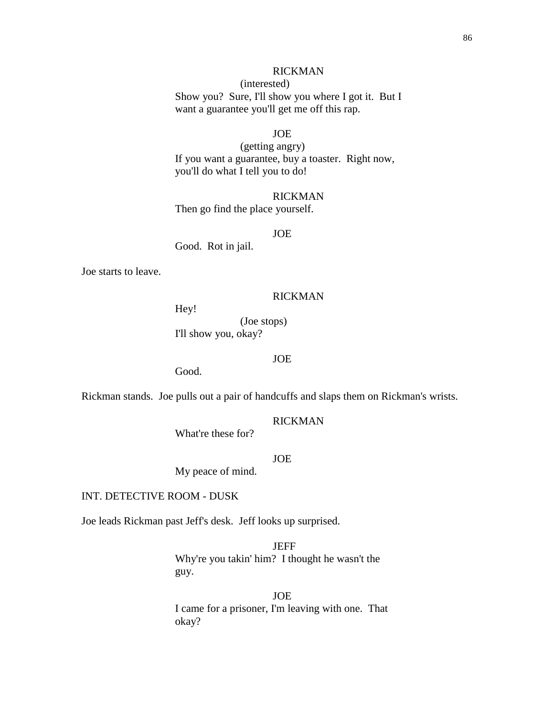## RICKMAN

(interested) Show you? Sure, I'll show you where I got it. But I want a guarantee you'll get me off this rap.

## JOE

(getting angry) If you want a guarantee, buy a toaster. Right now, you'll do what I tell you to do!

RICKMAN Then go find the place yourself.

JOE

Good. Rot in jail.

Joe starts to leave.

#### RICKMAN

Hey! (Joe stops)

I'll show you, okay?

### JOE

Good.

Rickman stands. Joe pulls out a pair of handcuffs and slaps them on Rickman's wrists.

RICKMAN

What're these for?

JOE

My peace of mind.

INT. DETECTIVE ROOM - DUSK

Joe leads Rickman past Jeff's desk. Jeff looks up surprised.

JEFF Why're you takin' him? I thought he wasn't the guy.

JOE I came for a prisoner, I'm leaving with one. That okay?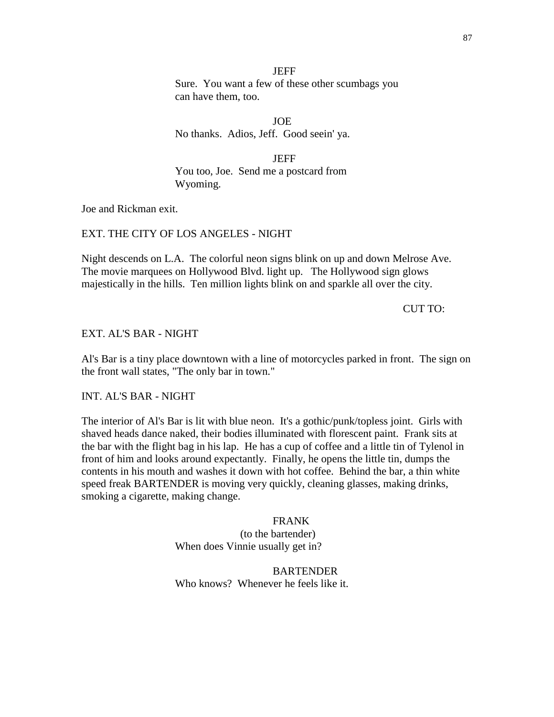**JEFF** Sure. You want a few of these other scumbags you can have them, too.

JOE No thanks. Adios, Jeff. Good seein' ya.

**JEFF** You too, Joe. Send me a postcard from Wyoming.

Joe and Rickman exit.

## EXT. THE CITY OF LOS ANGELES - NIGHT

Night descends on L.A. The colorful neon signs blink on up and down Melrose Ave. The movie marquees on Hollywood Blvd. light up. The Hollywood sign glows majestically in the hills. Ten million lights blink on and sparkle all over the city.

CUT TO:

### EXT. AL'S BAR - NIGHT

Al's Bar is a tiny place downtown with a line of motorcycles parked in front. The sign on the front wall states, "The only bar in town."

INT. AL'S BAR - NIGHT

The interior of Al's Bar is lit with blue neon. It's a gothic/punk/topless joint. Girls with shaved heads dance naked, their bodies illuminated with florescent paint. Frank sits at the bar with the flight bag in his lap. He has a cup of coffee and a little tin of Tylenol in front of him and looks around expectantly. Finally, he opens the little tin, dumps the contents in his mouth and washes it down with hot coffee. Behind the bar, a thin white speed freak BARTENDER is moving very quickly, cleaning glasses, making drinks, smoking a cigarette, making change.

> FRANK (to the bartender) When does Vinnie usually get in?

BARTENDER Who knows? Whenever he feels like it.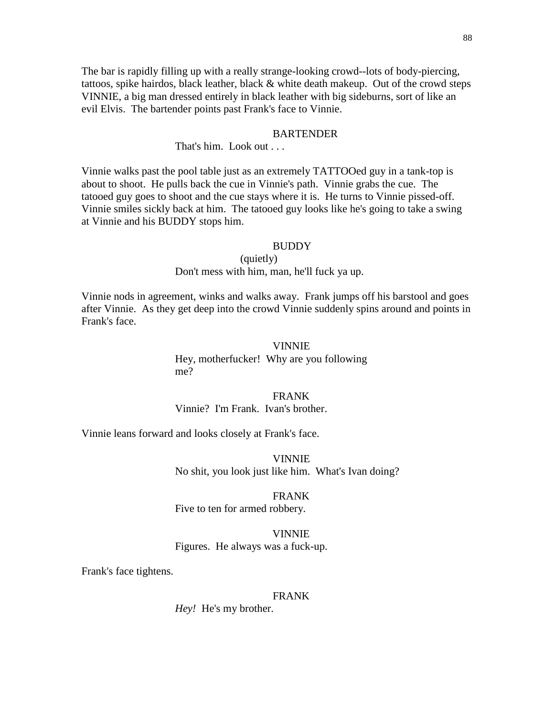The bar is rapidly filling up with a really strange-looking crowd--lots of body-piercing, tattoos, spike hairdos, black leather, black & white death makeup. Out of the crowd steps VINNIE, a big man dressed entirely in black leather with big sideburns, sort of like an evil Elvis. The bartender points past Frank's face to Vinnie.

#### **BARTENDER**

That's him. Look out . . .

Vinnie walks past the pool table just as an extremely TATTOOed guy in a tank-top is about to shoot. He pulls back the cue in Vinnie's path. Vinnie grabs the cue. The tatooed guy goes to shoot and the cue stays where it is. He turns to Vinnie pissed-off. Vinnie smiles sickly back at him. The tatooed guy looks like he's going to take a swing at Vinnie and his BUDDY stops him.

#### **BUDDY**

### (quietly)

Don't mess with him, man, he'll fuck ya up.

Vinnie nods in agreement, winks and walks away. Frank jumps off his barstool and goes after Vinnie. As they get deep into the crowd Vinnie suddenly spins around and points in Frank's face.

#### VINNIE

Hey, motherfucker! Why are you following me?

#### FRANK

Vinnie? I'm Frank. Ivan's brother.

Vinnie leans forward and looks closely at Frank's face.

VINNIE No shit, you look just like him. What's Ivan doing?

### FRANK

Five to ten for armed robbery.

#### VINNIE

Figures. He always was a fuck-up.

Frank's face tightens.

#### FRANK

*Hey!* He's my brother.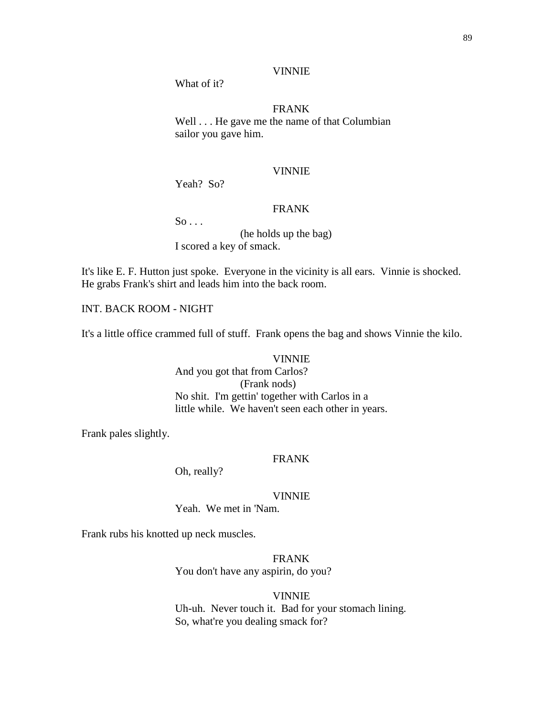What of it?

FRANK Well . . . He gave me the name of that Columbian sailor you gave him.

### VINNIE

Yeah? So?

# FRANK

 $So \ldots$ 

(he holds up the bag) I scored a key of smack.

It's like E. F. Hutton just spoke. Everyone in the vicinity is all ears. Vinnie is shocked. He grabs Frank's shirt and leads him into the back room.

INT. BACK ROOM - NIGHT

It's a little office crammed full of stuff. Frank opens the bag and shows Vinnie the kilo.

# VINNIE And you got that from Carlos? (Frank nods) No shit. I'm gettin' together with Carlos in a little while. We haven't seen each other in years.

Frank pales slightly.

### FRANK

Oh, really?

### VINNIE

Yeah. We met in 'Nam.

Frank rubs his knotted up neck muscles.

FRANK You don't have any aspirin, do you?

#### VINNIE

Uh-uh. Never touch it. Bad for your stomach lining. So, what're you dealing smack for?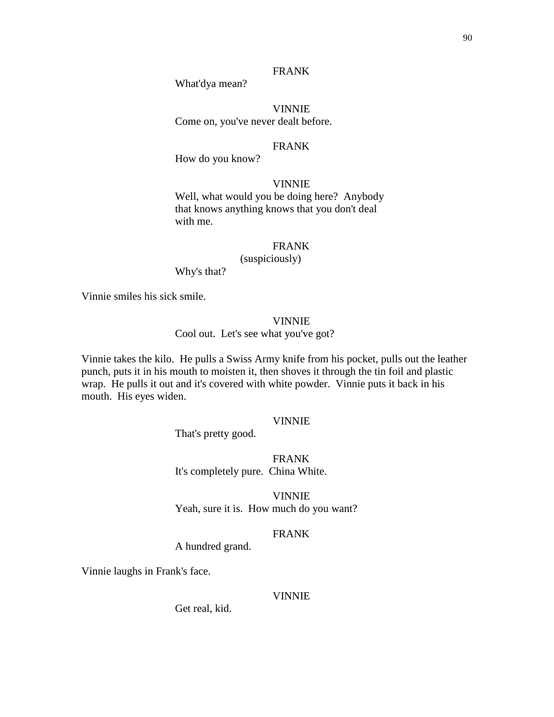# FRANK

What'dya mean?

VINNIE Come on, you've never dealt before.

#### FRANK

How do you know?

### VINNIE

Well, what would you be doing here? Anybody that knows anything knows that you don't deal with me.

### FRANK

(suspiciously)

Why's that?

Vinnie smiles his sick smile.

### VINNIE

Cool out. Let's see what you've got?

Vinnie takes the kilo. He pulls a Swiss Army knife from his pocket, pulls out the leather punch, puts it in his mouth to moisten it, then shoves it through the tin foil and plastic wrap. He pulls it out and it's covered with white powder. Vinnie puts it back in his mouth. His eyes widen.

#### VINNIE

That's pretty good.

FRANK It's completely pure. China White.

VINNIE Yeah, sure it is. How much do you want?

### FRANK

A hundred grand.

Vinnie laughs in Frank's face.

#### VINNIE

Get real, kid.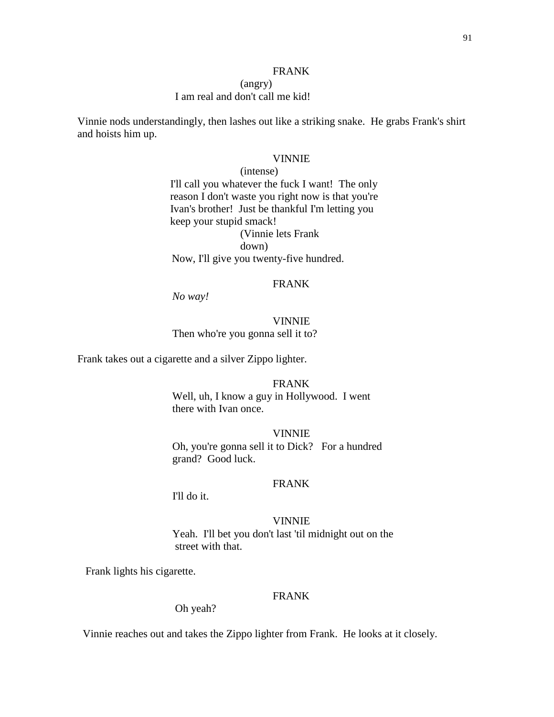### FRANK

### (angry) I am real and don't call me kid!

Vinnie nods understandingly, then lashes out like a striking snake. He grabs Frank's shirt and hoists him up.

#### VINNIE

(intense) I'll call you whatever the fuck I want! The only reason I don't waste you right now is that you're Ivan's brother! Just be thankful I'm letting you keep your stupid smack! (Vinnie lets Frank down) Now, I'll give you twenty-five hundred.

## FRANK

*No way!* 

## VINNIE Then who're you gonna sell it to?

Frank takes out a cigarette and a silver Zippo lighter.

#### FRANK

 Well, uh, I know a guy in Hollywood. I went there with Ivan once.

VINNIE Oh, you're gonna sell it to Dick? For a hundred grand? Good luck.

### FRANK

I'll do it.

VINNIE Yeah. I'll bet you don't last 'til midnight out on the street with that.

Frank lights his cigarette.

### FRANK

Oh yeah?

Vinnie reaches out and takes the Zippo lighter from Frank. He looks at it closely.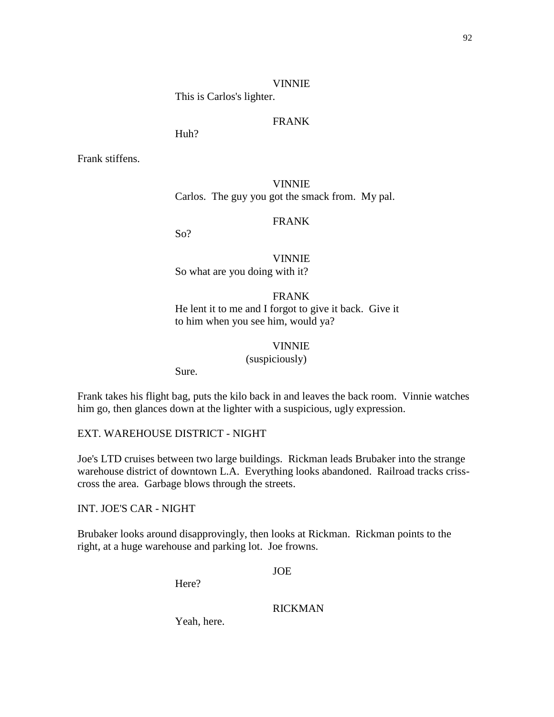#### VINNIE

This is Carlos's lighter.

# FRANK

Huh?

Frank stiffens.

VINNIE Carlos. The guy you got the smack from. My pal.

# FRANK

So?

VINNIE So what are you doing with it?

FRANK He lent it to me and I forgot to give it back. Give it to him when you see him, would ya?

### VINNIE

(suspiciously)

Sure.

Frank takes his flight bag, puts the kilo back in and leaves the back room. Vinnie watches him go, then glances down at the lighter with a suspicious, ugly expression.

EXT. WAREHOUSE DISTRICT - NIGHT

Joe's LTD cruises between two large buildings. Rickman leads Brubaker into the strange warehouse district of downtown L.A. Everything looks abandoned. Railroad tracks crisscross the area. Garbage blows through the streets.

INT. JOE'S CAR - NIGHT

Brubaker looks around disapprovingly, then looks at Rickman. Rickman points to the right, at a huge warehouse and parking lot. Joe frowns.

JOE

Here?

## RICKMAN

Yeah, here.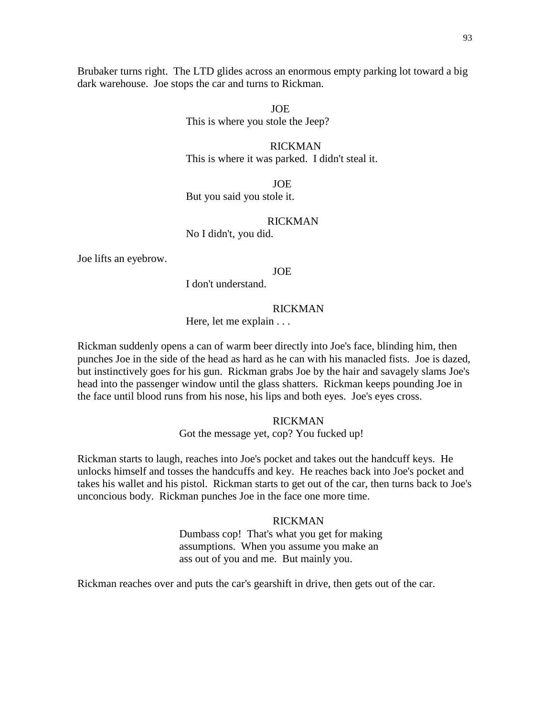Brubaker turns right. The LTD glides across an enormous empty parking lot toward a big dark warehouse. Joe stops the car and turns to Rickman.

> JOE This is where you stole the Jeep?

 RICKMAN This is where it was parked. I didn't steal it.

 JOE But you said you stole it.

### RICKMAN

No I didn't, you did.

Joe lifts an eyebrow.

### JOE

I don't understand.

#### RICKMAN

Here, let me explain . . .

Rickman suddenly opens a can of warm beer directly into Joe's face, blinding him, then punches Joe in the side of the head as hard as he can with his manacled fists. Joe is dazed, but instinctively goes for his gun. Rickman grabs Joe by the hair and savagely slams Joe's head into the passenger window until the glass shatters. Rickman keeps pounding Joe in the face until blood runs from his nose, his lips and both eyes. Joe's eyes cross.

### RICKMAN

Got the message yet, cop? You fucked up!

Rickman starts to laugh, reaches into Joe's pocket and takes out the handcuff keys. He unlocks himself and tosses the handcuffs and key. He reaches back into Joe's pocket and takes his wallet and his pistol. Rickman starts to get out of the car, then turns back to Joe's unconcious body. Rickman punches Joe in the face one more time.

#### RICKMAN

Dumbass cop! That's what you get for making assumptions. When you assume you make an ass out of you and me. But mainly you.

Rickman reaches over and puts the car's gearshift in drive, then gets out of the car.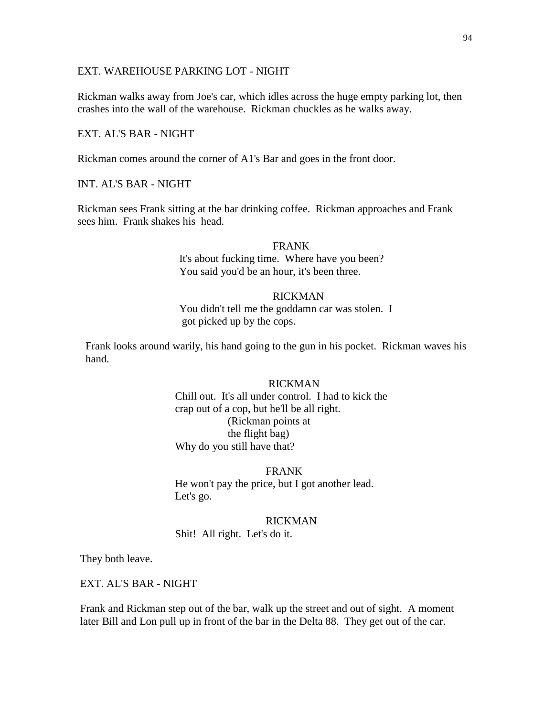### EXT. WAREHOUSE PARKING LOT - NIGHT

Rickman walks away from Joe's car, which idles across the huge empty parking lot, then crashes into the wall of the warehouse. Rickman chuckles as he walks away.

## EXT. AL'S BAR - NIGHT

Rickman comes around the corner of A1's Bar and goes in the front door.

INT. AL'S BAR - NIGHT

Rickman sees Frank sitting at the bar drinking coffee. Rickman approaches and Frank sees him. Frank shakes his head.

### FRANK

It's about fucking time. Where have you been? You said you'd be an hour, it's been three.

#### RICKMAN

You didn't tell me the goddamn car was stolen. I got picked up by the cops.

 Frank looks around warily, his hand going to the gun in his pocket. Rickman waves his hand.

## RICKMAN

Chill out. It's all under control. I had to kick the crap out of a cop, but he'll be all right. (Rickman points at the flight bag) Why do you still have that?

#### FRANK

He won't pay the price, but I got another lead. Let's go.

#### RICKMAN

Shit! All right. Let's do it.

They both leave.

EXT. AL'S BAR - NIGHT

Frank and Rickman step out of the bar, walk up the street and out of sight. A moment later Bill and Lon pull up in front of the bar in the Delta 88. They get out of the car.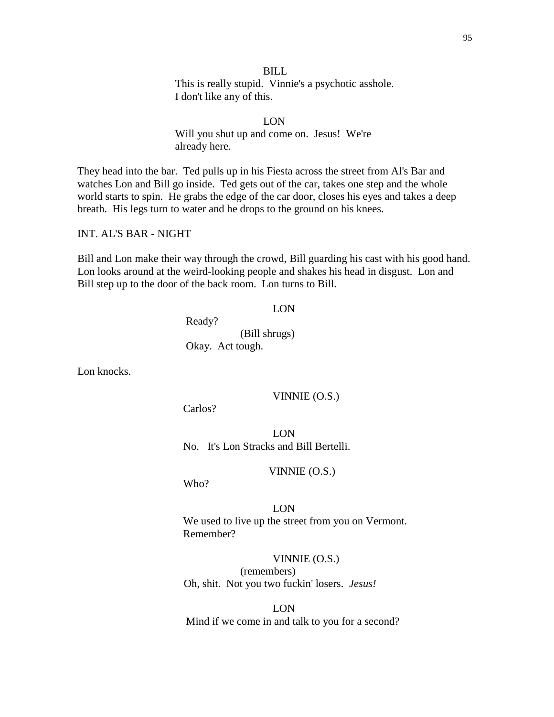### BILL

This is really stupid. Vinnie's a psychotic asshole. I don't like any of this.

 LON Will you shut up and come on. Jesus! We're already here.

They head into the bar. Ted pulls up in his Fiesta across the street from Al's Bar and watches Lon and Bill go inside. Ted gets out of the car, takes one step and the whole world starts to spin. He grabs the edge of the car door, closes his eyes and takes a deep breath. His legs turn to water and he drops to the ground on his knees.

INT. AL'S BAR - NIGHT

Bill and Lon make their way through the crowd, Bill guarding his cast with his good hand. Lon looks around at the weird-looking people and shakes his head in disgust. Lon and Bill step up to the door of the back room. Lon turns to Bill.

#### LON

 Ready? (Bill shrugs) Okay. Act tough.

Lon knocks.

VINNIE (O.S.)

Carlos?

LON No. It's Lon Stracks and Bill Bertelli.

VINNIE (O.S.)

Who?

LON We used to live up the street from you on Vermont. Remember?

VINNIE (O.S.) (remembers) Oh, shit. Not you two fuckin' losers. *Jesus!*

LON Mind if we come in and talk to you for a second?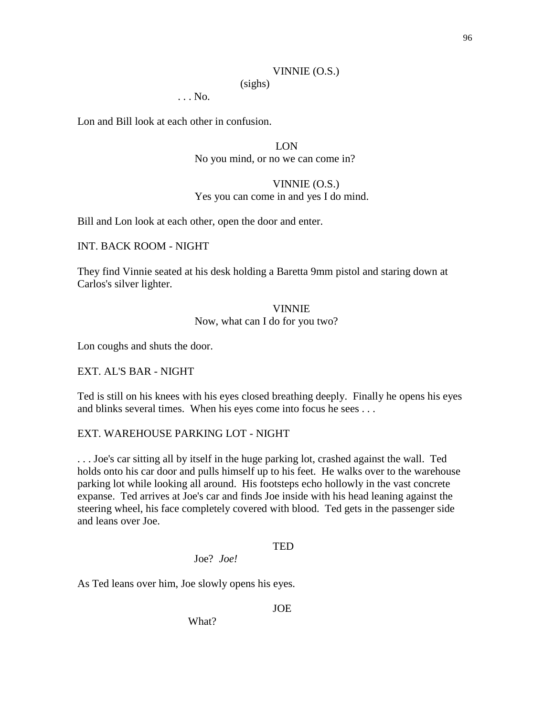## VINNIE (O.S.)

(sighs)

. . . No.

Lon and Bill look at each other in confusion.

LON No you mind, or no we can come in?

# VINNIE (O.S.) Yes you can come in and yes I do mind.

Bill and Lon look at each other, open the door and enter.

INT. BACK ROOM - NIGHT

They find Vinnie seated at his desk holding a Baretta 9mm pistol and staring down at Carlos's silver lighter.

## VINNIE Now, what can I do for you two?

Lon coughs and shuts the door.

EXT. AL'S BAR - NIGHT

Ted is still on his knees with his eyes closed breathing deeply. Finally he opens his eyes and blinks several times. When his eyes come into focus he sees . . .

## EXT. WAREHOUSE PARKING LOT - NIGHT

. . . Joe's car sitting all by itself in the huge parking lot, crashed against the wall. Ted holds onto his car door and pulls himself up to his feet. He walks over to the warehouse parking lot while looking all around. His footsteps echo hollowly in the vast concrete expanse. Ted arrives at Joe's car and finds Joe inside with his head leaning against the steering wheel, his face completely covered with blood. Ted gets in the passenger side and leans over Joe.

### TED

Joe? *Joe!*

As Ted leans over him, Joe slowly opens his eyes.

### JOE

What?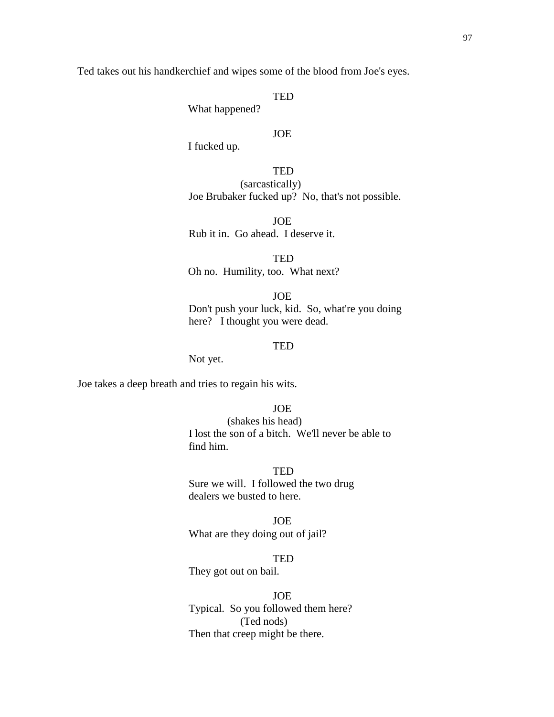Ted takes out his handkerchief and wipes some of the blood from Joe's eyes.

**TED** 

What happened?

## JOE

I fucked up.

TED (sarcastically) Joe Brubaker fucked up? No, that's not possible.

**JOE** Rub it in. Go ahead. I deserve it.

**TED** Oh no. Humility, too. What next?

JOE Don't push your luck, kid. So, what're you doing here? I thought you were dead.

## **TED**

Not yet.

Joe takes a deep breath and tries to regain his wits.

## JOE

(shakes his head) I lost the son of a bitch. We'll never be able to find him.

#### **TED**

 Sure we will. I followed the two drug dealers we busted to here.

JOE

What are they doing out of jail?

## **TED**

They got out on bail.

JOE

 Typical. So you followed them here? (Ted nods) Then that creep might be there.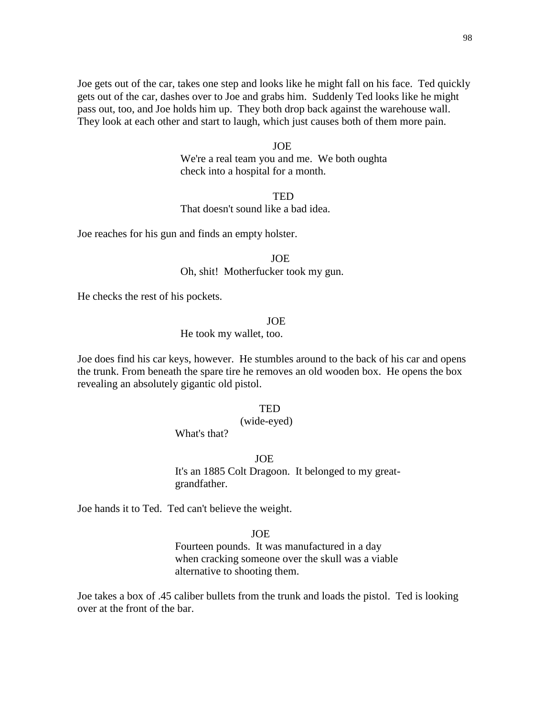Joe gets out of the car, takes one step and looks like he might fall on his face. Ted quickly gets out of the car, dashes over to Joe and grabs him. Suddenly Ted looks like he might pass out, too, and Joe holds him up. They both drop back against the warehouse wall. They look at each other and start to laugh, which just causes both of them more pain.

#### JOE

 We're a real team you and me. We both oughta check into a hospital for a month.

#### **TED**

That doesn't sound like a bad idea.

Joe reaches for his gun and finds an empty holster.

 JOE Oh, shit! Motherfucker took my gun.

He checks the rest of his pockets.

#### JOE

He took my wallet, too.

Joe does find his car keys, however. He stumbles around to the back of his car and opens the trunk. From beneath the spare tire he removes an old wooden box. He opens the box revealing an absolutely gigantic old pistol.

### **TED**

### (wide-eyed)

What's that?

#### JOE

It's an 1885 Colt Dragoon. It belonged to my greatgrandfather.

Joe hands it to Ted. Ted can't believe the weight.

#### JOE

Fourteen pounds. It was manufactured in a day when cracking someone over the skull was a viable alternative to shooting them.

Joe takes a box of .45 caliber bullets from the trunk and loads the pistol. Ted is looking over at the front of the bar.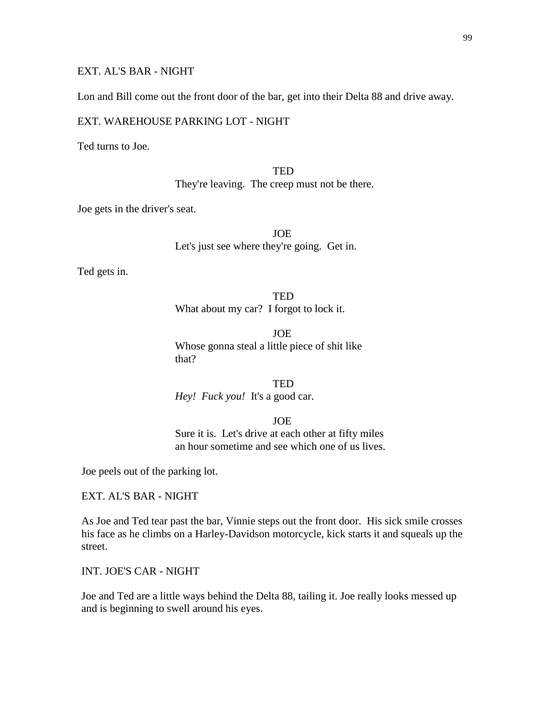## EXT. AL'S BAR - NIGHT

Lon and Bill come out the front door of the bar, get into their Delta 88 and drive away.

### EXT. WAREHOUSE PARKING LOT - NIGHT

Ted turns to Joe.

**TED** They're leaving. The creep must not be there.

Joe gets in the driver's seat.

JOE Let's just see where they're going. Get in.

Ted gets in.

**TED** What about my car? I forgot to lock it.

JOE Whose gonna steal a little piece of shit like that?

**TED** *Hey! Fuck you!* It's a good car.

### JOE

Sure it is. Let's drive at each other at fifty miles an hour sometime and see which one of us lives.

Joe peels out of the parking lot.

EXT. AL'S BAR - NIGHT

As Joe and Ted tear past the bar, Vinnie steps out the front door. His sick smile crosses his face as he climbs on a Harley-Davidson motorcycle, kick starts it and squeals up the street.

INT. JOE'S CAR - NIGHT

Joe and Ted are a little ways behind the Delta 88, tailing it. Joe really looks messed up and is beginning to swell around his eyes.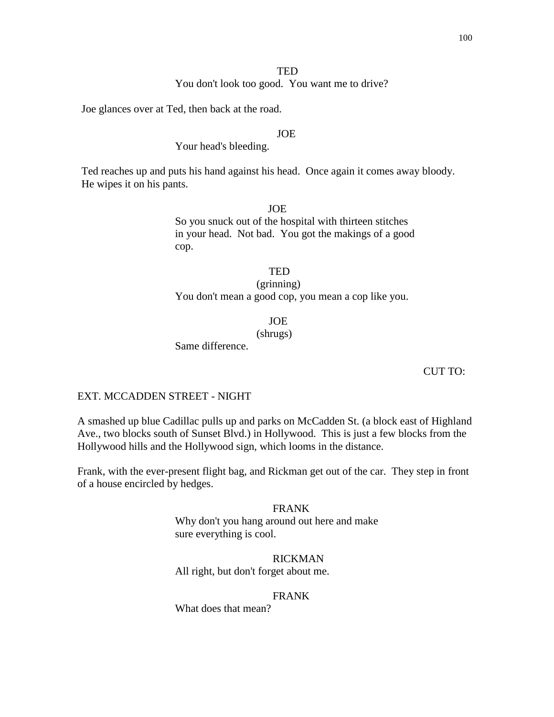### **TED**

You don't look too good. You want me to drive?

Joe glances over at Ted, then back at the road.

## JOE

# Your head's bleeding.

Ted reaches up and puts his hand against his head. Once again it comes away bloody. He wipes it on his pants.

#### JOE

So you snuck out of the hospital with thirteen stitches in your head. Not bad. You got the makings of a good cop.

# **TED**

## (grinning) You don't mean a good cop, you mean a cop like you.

JOE

(shrugs)

Same difference.

#### CUT TO:

### EXT. MCCADDEN STREET - NIGHT

A smashed up blue Cadillac pulls up and parks on McCadden St. (a block east of Highland Ave., two blocks south of Sunset Blvd.) in Hollywood. This is just a few blocks from the Hollywood hills and the Hollywood sign, which looms in the distance.

Frank, with the ever-present flight bag, and Rickman get out of the car. They step in front of a house encircled by hedges.

#### FRANK

Why don't you hang around out here and make sure everything is cool.

# RICKMAN

All right, but don't forget about me.

#### FRANK

What does that mean?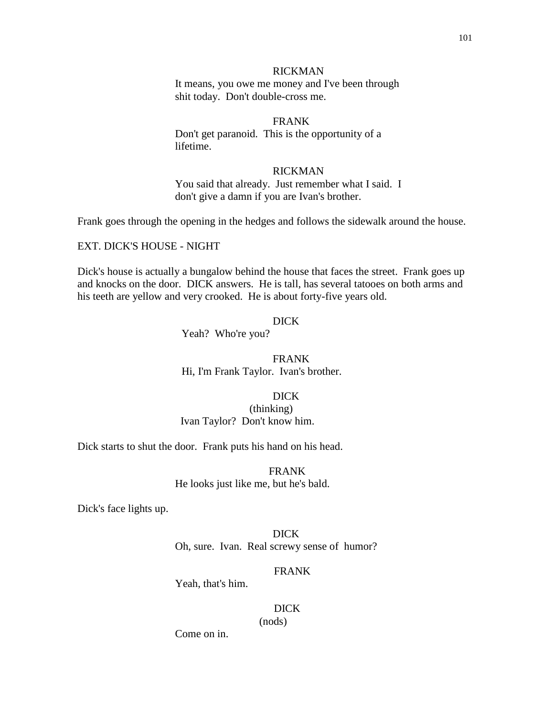It means, you owe me money and I've been through shit today. Don't double-cross me.

# FRANK

Don't get paranoid. This is the opportunity of a lifetime.

### RICKMAN

You said that already. Just remember what I said. I don't give a damn if you are Ivan's brother.

Frank goes through the opening in the hedges and follows the sidewalk around the house.

EXT. DICK'S HOUSE - NIGHT

Dick's house is actually a bungalow behind the house that faces the street. Frank goes up and knocks on the door. DICK answers. He is tall, has several tatooes on both arms and his teeth are yellow and very crooked. He is about forty-five years old.

### DICK

Yeah? Who're you?

FRANK Hi, I'm Frank Taylor. Ivan's brother.

DICK

(thinking) Ivan Taylor? Don't know him.

Dick starts to shut the door. Frank puts his hand on his head.

FRANK He looks just like me, but he's bald.

Dick's face lights up.

DICK Oh, sure. Ivan. Real screwy sense of humor?

#### FRANK

Yeah, that's him.

 DICK (nods)

Come on in.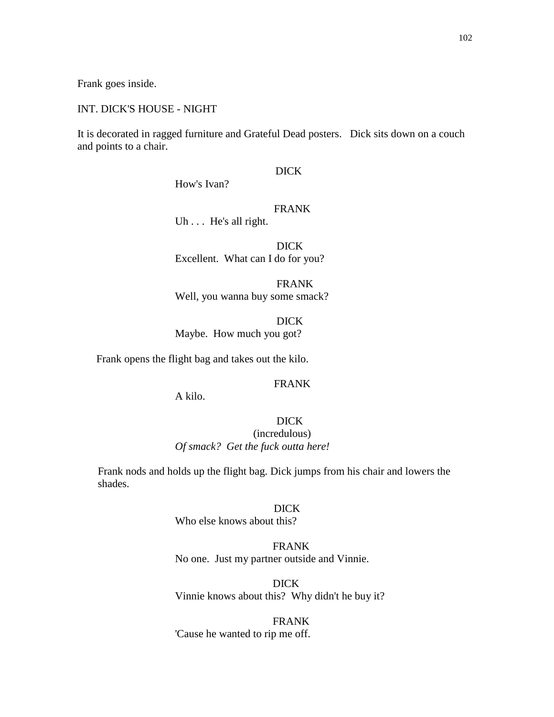Frank goes inside.

### INT. DICK'S HOUSE - NIGHT

It is decorated in ragged furniture and Grateful Dead posters. Dick sits down on a couch and points to a chair.

## DICK

How's Ivan?

## FRANK

Uh . . . He's all right.

 DICK Excellent. What can I do for you?

 FRANK Well, you wanna buy some smack?

 DICK Maybe. How much you got?

Frank opens the flight bag and takes out the kilo.

### FRANK

A kilo.

## DICK (incredulous)

*Of smack? Get the fuck outta here!*

Frank nods and holds up the flight bag. Dick jumps from his chair and lowers the shades.

### DICK

Who else knows about this?

# FRANK

No one. Just my partner outside and Vinnie.

DICK Vinnie knows about this? Why didn't he buy it?

#### FRANK

### 'Cause he wanted to rip me off.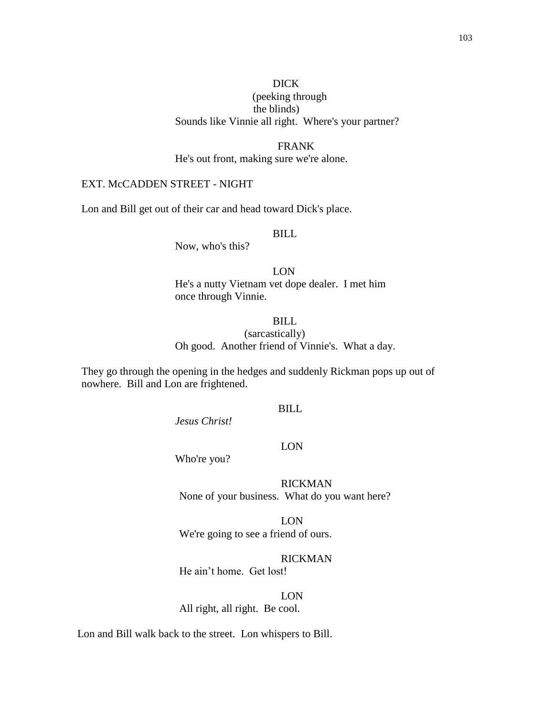# DICK

# (peeking through the blinds) Sounds like Vinnie all right. Where's your partner?

# FRANK He's out front, making sure we're alone.

# EXT. McCADDEN STREET - NIGHT

Lon and Bill get out of their car and head toward Dick's place.

# BILL

Now, who's this?

LON He's a nutty Vietnam vet dope dealer. I met him once through Vinnie.

# BILL (sarcastically) Oh good. Another friend of Vinnie's. What a day.

They go through the opening in the hedges and suddenly Rickman pops up out of nowhere. Bill and Lon are frightened.

# BILL

LON

*Jesus Christ!*

Who're you?

RICKMAN None of your business. What do you want here?

LON We're going to see a friend of ours.

## RICKMAN

He ain't home. Get lost!

LON All right, all right. Be cool.

Lon and Bill walk back to the street. Lon whispers to Bill.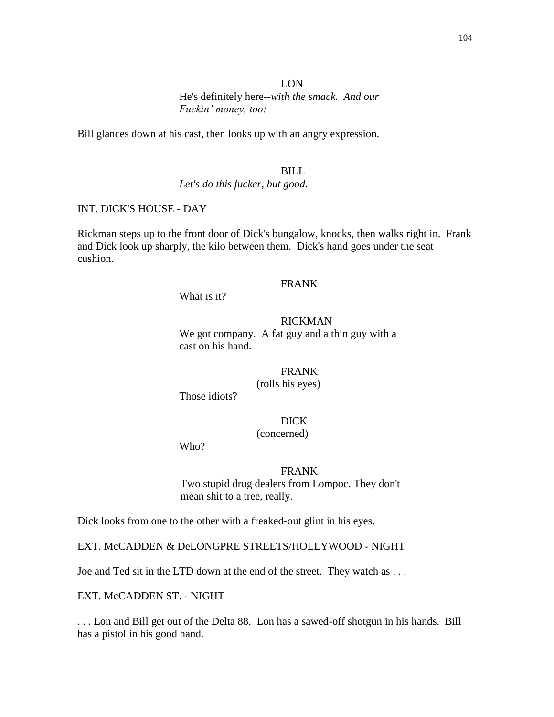## LON He's definitely here--*with the smack. And our Fuckin' money, too!*

Bill glances down at his cast, then looks up with an angry expression.

### BILL

*Let's do this fucker, but good.*

## INT. DICK'S HOUSE - DAY

Rickman steps up to the front door of Dick's bungalow, knocks, then walks right in. Frank and Dick look up sharply, the kilo between them. Dick's hand goes under the seat cushion.

## FRANK

What is it?

### RICKMAN

We got company. A fat guy and a thin guy with a cast on his hand.

### FRANK (rolls his eyes)

Those idiots?

## DICK

### (concerned)

Who?

#### FRANK

 Two stupid drug dealers from Lompoc. They don't mean shit to a tree, really.

Dick looks from one to the other with a freaked-out glint in his eyes.

EXT. McCADDEN & DeLONGPRE STREETS/HOLLYWOOD - NIGHT

Joe and Ted sit in the LTD down at the end of the street. They watch as . . .

EXT. McCADDEN ST. - NIGHT

. . . Lon and Bill get out of the Delta 88. Lon has a sawed-off shotgun in his hands. Bill has a pistol in his good hand.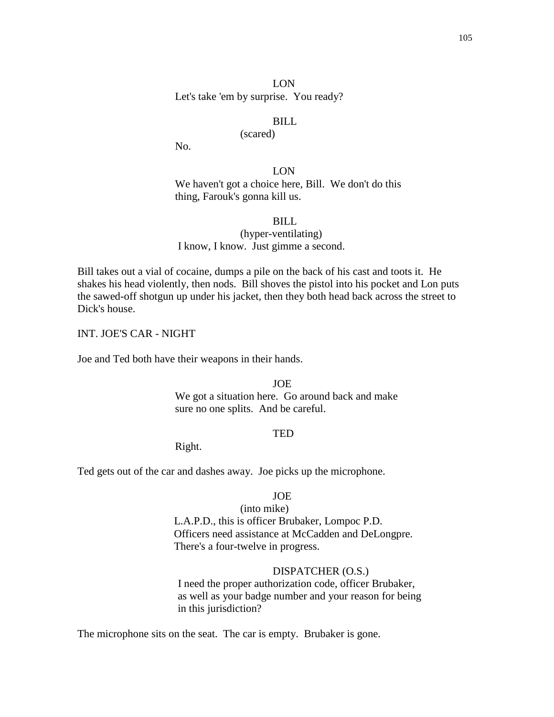Let's take 'em by surprise. You ready?

### BILL

## (scared)

No.

LON We haven't got a choice here, Bill. We don't do this thing, Farouk's gonna kill us.

BILL

(hyper-ventilating) I know, I know. Just gimme a second.

Bill takes out a vial of cocaine, dumps a pile on the back of his cast and toots it. He shakes his head violently, then nods. Bill shoves the pistol into his pocket and Lon puts the sawed-off shotgun up under his jacket, then they both head back across the street to Dick's house.

INT. JOE'S CAR - NIGHT

Joe and Ted both have their weapons in their hands.

JOE

We got a situation here. Go around back and make sure no one splits. And be careful.

### **TED**

Right.

Ted gets out of the car and dashes away. Joe picks up the microphone.

### JOE

(into mike) L.A.P.D., this is officer Brubaker, Lompoc P.D. Officers need assistance at McCadden and DeLongpre. There's a four-twelve in progress.

#### DISPATCHER (O.S.)

I need the proper authorization code, officer Brubaker, as well as your badge number and your reason for being in this jurisdiction?

The microphone sits on the seat. The car is empty. Brubaker is gone.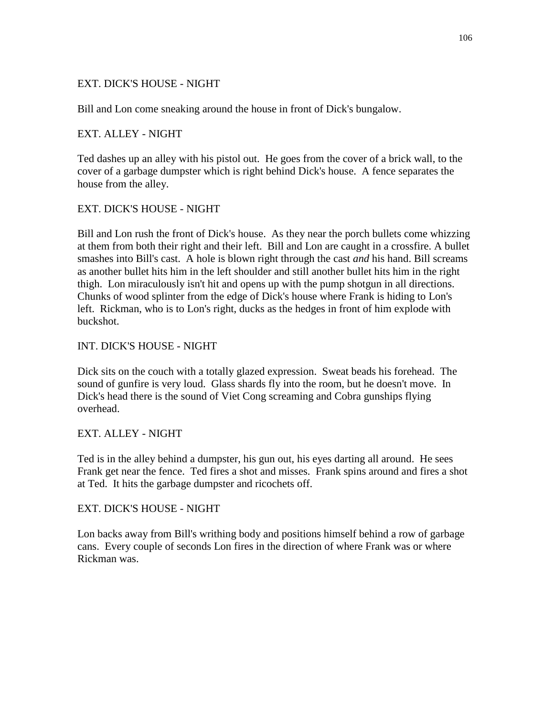# EXT. DICK'S HOUSE - NIGHT

Bill and Lon come sneaking around the house in front of Dick's bungalow.

## EXT. ALLEY - NIGHT

Ted dashes up an alley with his pistol out. He goes from the cover of a brick wall, to the cover of a garbage dumpster which is right behind Dick's house. A fence separates the house from the alley.

# EXT. DICK'S HOUSE - NIGHT

Bill and Lon rush the front of Dick's house. As they near the porch bullets come whizzing at them from both their right and their left. Bill and Lon are caught in a crossfire. A bullet smashes into Bill's cast. A hole is blown right through the cast *and* his hand. Bill screams as another bullet hits him in the left shoulder and still another bullet hits him in the right thigh. Lon miraculously isn't hit and opens up with the pump shotgun in all directions. Chunks of wood splinter from the edge of Dick's house where Frank is hiding to Lon's left. Rickman, who is to Lon's right, ducks as the hedges in front of him explode with buckshot.

## INT. DICK'S HOUSE - NIGHT

Dick sits on the couch with a totally glazed expression. Sweat beads his forehead. The sound of gunfire is very loud. Glass shards fly into the room, but he doesn't move. In Dick's head there is the sound of Viet Cong screaming and Cobra gunships flying overhead.

# EXT. ALLEY - NIGHT

Ted is in the alley behind a dumpster, his gun out, his eyes darting all around. He sees Frank get near the fence. Ted fires a shot and misses. Frank spins around and fires a shot at Ted. It hits the garbage dumpster and ricochets off.

### EXT. DICK'S HOUSE - NIGHT

Lon backs away from Bill's writhing body and positions himself behind a row of garbage cans. Every couple of seconds Lon fires in the direction of where Frank was or where Rickman was.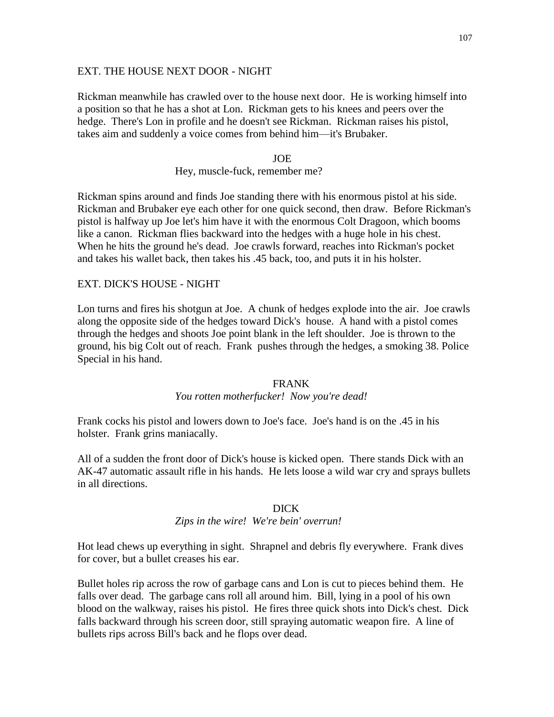### EXT. THE HOUSE NEXT DOOR - NIGHT

Rickman meanwhile has crawled over to the house next door. He is working himself into a position so that he has a shot at Lon. Rickman gets to his knees and peers over the hedge. There's Lon in profile and he doesn't see Rickman. Rickman raises his pistol, takes aim and suddenly a voice comes from behind him—it's Brubaker.

#### JOE

### Hey, muscle-fuck, remember me?

Rickman spins around and finds Joe standing there with his enormous pistol at his side. Rickman and Brubaker eye each other for one quick second, then draw. Before Rickman's pistol is halfway up Joe let's him have it with the enormous Colt Dragoon, which booms like a canon. Rickman flies backward into the hedges with a huge hole in his chest. When he hits the ground he's dead. Joe crawls forward, reaches into Rickman's pocket and takes his wallet back, then takes his .45 back, too, and puts it in his holster.

## EXT. DICK'S HOUSE - NIGHT

Lon turns and fires his shotgun at Joe. A chunk of hedges explode into the air. Joe crawls along the opposite side of the hedges toward Dick's house. A hand with a pistol comes through the hedges and shoots Joe point blank in the left shoulder. Joe is thrown to the ground, his big Colt out of reach. Frank pushes through the hedges, a smoking 38. Police Special in his hand.

### FRANK

### *You rotten motherfucker! Now you're dead!*

Frank cocks his pistol and lowers down to Joe's face. Joe's hand is on the .45 in his holster. Frank grins maniacally.

All of a sudden the front door of Dick's house is kicked open. There stands Dick with an AK-47 automatic assault rifle in his hands. He lets loose a wild war cry and sprays bullets in all directions.

#### DICK

## *Zips in the wire! We're bein' overrun!*

Hot lead chews up everything in sight. Shrapnel and debris fly everywhere. Frank dives for cover, but a bullet creases his ear.

Bullet holes rip across the row of garbage cans and Lon is cut to pieces behind them. He falls over dead. The garbage cans roll all around him. Bill, lying in a pool of his own blood on the walkway, raises his pistol. He fires three quick shots into Dick's chest. Dick falls backward through his screen door, still spraying automatic weapon fire. A line of bullets rips across Bill's back and he flops over dead.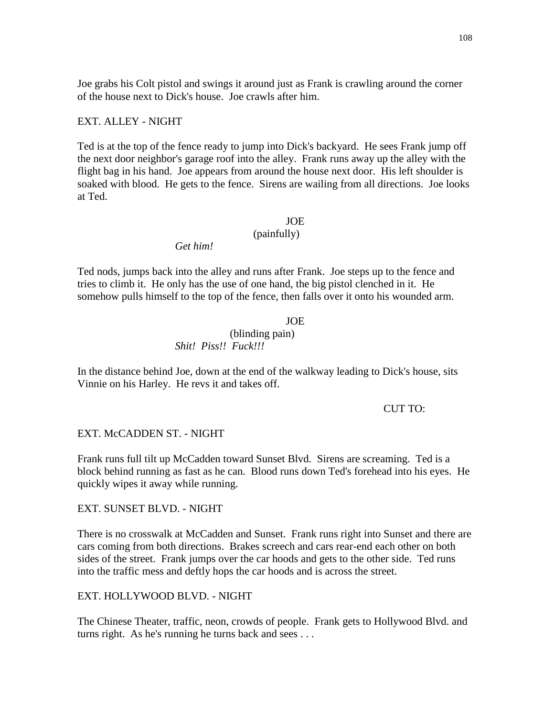Joe grabs his Colt pistol and swings it around just as Frank is crawling around the corner of the house next to Dick's house. Joe crawls after him.

### EXT. ALLEY - NIGHT

Ted is at the top of the fence ready to jump into Dick's backyard. He sees Frank jump off the next door neighbor's garage roof into the alley. Frank runs away up the alley with the flight bag in his hand. Joe appears from around the house next door. His left shoulder is soaked with blood. He gets to the fence. Sirens are wailing from all directions. Joe looks at Ted.

### **JOE**

# (painfully)

*Get him!*

Ted nods, jumps back into the alley and runs after Frank. Joe steps up to the fence and tries to climb it. He only has the use of one hand, the big pistol clenched in it. He somehow pulls himself to the top of the fence, then falls over it onto his wounded arm.

### **JOE**

(blinding pain) *Shit! Piss!! Fuck!!!*

In the distance behind Joe, down at the end of the walkway leading to Dick's house, sits Vinnie on his Harley. He revs it and takes off.

#### CUT TO:

#### EXT. McCADDEN ST. - NIGHT

Frank runs full tilt up McCadden toward Sunset Blvd. Sirens are screaming. Ted is a block behind running as fast as he can. Blood runs down Ted's forehead into his eyes. He quickly wipes it away while running.

### EXT. SUNSET BLVD. - NIGHT

There is no crosswalk at McCadden and Sunset. Frank runs right into Sunset and there are cars coming from both directions. Brakes screech and cars rear-end each other on both sides of the street. Frank jumps over the car hoods and gets to the other side. Ted runs into the traffic mess and deftly hops the car hoods and is across the street.

### EXT. HOLLYWOOD BLVD. - NIGHT

The Chinese Theater, traffic, neon, crowds of people. Frank gets to Hollywood Blvd. and turns right. As he's running he turns back and sees . . .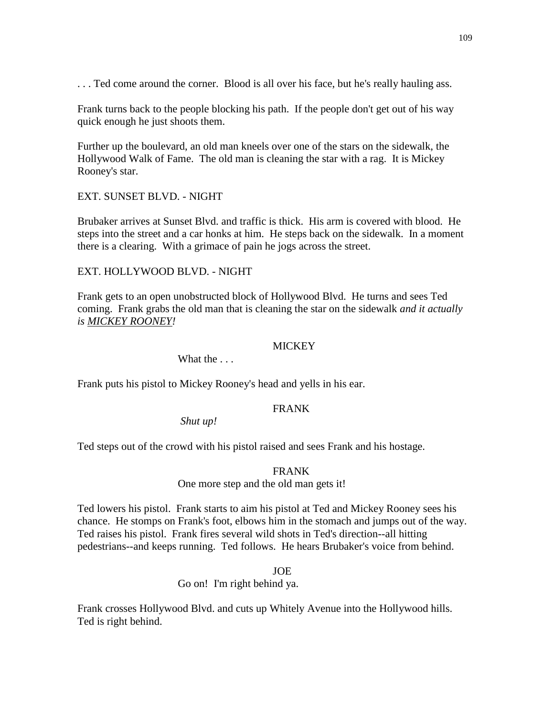... Ted come around the corner. Blood is all over his face, but he's really hauling ass.

Frank turns back to the people blocking his path. If the people don't get out of his way quick enough he just shoots them.

Further up the boulevard, an old man kneels over one of the stars on the sidewalk, the Hollywood Walk of Fame. The old man is cleaning the star with a rag. It is Mickey Rooney's star.

## EXT. SUNSET BLVD. - NIGHT

Brubaker arrives at Sunset Blvd. and traffic is thick. His arm is covered with blood. He steps into the street and a car honks at him. He steps back on the sidewalk. In a moment there is a clearing. With a grimace of pain he jogs across the street.

### EXT. HOLLYWOOD BLVD. - NIGHT

Frank gets to an open unobstructed block of Hollywood Blvd. He turns and sees Ted coming. Frank grabs the old man that is cleaning the star on the sidewalk *and it actually is MICKEY ROONEY!*

### **MICKEY**

What the ...

Frank puts his pistol to Mickey Rooney's head and yells in his ear.

## FRANK

*Shut up!*

Ted steps out of the crowd with his pistol raised and sees Frank and his hostage.

### FRANK

### One more step and the old man gets it!

Ted lowers his pistol. Frank starts to aim his pistol at Ted and Mickey Rooney sees his chance. He stomps on Frank's foot, elbows him in the stomach and jumps out of the way. Ted raises his pistol. Frank fires several wild shots in Ted's direction--all hitting pedestrians--and keeps running. Ted follows. He hears Brubaker's voice from behind.

### JOE

Go on! I'm right behind ya.

Frank crosses Hollywood Blvd. and cuts up Whitely Avenue into the Hollywood hills. Ted is right behind.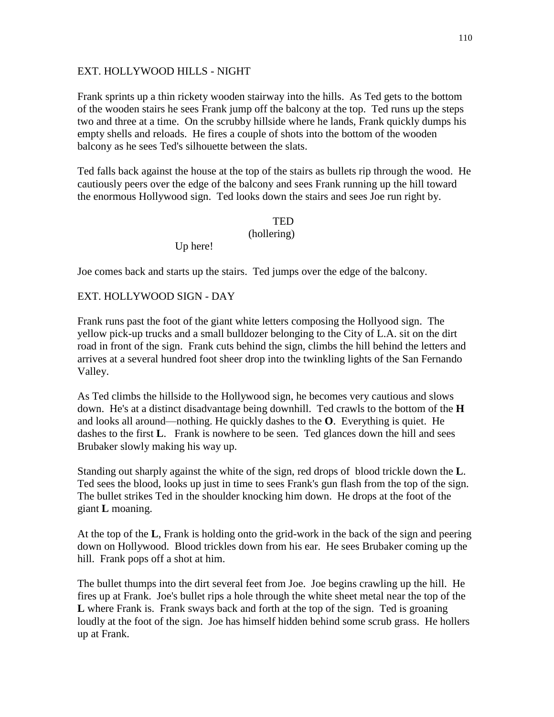## EXT. HOLLYWOOD HILLS - NIGHT

Frank sprints up a thin rickety wooden stairway into the hills. As Ted gets to the bottom of the wooden stairs he sees Frank jump off the balcony at the top. Ted runs up the steps two and three at a time. On the scrubby hillside where he lands, Frank quickly dumps his empty shells and reloads. He fires a couple of shots into the bottom of the wooden balcony as he sees Ted's silhouette between the slats.

Ted falls back against the house at the top of the stairs as bullets rip through the wood. He cautiously peers over the edge of the balcony and sees Frank running up the hill toward the enormous Hollywood sign. Ted looks down the stairs and sees Joe run right by.

# **TED** (hollering)

Up here!

Joe comes back and starts up the stairs. Ted jumps over the edge of the balcony.

# EXT. HOLLYWOOD SIGN - DAY

Frank runs past the foot of the giant white letters composing the Hollyood sign. The yellow pick-up trucks and a small bulldozer belonging to the City of L.A. sit on the dirt road in front of the sign. Frank cuts behind the sign, climbs the hill behind the letters and arrives at a several hundred foot sheer drop into the twinkling lights of the San Fernando Valley.

As Ted climbs the hillside to the Hollywood sign, he becomes very cautious and slows down. He's at a distinct disadvantage being downhill. Ted crawls to the bottom of the **H** and looks all around—nothing. He quickly dashes to the **O**. Everything is quiet. He dashes to the first **L**. Frank is nowhere to be seen. Ted glances down the hill and sees Brubaker slowly making his way up.

Standing out sharply against the white of the sign, red drops of blood trickle down the **L**. Ted sees the blood, looks up just in time to sees Frank's gun flash from the top of the sign. The bullet strikes Ted in the shoulder knocking him down. He drops at the foot of the giant **L** moaning.

 At the top of the **L**, Frank is holding onto the grid-work in the back of the sign and peering down on Hollywood. Blood trickles down from his ear. He sees Brubaker coming up the hill. Frank pops off a shot at him.

The bullet thumps into the dirt several feet from Joe. Joe begins crawling up the hill. He fires up at Frank. Joe's bullet rips a hole through the white sheet metal near the top of the **L** where Frank is. Frank sways back and forth at the top of the sign. Ted is groaning loudly at the foot of the sign. Joe has himself hidden behind some scrub grass. He hollers up at Frank.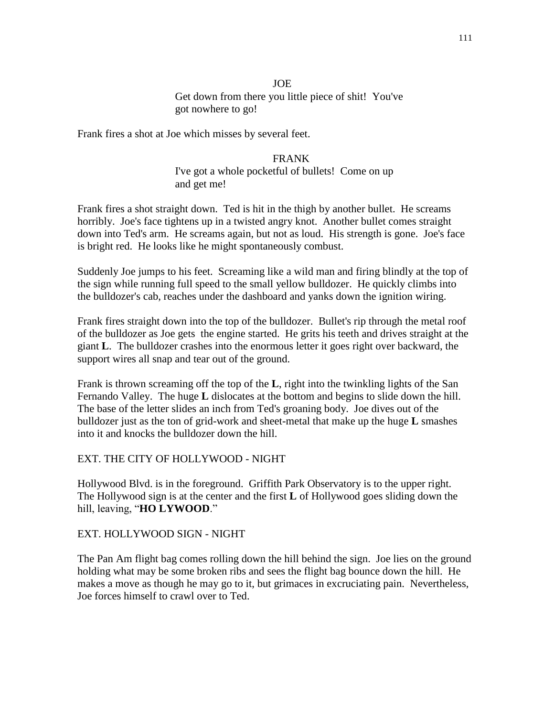## JOE Get down from there you little piece of shit! You've got nowhere to go!

Frank fires a shot at Joe which misses by several feet.

## FRANK

I've got a whole pocketful of bullets! Come on up and get me!

Frank fires a shot straight down. Ted is hit in the thigh by another bullet. He screams horribly. Joe's face tightens up in a twisted angry knot. Another bullet comes straight down into Ted's arm. He screams again, but not as loud. His strength is gone. Joe's face is bright red. He looks like he might spontaneously combust.

Suddenly Joe jumps to his feet. Screaming like a wild man and firing blindly at the top of the sign while running full speed to the small yellow bulldozer. He quickly climbs into the bulldozer's cab, reaches under the dashboard and yanks down the ignition wiring.

Frank fires straight down into the top of the bulldozer. Bullet's rip through the metal roof of the bulldozer as Joe gets the engine started. He grits his teeth and drives straight at the giant **L**. The bulldozer crashes into the enormous letter it goes right over backward, the support wires all snap and tear out of the ground.

Frank is thrown screaming off the top of the **L**, right into the twinkling lights of the San Fernando Valley. The huge **L** dislocates at the bottom and begins to slide down the hill. The base of the letter slides an inch from Ted's groaning body. Joe dives out of the bulldozer just as the ton of grid-work and sheet-metal that make up the huge **L** smashes into it and knocks the bulldozer down the hill.

### EXT. THE CITY OF HOLLYWOOD - NIGHT

Hollywood Blvd. is in the foreground. Griffith Park Observatory is to the upper right. The Hollywood sign is at the center and the first **L** of Hollywood goes sliding down the hill, leaving, "**HO LYWOOD**."

EXT. HOLLYWOOD SIGN - NIGHT

The Pan Am flight bag comes rolling down the hill behind the sign. Joe lies on the ground holding what may be some broken ribs and sees the flight bag bounce down the hill. He makes a move as though he may go to it, but grimaces in excruciating pain. Nevertheless, Joe forces himself to crawl over to Ted.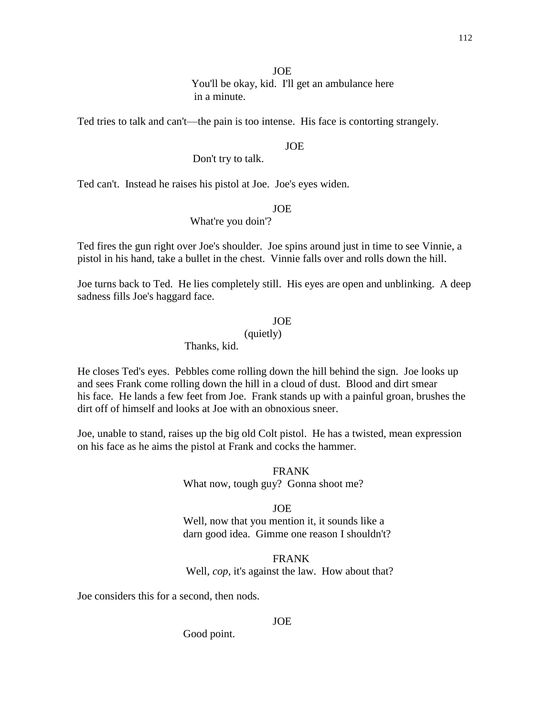### JOE

 You'll be okay, kid. I'll get an ambulance here in a minute.

Ted tries to talk and can't—the pain is too intense. His face is contorting strangely.

### JOE

## Don't try to talk.

Ted can't. Instead he raises his pistol at Joe. Joe's eyes widen.

### JOE

# What're you doin'?

Ted fires the gun right over Joe's shoulder. Joe spins around just in time to see Vinnie, a pistol in his hand, take a bullet in the chest. Vinnie falls over and rolls down the hill.

Joe turns back to Ted. He lies completely still. His eyes are open and unblinking. A deep sadness fills Joe's haggard face.

### JOE

## (quietly)

# Thanks, kid.

He closes Ted's eyes. Pebbles come rolling down the hill behind the sign. Joe looks up and sees Frank come rolling down the hill in a cloud of dust. Blood and dirt smear his face. He lands a few feet from Joe. Frank stands up with a painful groan, brushes the dirt off of himself and looks at Joe with an obnoxious sneer.

Joe, unable to stand, raises up the big old Colt pistol. He has a twisted, mean expression on his face as he aims the pistol at Frank and cocks the hammer.

> FRANK What now, tough guy? Gonna shoot me?

### JOE

Well, now that you mention it, it sounds like a darn good idea. Gimme one reason I shouldn't?

## FRANK Well, *cop*, it's against the law. How about that?

Joe considers this for a second, then nods.

#### JOE

Good point.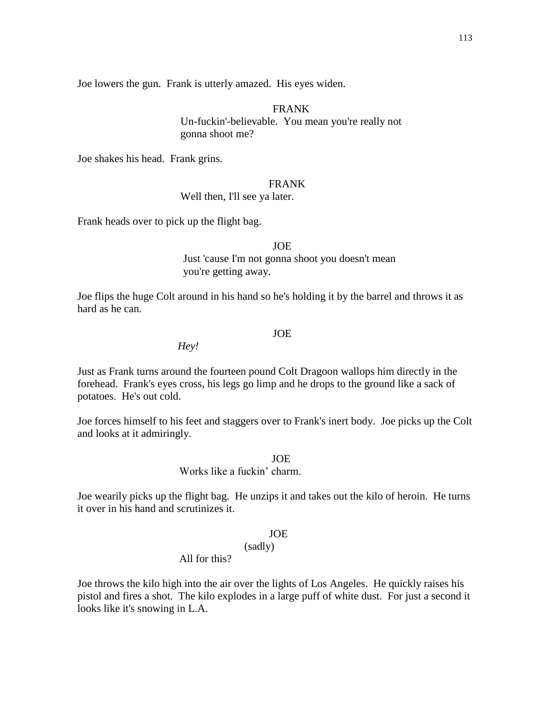Joe lowers the gun. Frank is utterly amazed. His eyes widen.

FRANK Un-fuckin'-believable. You mean you're really not gonna shoot me?

Joe shakes his head. Frank grins.

## FRANK

Well then, I'll see ya later.

Frank heads over to pick up the flight bag.

JOE

Just 'cause I'm not gonna shoot you doesn't mean you're getting away.

Joe flips the huge Colt around in his hand so he's holding it by the barrel and throws it as hard as he can.

## JOE

*Hey!*

Just as Frank turns around the fourteen pound Colt Dragoon wallops him directly in the forehead. Frank's eyes cross, his legs go limp and he drops to the ground like a sack of potatoes. He's out cold.

Joe forces himself to his feet and staggers over to Frank's inert body. Joe picks up the Colt and looks at it admiringly.

JOE

Works like a fuckin' charm.

Joe wearily picks up the flight bag. He unzips it and takes out the kilo of heroin. He turns it over in his hand and scrutinizes it.

#### JOE

(sadly)

All for this?

Joe throws the kilo high into the air over the lights of Los Angeles. He quickly raises his pistol and fires a shot. The kilo explodes in a large puff of white dust. For just a second it looks like it's snowing in L.A.